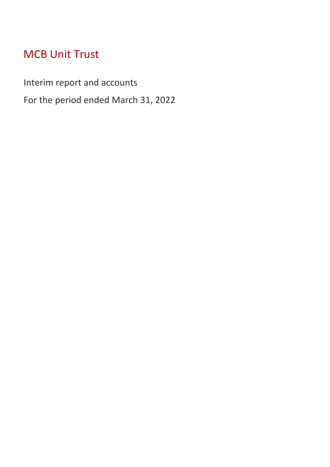# MCB Unit Trust

Interim report and accounts

For the period ended March 31, 2022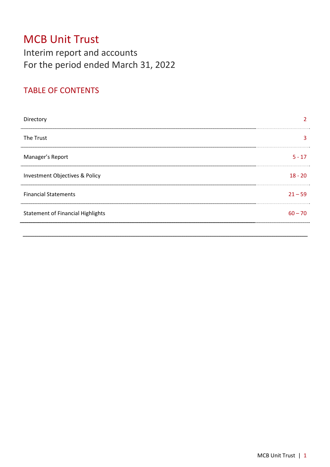# MCB Unit Trust Interim report and accounts For the period ended March 31, 2022

# TABLE OF CONTENTS

| Directory                                |           |
|------------------------------------------|-----------|
| The Trust                                |           |
| Manager's Report                         | $5 - 17$  |
| Investment Objectives & Policy           | $18 - 20$ |
| <b>Financial Statements</b>              | $21 - 59$ |
| <b>Statement of Financial Highlights</b> | $60 - 70$ |
|                                          |           |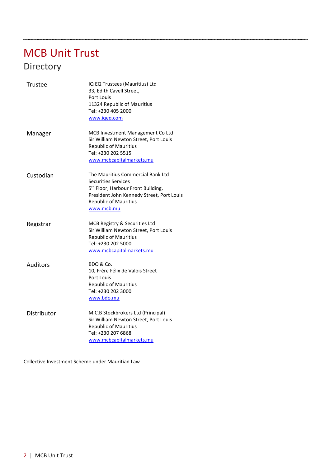# MCB Unit Trust Directory

| Trustee         | IQ EQ Trustees (Mauritius) Ltd<br>33, Edith Cavell Street,<br>Port Louis<br>11324 Republic of Mauritius<br>Tel: +230 405 2000<br>www.igeg.com                                                                |
|-----------------|--------------------------------------------------------------------------------------------------------------------------------------------------------------------------------------------------------------|
| Manager         | MCB Investment Management Co Ltd<br>Sir William Newton Street, Port Louis<br><b>Republic of Mauritius</b><br>Tel: +230 202 5515<br>www.mcbcapitalmarkets.mu                                                  |
| Custodian       | The Mauritius Commercial Bank Ltd<br><b>Securities Services</b><br>5 <sup>th</sup> Floor, Harbour Front Building,<br>President John Kennedy Street, Port Louis<br><b>Republic of Mauritius</b><br>www.mcb.mu |
| Registrar       | MCB Registry & Securities Ltd<br>Sir William Newton Street, Port Louis<br><b>Republic of Mauritius</b><br>Tel: +230 202 5000<br>www.mcbcapitalmarkets.mu                                                     |
| <b>Auditors</b> | BDO & Co.<br>10, Frère Félix de Valois Street<br>Port Louis<br>Republic of Mauritius<br>Tel: +230 202 3000<br>www.bdo.mu                                                                                     |
| Distributor     | M.C.B Stockbrokers Ltd (Principal)<br>Sir William Newton Street, Port Louis<br><b>Republic of Mauritius</b><br>Tel: +230 207 6868<br>www.mcbcapitalmarkets.mu                                                |

Collective Investment Scheme under Mauritian Law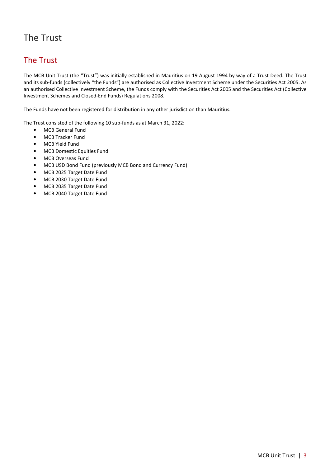# The Trust

## The Trust

The MCB Unit Trust (the "Trust") was initially established in Mauritius on 19 August 1994 by way of a Trust Deed. The Trust and its sub-funds (collectively "the Funds") are authorised as Collective Investment Scheme under the Securities Act 2005. As an authorised Collective Investment Scheme, the Funds comply with the Securities Act 2005 and the Securities Act (Collective Investment Schemes and Closed-End Funds) Regulations 2008.

The Funds have not been registered for distribution in any other jurisdiction than Mauritius.

The Trust consisted of the following 10 sub-funds as at March 31, 2022:

- MCB General Fund
- MCB Tracker Fund
- MCB Yield Fund
- MCB Domestic Equities Fund
- MCB Overseas Fund
- MCB USD Bond Fund (previously MCB Bond and Currency Fund)
- MCB 2025 Target Date Fund
- MCB 2030 Target Date Fund
- MCB 2035 Target Date Fund
- MCB 2040 Target Date Fund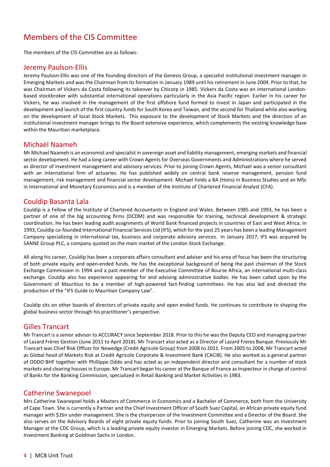# Members of the CIS Committee

The members of the CIS Committee are as follows:

#### Jeremy Paulson-Ellis

Jeremy Paulson-Ellis was one of the founding directors of the Genesis Group, a specialist institutional investment manager in Emerging Markets and was the Chairman from its formation in January 1989 until his retirement in June 2009. Prior to that, he was Chairman of Vickers da Costa following its takeover by Citicorp in 1985. Vickers da Costa was an international Londonbased stockbroker with substantial international operations particularly in the Asia Pacific region. Earlier in his career for Vickers, he was involved in the management of the first offshore fund formed to invest in Japan and participated in the development and launch of the first country funds for South Korea and Taiwan, and the second for Thailand while also working on the development of local Stock Markets. This exposure to the development of Stock Markets and the direction of an institutional investment manager brings to the Board extensive experience, which complements the existing knowledge base within the Mauritian marketplace.

#### Michaël Naameh

Mr Michael Naameh is an economist and specialist in sovereign asset and liability management, emerging markets and financial sector development. He had a long career with Crown Agents for Overseas Governments and Administrations where he served as director of investment management and advisory services. Prior to joining Crown Agents, Michael was a senior consultant with an international firm of actuaries. He has published widely on central bank reserve management, pension fund management, risk management and financial sector development. Michael holds a BA (Hons) in Business Studies and an MSc in International and Monetary Economics and is a member of the Institute of Chartered Financial Analyst (CFA).

#### Couldip Basanta Lala

Couldip is a Fellow of the Institute of Chartered Accountants in England and Wales. Between 1985 and 1993, he has been a partner of one of the big accounting firms (DCDM) and was responsible for training, technical development & strategic coordination. He has been leading audit assignments of World Bank financed projects in countries of East and West Africa. In 1993, Couldip co-founded International Financial Services Ltd (IFS), which for the past 25 years has been a leading Management Company specializing in international tax, business and corporate advisory services. In January 2017, IFS was acquired by SANNE Group PLC, a company quoted on the main market of the London Stock Exchange.

All along his career, Couldip has been a corporate affairs consultant and adviser and his area of focus has been the structuring of both private equity and open-ended funds. He has the exceptional background of being the past chairman of the Stock Exchange Commission in 1994 and a past member of the Executive Committee of Bourse Africa, an international multi-class exchange. Couldip also has experience appearing for and advising administrative bodies. He has been called upon by the Government of Mauritius to be a member of high-powered fact-finding committees. He has also led and directed the production of the "IFS Guide to Mauritian Company Law".

Couldip sits on other boards of directors of private equity and open ended funds. He continues to contribute to shaping the global business sector through his practitioner's perspective.

#### Gilles Trancart

Mr Trancart is a senior advisor to ACCURACY since September 2018. Prior to this he was the Deputy CEO and managing partner of Lazard Frères Gestion (June 2011 to April 2018). Mr Trancart also acted as a Director of Lazard Freres Banque. Previously Mr Trancart was Chief Risk Officer for Newedge (Credit Agricole Group) from 2008 to 2011. From 2005 to 2008, Mr Trancart acted as Global head of Markets Risk at Credit Agricole Corporate & Investment Bank (CACIB). He also worked as a general partner of ODDO BHF together with Phillippe Oddo and has acted as an independent director and consultant for a number of stock markets and clearing houses in Europe. Mr Trancart began his career at the Banque of France as Inspecteur in charge of control of Banks for the Banking Commission, specialized in Retail Banking and Market Activities in 1983.

#### Catherine Swanepoel

Mrs Catherine Swanepoel holds a Masters of Commerce in Economics and a Bachelor of Commerce, both from the University of Cape Town. She is currently a Partner and the Chief Investment Officer of South Suez Capital, an African private equity fund manager with \$1bn under management. She is the chairperson of the Investment Committee and a Director of the Board. She also serves on the Advisory Boards of eight private equity funds. Prior to joining South Suez, Catherine was an Investment Manager at the CDC Group, which is a leading private equity investor in Emerging Markets. Before joining CDC, she worked in Investment Banking at Goldman Sachs in London.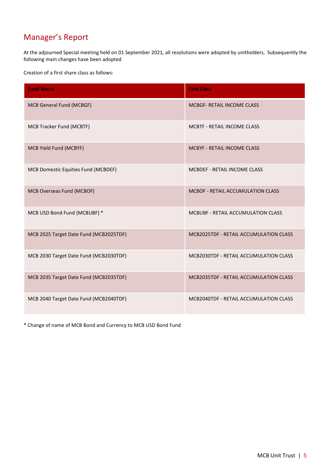# Manager's Report

At the adjourned Special meeting held on 01 September 2021, all resolutions were adopted by unitholders. Subsequently the following main changes have been adopted

Creation of a first share class as follows:

| <b>Fund Name</b>                       | <b>First Class</b>                        |
|----------------------------------------|-------------------------------------------|
| MCB General Fund (MCBGF)               | <b>MCBGF- RETAIL INCOME CLASS</b>         |
| <b>MCB Tracker Fund (MCBTF)</b>        | <b>MCBTF - RETAIL INCOME CLASS</b>        |
| MCB Yield Fund (MCBYF)                 | <b>MCBYF - RETAIL INCOME CLASS</b>        |
| MCB Domestic Equities Fund (MCBDEF)    | MCBDEF - RETAIL INCOME CLASS              |
| MCB Overseas Fund (MCBOF)              | <b>MCBOF - RETAIL ACCUMULATION CLASS</b>  |
| MCB USD Bond Fund (MCBUBF) *           | <b>MCBUBF - RETAIL ACCUMULATION CLASS</b> |
| MCB 2025 Target Date Fund (MCB2025TDF) | MCB2025TDF - RETAIL ACCUMULATION CLASS    |
| MCB 2030 Target Date Fund (MCB2030TDF) | MCB2030TDF - RETAIL ACCUMULATION CLASS    |
| MCB 2035 Target Date Fund (MCB2035TDF) | MCB2035TDF - RETAIL ACCUMULATION CLASS    |
| MCB 2040 Target Date Fund (MCB2040TDF) | MCB2040TDF - RETAIL ACCUMULATION CLASS    |

\* Change of name of MCB Bond and Currency to MCB USD Bond Fund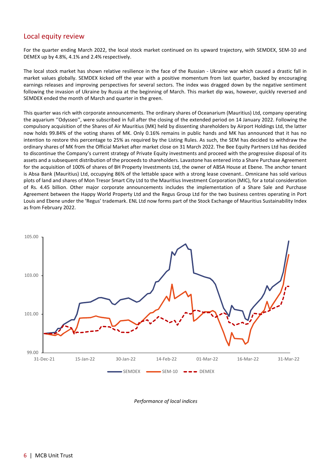#### Local equity review

For the quarter ending March 2022, the local stock market continued on its upward trajectory, with SEMDEX, SEM-10 and DEMEX up by 4.8%, 4.1% and 2.4% respectively.

The local stock market has shown relative resilience in the face of the Russian - Ukraine war which caused a drastic fall in market values globally. SEMDEX kicked off the year with a positive momentum from last quarter, backed by encouraging earnings releases and improving perspectives for several sectors. The index was dragged down by the negative sentiment following the invasion of Ukraine by Russia at the beginning of March. This market dip was, however, quickly reversed and SEMDEX ended the month of March and quarter in the green.

This quarter was rich with corporate announcements. The ordinary shares of Oceanarium (Mauritius) Ltd, company operating the aquarium ''Odysseo'', were subscribed in full after the closing of the extended period on 14 January 2022. Following the compulsory acquisition of the Shares of Air Mauritius (MK) held by dissenting shareholders by Airport Holdings Ltd, the latter now holds 99.84% of the voting shares of MK. Only 0.16% remains in public hands and MK has announced that it has no intention to restore this percentage to 25% as required by the Listing Rules. As such, the SEM has decided to withdraw the ordinary shares of MK from the Official Market after market close on 31 March 2022. The Bee Equity Partners Ltd has decided to discontinue the Company's current strategy of Private Equity investments and proceed with the progressive disposal of its assets and a subsequent distribution of the proceeds to shareholders. Lavastone has entered into a Share Purchase Agreement for the acquisition of 100% of shares of BH Property Investments Ltd, the owner of ABSA House at Ebene. The anchor tenant is Absa Bank (Mauritius) Ltd, occupying 86% of the lettable space with a strong lease covenant.. Omnicane has sold various plots of land and shares of Mon Tresor Smart City Ltd to the Mauritius Investment Corporation (MIC), for a total consideration of Rs. 4.45 billion. Other major corporate announcements includes the implementation of a Share Sale and Purchase Agreement between the Happy World Property Ltd and the Regus Group Ltd for the two business centres operating in Port Louis and Ebene under the 'Regus' trademark. ENL Ltd now forms part of the Stock Exchange of Mauritius Sustainability Index as from February 2022.



 *Performance of local indices*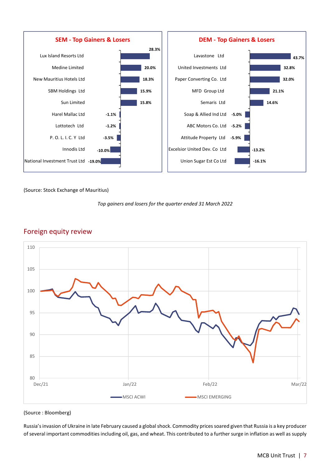

#### (Source: Stock Exchange of Mauritius)





#### Foreign equity review

#### (Source : Bloomberg)

Russia's invasion of Ukraine in late February caused a global shock. Commodity prices soared given that Russia is a key producer of several important commodities including oil, gas, and wheat. This contributed to a further surge in inflation as well as supply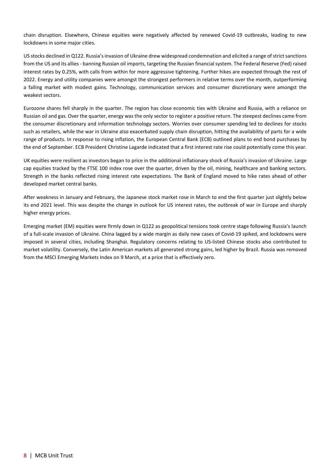chain disruption. Elsewhere, Chinese equities were negatively affected by renewed Covid-19 outbreaks, leading to new lockdowns in some major cities.

US stocks declined in Q122. Russia's invasion of Ukraine drew widespread condemnation and elicited a range of strict sanctions from the US and its allies - banning Russian oil imports, targeting the Russian financial system. The Federal Reserve (Fed) raised interest rates by 0.25%, with calls from within for more aggressive tightening. Further hikes are expected through the rest of 2022. Energy and utility companies were amongst the strongest performers in relative terms over the month, outperforming a falling market with modest gains. Technology, communication services and consumer discretionary were amongst the weakest sectors.

Eurozone shares fell sharply in the quarter. The region has close economic ties with Ukraine and Russia, with a reliance on Russian oil and gas. Over the quarter, energy was the only sector to register a positive return. The steepest declines came from the consumer discretionary and information technology sectors. Worries over consumer spending led to declines for stocks such as retailers, while the war in Ukraine also exacerbated supply chain disruption, hitting the availability of parts for a wide range of products. In response to rising inflation, the European Central Bank (ECB) outlined plans to end bond purchases by the end of September. ECB President Christine Lagarde indicated that a first interest rate rise could potentially come this year.

UK equities were resilient as investors began to price in the additional inflationary shock of Russia's invasion of Ukraine. Large cap equities tracked by the FTSE 100 index rose over the quarter, driven by the oil, mining, healthcare and banking sectors. Strength in the banks reflected rising interest rate expectations. The Bank of England moved to hike rates ahead of other developed market central banks.

After weakness in January and February, the Japanese stock market rose in March to end the first quarter just slightly below its end 2021 level. This was despite the change in outlook for US interest rates, the outbreak of war in Europe and sharply higher energy prices.

Emerging market (EM) equities were firmly down in Q122 as geopolitical tensions took centre stage following Russia's launch of a full-scale invasion of Ukraine. China lagged by a wide margin as daily new cases of Covid-19 spiked, and lockdowns were imposed in several cities, including Shanghai. Regulatory concerns relating to US-listed Chinese stocks also contributed to market volatility. Conversely, the Latin American markets all generated strong gains, led higher by Brazil. Russia was removed from the MSCI Emerging Markets Index on 9 March, at a price that is effectively zero.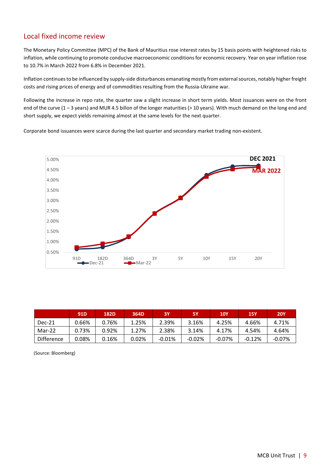#### Local fixed income review

The Monetary Policy Committee (MPC) of the Bank of Mauritius rose interest rates by 15 basis points with heightened risks to inflation, while continuing to promote conducive macroeconomic conditions for economic recovery. Year on year inflation rose to 10.7% in March 2022 from 6.8% in December 2021.

Inflation continues to be influenced by supply-side disturbances emanating mostly from external sources, notably higher freight costs and rising prices of energy and of commodities resulting from the Russia-Ukraine war.

Following the increase in repo rate, the quarter saw a slight increase in short term yields. Most issuances were on the front end of the curve (1 – 3 years) and MUR 4.5 billon of the longer maturities (> 10 years). With much demand on the long end and short supply, we expect yields remaining almost at the same levels for the next quarter.

Corporate bond issuances were scarce during the last quarter and secondary market trading non-existent.



|                   | 91 <sub>D</sub> | 182D  | 364D     | 3Υ       | 5Υ       | <b>10Y</b> | <b>15Y</b> | <b>20Y</b> |
|-------------------|-----------------|-------|----------|----------|----------|------------|------------|------------|
| $Dec-21$          | 0.66%           | 0.76% | 1.25%    | 2.39%    | 3.16%    | 4.25%      | 4.66%      | 4.71%      |
| Mar-22            | 0.73%           | 0.92% | 1.27%    | 2.38%    | 3.14%    | 4.17%      | 4.54%      | 4.64%      |
| <b>Difference</b> | 0.08%           | 0.16% | $0.02\%$ | $-0.01%$ | $-0.02%$ | $-0.07%$   | $-0.12%$   | $-0.07%$   |

(Source: Bloomberg)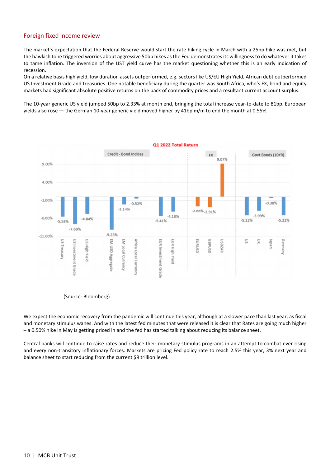#### Foreign fixed income review

The market's expectation that the Federal Reserve would start the rate hiking cycle in March with a 25bp hike was met, but the hawkish tone triggered worries about aggressive 50bp hikes as the Fed demonstrates its willingness to do whatever it takes to tame inflation. The inversion of the UST yield curve has the market questioning whether this is an early indication of recession.

On a relative basis high yield, low duration assets outperformed, e.g. sectors like US/EU High Yield, African debt outperformed US Investment Grade and treasuries. One notable beneficiary during the quarter was South Africa, who's FX, bond and equity markets had significant absolute positive returns on the back of commodity prices and a resultant current account surplus.

The 10-year generic US yield jumped 50bp to 2.33% at month end, bringing the total increase year-to-date to 81bp. European yields also rose — the German 10-year generic yield moved higher by 41bp m/m to end the month at 0.55%.



(Source: Bloomberg)

We expect the economic recovery from the pandemic will continue this year, although at a slower pace than last year, as fiscal and monetary stimulus wanes. And with the latest fed minutes that were released it is clear that Rates are going much higher – a 0.50% hike in May is getting priced in and the fed has started talking about reducing its balance sheet.

Central banks will continue to raise rates and reduce their monetary stimulus programs in an attempt to combat ever rising and every non-transitory inflationary forces. Markets are pricing Fed policy rate to reach 2.5% this year, 3% next year and balance sheet to start reducing from the current \$9 trillion level.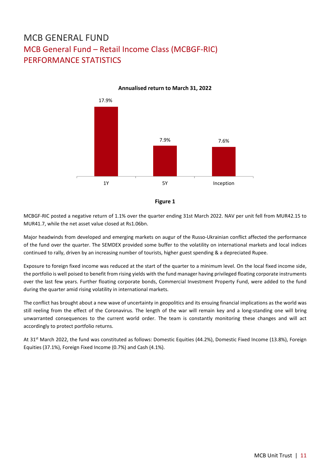# MCB GENERAL FUND MCB General Fund – Retail Income Class (MCBGF-RIC) PERFORMANCE STATISTICS



**Annualised return to March 31, 2022**



MCBGF-RIC posted a negative return of 1.1% over the quarter ending 31st March 2022. NAV per unit fell from MUR42.15 to MUR41.7, while the net asset value closed at Rs1.06bn.

Major headwinds from developed and emerging markets on augur of the Russo-Ukrainian conflict affected the performance of the fund over the quarter. The SEMDEX provided some buffer to the volatility on international markets and local indices continued to rally, driven by an increasing number of tourists, higher guest spending & a depreciated Rupee.

Exposure to foreign fixed income was reduced at the start of the quarter to a minimum level. On the local fixed income side, the portfolio is well poised to benefit from rising yields with the fund manager having privileged floating corporate instruments over the last few years. Further floating corporate bonds, Commercial Investment Property Fund, were added to the fund during the quarter amid rising volatility in international markets.

The conflict has brought about a new wave of uncertainty in geopolitics and its ensuing financial implications as the world was still reeling from the effect of the Coronavirus. The length of the war will remain key and a long-standing one will bring unwarranted consequences to the current world order. The team is constantly monitoring these changes and will act accordingly to protect portfolio returns.

At 31st March 2022, the fund was constituted as follows: Domestic Equities (44.2%), Domestic Fixed Income (13.8%), Foreign Equities (37.1%), Foreign Fixed Income (0.7%) and Cash (4.1%).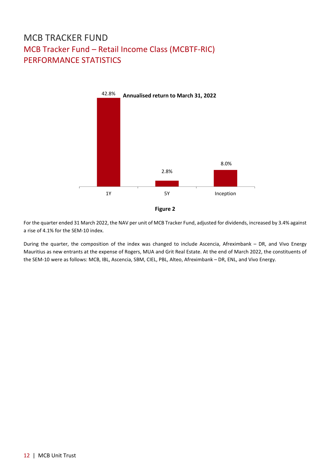# MCB TRACKER FUND MCB Tracker Fund – Retail Income Class (MCBTF-RIC) PERFORMANCE STATISTICS



For the quarter ended 31 March 2022, the NAV per unit of MCB Tracker Fund, adjusted for dividends, increased by 3.4% against a rise of 4.1% for the SEM-10 index.

During the quarter, the composition of the index was changed to include Ascencia, Afreximbank – DR, and Vivo Energy Mauritius as new entrants at the expense of Rogers, MUA and Grit Real Estate. At the end of March 2022, the constituents of the SEM-10 were as follows: MCB, IBL, Ascencia, SBM, CIEL, PBL, Alteo, Afreximbank – DR, ENL, and Vivo Energy.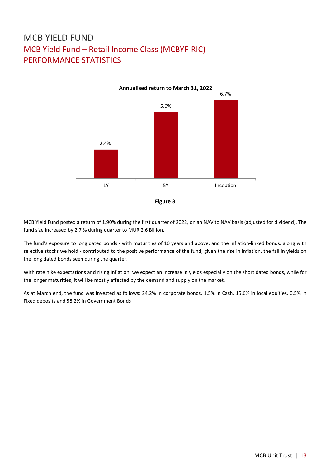# MCB YIELD FUND MCB Yield Fund – Retail Income Class (MCBYF-RIC) PERFORMANCE STATISTICS



MCB Yield Fund posted a return of 1.90% during the first quarter of 2022, on an NAV to NAV basis (adjusted for dividend). The fund size increased by 2.7 % during quarter to MUR 2.6 Billion.

The fund's exposure to long dated bonds - with maturities of 10 years and above, and the inflation-linked bonds, along with selective stocks we hold - contributed to the positive performance of the fund, given the rise in inflation, the fall in yields on the long dated bonds seen during the quarter.

With rate hike expectations and rising inflation, we expect an increase in yields especially on the short dated bonds, while for the longer maturities, it will be mostly affected by the demand and supply on the market.

As at March end, the fund was invested as follows: 24.2% in corporate bonds, 1.5% in Cash, 15.6% in local equities, 0.5% in Fixed deposits and 58.2% in Government Bonds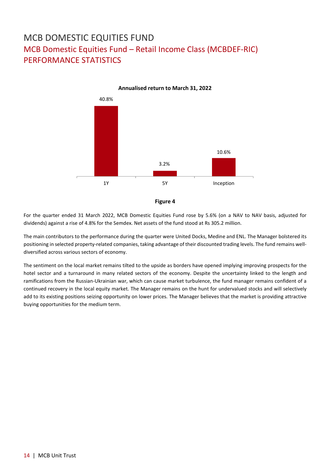# MCB DOMESTIC EQUITIES FUND MCB Domestic Equities Fund – Retail Income Class (MCBDEF-RIC) PERFORMANCE STATISTICS



For the quarter ended 31 March 2022, MCB Domestic Equities Fund rose by 5.6% (on a NAV to NAV basis, adjusted for dividends) against a rise of 4.8% for the Semdex. Net assets of the fund stood at Rs 305.2 million.

The main contributors to the performance during the quarter were United Docks, Medine and ENL. The Manager bolstered its positioning in selected property-related companies, taking advantage of their discounted trading levels. The fund remains welldiversified across various sectors of economy.

The sentiment on the local market remains tilted to the upside as borders have opened implying improving prospects for the hotel sector and a turnaround in many related sectors of the economy. Despite the uncertainty linked to the length and ramifications from the Russian-Ukrainian war, which can cause market turbulence, the fund manager remains confident of a continued recovery in the local equity market. The Manager remains on the hunt for undervalued stocks and will selectively add to its existing positions seizing opportunity on lower prices. The Manager believes that the market is providing attractive buying opportunities for the medium term.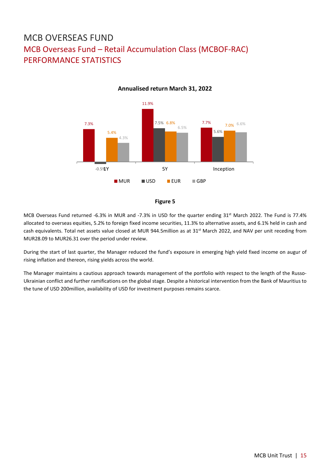# MCB OVERSEAS FUND MCB Overseas Fund – Retail Accumulation Class (MCBOF-RAC) PERFORMANCE STATISTICS



**Annualised return March 31, 2022**



MCB Overseas Fund returned -6.3% in MUR and -7.3% in USD for the quarter ending 31st March 2022. The Fund is 77.4% allocated to overseas equities, 5.2% to foreign fixed income securities, 11.3% to alternative assets, and 6.1% held in cash and cash equivalents. Total net assets value closed at MUR 944.5million as at 31<sup>st</sup> March 2022, and NAV per unit receding from MUR28.09 to MUR26.31 over the period under review.

During the start of last quarter, the Manager reduced the fund's exposure in emerging high yield fixed income on augur of rising inflation and thereon, rising yields across the world.

The Manager maintains a cautious approach towards management of the portfolio with respect to the length of the Russo-Ukrainian conflict and further ramifications on the global stage. Despite a historical intervention from the Bank of Mauritius to the tune of USD 200million, availability of USD for investment purposes remains scarce.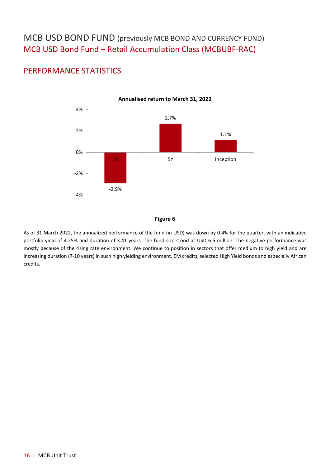## MCB USD BOND FUND (previously MCB BOND AND CURRENCY FUND) MCB USD Bond Fund – Retail Accumulation Class (MCBUBF-RAC)

### PERFORMANCE STATISTICS



**Annualised return to March 31, 2022**

#### **Figure 6**

As of 31 March 2022, the annualized performance of the fund (in USD) was down by 0.4% for the quarter, with an indicative portfolio yield of 4.25% and duration of 3.41 years. The fund size stood at USD 6.5 million. The negative performance was mostly because of the rising rate environment. We continue to position in sectors that offer medium to high yield and are increasing duration (7-10 years) in such high yielding environment, EM credits, selected High Yield bonds and especially African credits.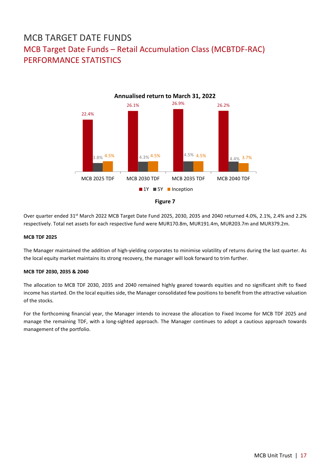# MCB TARGET DATE FUNDS MCB Target Date Funds – Retail Accumulation Class (MCBTDF-RAC) PERFORMANCE STATISTICS





Over quarter ended 31<sup>st</sup> March 2022 MCB Target Date Fund 2025, 2030, 2035 and 2040 returned 4.0%, 2.1%, 2.4% and 2.2% respectively. Total net assets for each respective fund were MUR170.8m, MUR191.4m, MUR203.7m and MUR379.2m.

#### **MCB TDF 2025**

The Manager maintained the addition of high-yielding corporates to minimise volatility of returns during the last quarter. As the local equity market maintains its strong recovery, the manager will look forward to trim further.

#### **MCB TDF 2030, 2035 & 2040**

The allocation to MCB TDF 2030, 2035 and 2040 remained highly geared towards equities and no significant shift to fixed income has started. On the local equities side, the Manager consolidated few positions to benefit from the attractive valuation of the stocks.

For the forthcoming financial year, the Manager intends to increase the allocation to Fixed Income for MCB TDF 2025 and manage the remaining TDF, with a long-sighted approach. The Manager continues to adopt a cautious approach towards management of the portfolio.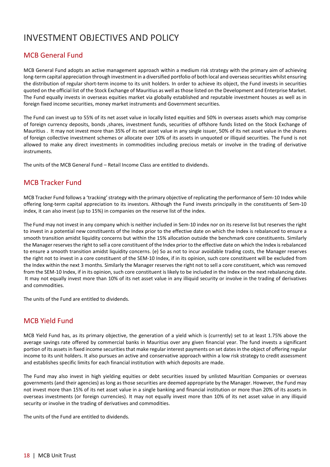# INVESTMENT OBJECTIVES AND POLICY

#### MCB General Fund

MCB General Fund adopts an active management approach within a medium risk strategy with the primary aim of achieving long-term capital appreciation through investment in a diversified portfolio of both local and overseas securities whilst ensuring the distribution of regular short-term income to its unit holders. In order to achieve its object, the Fund invests in securities quoted on the official list of the Stock Exchange of Mauritius as well as those listed on the Development and Enterprise Market. The Fund equally invests in overseas equities market via globally established and reputable investment houses as well as in foreign fixed income securities, money market instruments and Government securities.

The Fund can invest up to 55% of its net asset value in locally listed equities and 50% in overseas assets which may comprise of foreign currency deposits, bonds ,shares, investment funds, securities of offshore funds listed on the Stock Exchange of Mauritius . It may not invest more than 35% of its net asset value in any single issuer, 50% of its net asset value in the shares of foreign collective investment schemes or allocate over 10% of its assets in unquoted or illiquid securities. The Fund is not allowed to make any direct investments in commodities including precious metals or involve in the trading of derivative instruments.

The units of the MCB General Fund – Retail Income Class are entitled to dividends.

#### MCB Tracker Fund

MCB Tracker Fund follows a 'tracking' strategy with the primary objective of replicating the performance of Sem-10 Index while offering long-term capital appreciation to its investors. Although the Fund invests principally in the constituents of Sem-10 index, it can also invest (up to 15%) in companies on the reserve list of the index.

The Fund may not invest in any company which is neither included in Sem-10 index nor on its reserve list but reserves the right to invest in a potential new constituents of the Index prior to the effective date on which the Index is rebalanced to ensure a smooth transition amidst liquidity concerns but within the 15% allocation outside the benchmark core constituents. Similarly the Manager reserves the right to sell a core constituent of the Index prior to the effective date on which the Index is rebalanced to ensure a smooth transition amidst liquidity concerns. (e) So as not to incur avoidable trading costs, the Manager reserves the right not to invest in a core constituent of the SEM-10 Index, if in its opinion, such core constituent will be excluded from the Index within the next 3 months. Similarly the Manager reserves the right not to sell a core constituent, which was removed from the SEM-10 Index, if in its opinion, such core constituent is likely to be included in the Index on the next rebalancing date. It may not equally invest more than 10% of its net asset value in any illiquid security or involve in the trading of derivatives and commodities.

The units of the Fund are entitled to dividends.

#### MCB Yield Fund

MCB Yield Fund has, as its primary objective, the generation of a yield which is (currently) set to at least 1.75% above the average savings rate offered by commercial banks in Mauritius over any given financial year. The fund invests a significant portion of its assets in fixed income securities that make regular interest payments on set dates in the object of offering regular income to its unit holders. It also pursues an active and conservative approach within a low risk strategy to credit assessment and establishes specific limits for each financial institution with which deposits are made.

The Fund may also invest in high yielding equities or debt securities issued by unlisted Mauritian Companies or overseas governments (and their agencies) as long as those securities are deemed appropriate by the Manager. However, the Fund may not invest more than 15% of its net asset value in a single banking and financial institution or more than 20% of its assets in overseas investments (or foreign currencies). It may not equally invest more than 10% of its net asset value in any illiquid security or involve in the trading of derivatives and commodities.

The units of the Fund are entitled to dividends.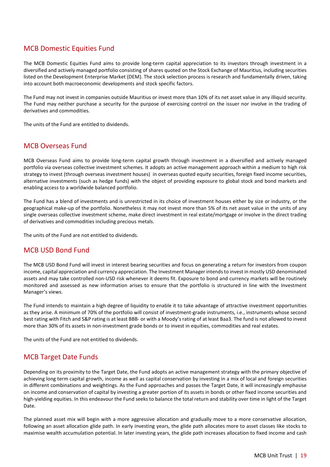#### MCB Domestic Equities Fund

The MCB Domestic Equities Fund aims to provide long-term capital appreciation to its investors through investment in a diversified and actively managed portfolio consisting of shares quoted on the Stock Exchange of Mauritius, including securities listed on the Development Enterprise Market (DEM). The stock selection process is research and fundamentally driven, taking into account both macroeconomic developments and stock specific factors.

The Fund may not invest in companies outside Mauritius or invest more than 10% of its net asset value in any illiquid security. The Fund may neither purchase a security for the purpose of exercising control on the issuer nor involve in the trading of derivatives and commodities.

The units of the Fund are entitled to dividends.

#### MCB Overseas Fund

MCB Overseas Fund aims to provide long-term capital growth through investment in a diversified and actively managed portfolio via overseas collective investment schemes. It adopts an active management approach within a medium to high risk strategy to invest (through overseas investment houses) in overseas quoted equity securities, foreign fixed income securities, alternative investments (such as hedge funds) with the object of providing exposure to global stock and bond markets and enabling access to a worldwide balanced portfolio.

The Fund has a blend of investments and is unrestricted in its choice of investment houses either by size or industry, or the geographical make-up of the portfolio. Nonetheless it may not invest more than 5% of its net asset value in the units of any single overseas collective investment scheme, make direct investment in real estate/mortgage or involve in the direct trading of derivatives and commodities including precious metals.

The units of the Fund are not entitled to dividends.

#### MCB USD Bond Fund

The MCB USD Bond Fund will invest in interest bearing securities and focus on generating a return for investors from coupon income, capital appreciation and currency appreciation. The Investment Manager intends to invest in mostly USD denominated assets and may take controlled non-USD risk whenever it deems fit. Exposure to bond and currency markets will be routinely monitored and assessed as new information arises to ensure that the portfolio is structured in line with the Investment Manager's views.

The Fund intends to maintain a high degree of liquidity to enable it to take advantage of attractive investment opportunities as they arise. A minimum of 70% of the portfolio will consist of investment-grade instruments, i.e., instruments whose second best rating with Fitch and S&P rating is at least BBB- or with a Moody's rating of at least Baa3. The fund is not allowed to invest more than 30% of its assets in non-investment grade bonds or to invest in equities, commodities and real estates.

The units of the Fund are not entitled to dividends.

#### MCB Target Date Funds

Depending on its proximity to the Target Date, the Fund adopts an active management strategy with the primary objective of achieving long term capital growth, income as well as capital conservation by investing in a mix of local and foreign securities in different combinations and weightings. As the Fund approaches and passes the Target Date, it will increasingly emphasise on income and conservation of capital by investing a greater portion of its assets in bonds or other fixed income securities and high-yielding equities. In this endeavour the Fund seeks to balance the total return and stability over time in light of the Target Date.

The planned asset mix will begin with a more aggressive allocation and gradually move to a more conservative allocation, following an asset allocation glide path. In early investing years, the glide path allocates more to asset classes like stocks to maximise wealth accumulation potential. In later investing years, the glide path increases allocation to fixed income and cash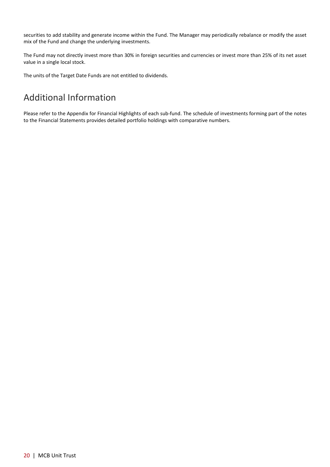securities to add stability and generate income within the Fund. The Manager may periodically rebalance or modify the asset mix of the Fund and change the underlying investments.

The Fund may not directly invest more than 30% in foreign securities and currencies or invest more than 25% of its net asset value in a single local stock.

The units of the Target Date Funds are not entitled to dividends.

# Additional Information

Please refer to the Appendix for Financial Highlights of each sub-fund. The schedule of investments forming part of the notes to the Financial Statements provides detailed portfolio holdings with comparative numbers.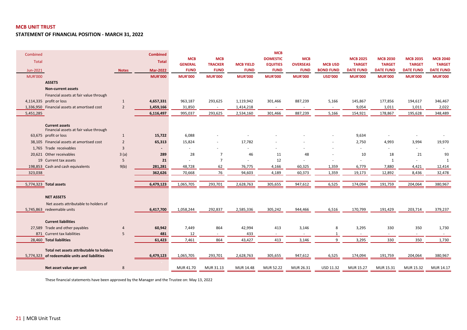**STATEMENT OF FINANCIAL POSITION - MARCH 31, 2022**

| Combined       |                                                                 |                | <b>Combined</b> |                          |                |                  | <b>MCB</b>       |                          |                  |                  |                  |                  |                  |
|----------------|-----------------------------------------------------------------|----------------|-----------------|--------------------------|----------------|------------------|------------------|--------------------------|------------------|------------------|------------------|------------------|------------------|
| <b>Total</b>   |                                                                 |                | <b>Total</b>    | <b>MCB</b>               | <b>MCB</b>     |                  | <b>DOMESTIC</b>  | <b>MCB</b>               |                  | <b>MCB 2025</b>  | <b>MCB 2030</b>  | <b>MCB 2035</b>  | <b>MCB 2040</b>  |
|                |                                                                 |                |                 | <b>GENERAL</b>           | <b>TRACKER</b> | <b>MCB YIELD</b> | <b>EQUITIES</b>  | <b>OVERSEAS</b>          | <b>MCB USD</b>   | <b>TARGET</b>    | <b>TARGET</b>    | <b>TARGET</b>    | <b>TARGET</b>    |
| Jun-2021       |                                                                 | <b>Notes</b>   | <b>Mar-2022</b> | <b>FUND</b>              | <b>FUND</b>    | <b>FUND</b>      | <b>FUND</b>      | <b>FUND</b>              | <b>BOND FUND</b> | <b>DATE FUND</b> | <b>DATE FUND</b> | <b>DATE FUND</b> | <b>DATE FUND</b> |
| <b>MUR'000</b> |                                                                 |                | <b>MUR'000</b>  | <b>MUR'000</b>           | <b>MUR'000</b> | <b>MUR'000</b>   | <b>MUR'000</b>   | <b>MUR'000</b>           | <b>USD'000</b>   | <b>MUR'000</b>   | <b>MUR'000</b>   | <b>MUR'000</b>   | <b>MUR'000</b>   |
|                | <b>ASSETS</b>                                                   |                |                 |                          |                |                  |                  |                          |                  |                  |                  |                  |                  |
|                | <b>Non-current assets</b>                                       |                |                 |                          |                |                  |                  |                          |                  |                  |                  |                  |                  |
|                | Financial assets at fair value through                          |                |                 |                          |                |                  |                  |                          |                  |                  |                  |                  |                  |
|                | 4,114,335 profit or loss                                        | $\mathbf{1}$   | 4,657,331       | 963,187                  | 293,625        | 1,119,942        | 301,466          | 887,239                  | 5,166            | 145,867          | 177,856          | 194,617          | 346,467          |
|                | 1,336,950 Financial assets at amortised cost                    | $\overline{2}$ | 1,459,166       | 31,850                   | $\sim$         | 1,414,218        | $\sim$           | $\overline{\phantom{a}}$ | $\sim$           | 9,054            | 1,011            | 1,011            | 2,022            |
| 5,451,285      |                                                                 |                | 6,116,497       | 995,037                  | 293,625        | 2,534,160        | 301,466          | 887,239                  | 5,166            | 154,921          | 178,867          | 195,628          | 348,489          |
|                |                                                                 |                |                 |                          |                |                  |                  |                          |                  |                  |                  |                  |                  |
|                | <b>Current assets</b><br>Financial assets at fair value through |                |                 |                          |                |                  |                  |                          |                  |                  |                  |                  |                  |
|                | 63,675 profit or loss                                           | $\mathbf{1}$   | 15,722          | 6,088                    |                |                  |                  |                          |                  | 9,634            | $\sim$           |                  |                  |
|                | 38,105 Financial assets at amortised cost                       | $\overline{2}$ | 65,313          | 15,824                   |                | 17,782           |                  |                          |                  | 2,750            | 4,993            | 3,994            | 19,970           |
|                | 1,765 Trade receivables                                         | $\overline{3}$ |                 | $\overline{\phantom{a}}$ |                |                  |                  |                          |                  | $\sim$           |                  |                  |                  |
|                | 20,621 Other receivables                                        | 3(a)           | 289             | 28                       | $\overline{7}$ | 46               | 11               | 48                       |                  | 10               | 18               | 21               | 93               |
|                | 19 Current tax assets                                           | 5              | 21              |                          | $\overline{7}$ |                  | 12               |                          |                  |                  | 1                |                  | $\mathbf{1}$     |
|                | 198,853 Cash and cash equivalents                               | 9(b)           | 281,281         | 48,728                   | 62             | 76,775           | 4,166            | 60,325                   | 1,359            | 6,779            | 7,880            | 4,421            | 12,414           |
| 323,038        |                                                                 |                | 362,626         | 70,668                   | 76             | 94,603           | 4,189            | 60,373                   | 1,359            | 19,173           | 12,892           | 8,436            | 32,478           |
|                |                                                                 |                |                 |                          |                |                  |                  |                          |                  |                  |                  |                  |                  |
|                | 5,774,323 Total assets                                          |                | 6,479,123       | 1,065,705                | 293,701        | 2,628,763        | 305,655          | 947,612                  | 6,525            | 174,094          | 191,759          | 204,064          | 380,967          |
|                |                                                                 |                |                 |                          |                |                  |                  |                          |                  |                  |                  |                  |                  |
|                | <b>NET ASSETS</b>                                               |                |                 |                          |                |                  |                  |                          |                  |                  |                  |                  |                  |
|                | Net assets attributable to holders of                           |                |                 |                          |                |                  |                  |                          |                  |                  |                  |                  |                  |
|                | 5,745,863 redeemable units                                      |                | 6,417,700       | 1,058,244                | 292,837        | 2,585,336        | 305,242          | 944,466                  | 6,516            | 170,799          | 191,429          | 203,714          | 379,237          |
|                |                                                                 |                |                 |                          |                |                  |                  |                          |                  |                  |                  |                  |                  |
|                | <b>Current liabilities</b>                                      |                |                 |                          |                |                  |                  |                          |                  |                  |                  |                  |                  |
|                | 27,589 Trade and other payables                                 | $\overline{4}$ | 60,942          | 7,449                    | 864            | 42,994           | 413              | 3,146                    | 8                | 3,295            | 330              | 350              | 1,730            |
|                | 871 Current tax liabilities                                     | 5              | 481             | 12                       |                | 433              |                  |                          |                  |                  |                  |                  |                  |
|                | 28,460 Total liabilities                                        |                | 61,423          | 7,461                    | 864            | 43,427           | 413              | 3,146                    | 9                | 3,295            | 330              | 350              | 1,730            |
|                | Total net assets attributable to holders                        |                |                 |                          |                |                  |                  |                          |                  |                  |                  |                  |                  |
|                | 5,774,323 of redeemable units and liabilities                   |                | 6,479,123       | 1,065,705                | 293,701        | 2,628,763        | 305,655          | 947,612                  | 6,525            | 174,094          | 191,759          | 204,064          | 380,967          |
|                |                                                                 |                |                 |                          |                |                  |                  |                          |                  |                  |                  |                  |                  |
|                | Net asset value per unit                                        | 8              |                 | MUR 41.70                | MUR 31.13      | MUR 14.48        | <b>MUR 52.22</b> | MUR 26.31                | USD 11.32        | MUR 15.27        | MUR 15.31        | MUR 15.32        | MUR 14.17        |

These financial statements have been approved by the Manager and the Trustee on: May 13, 2022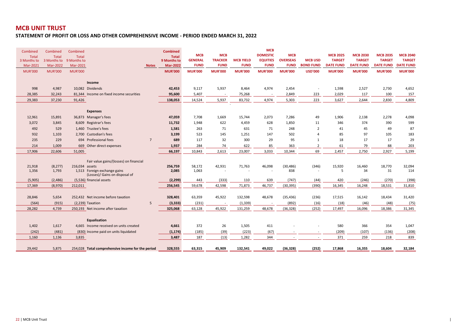**STATEMENT OF PROFIT OR LOSS AND OTHER COMPREHENSIVE INCOME - PERIOD ENDED MARCH 31, 2022**

| Combined        | Combined          | Combined       |                                                   |                | <b>Combined</b>  |                 |                          |                  | <b>MCB</b>      |                 |                                   |                  |                  |                  |                  |
|-----------------|-------------------|----------------|---------------------------------------------------|----------------|------------------|-----------------|--------------------------|------------------|-----------------|-----------------|-----------------------------------|------------------|------------------|------------------|------------------|
| <b>Total</b>    | <b>Total</b>      | <b>Total</b>   |                                                   |                | <b>Total</b>     | <b>MCB</b>      | <b>MCB</b>               |                  | <b>DOMESTIC</b> | <b>MCB</b>      |                                   | <b>MCB 2025</b>  | <b>MCB 2030</b>  | <b>MCB 2035</b>  | <b>MCB 2040</b>  |
| 3 Months to     | 3 Months to       | 9 Months to    |                                                   |                | 9 Months to      | <b>GENERAL</b>  | <b>TRACKER</b>           | <b>MCB YIELD</b> | <b>EQUITIES</b> | <b>OVERSEAS</b> | <b>MCB USD</b>                    | <b>TARGET</b>    | <b>TARGET</b>    | <b>TARGET</b>    | <b>TARGET</b>    |
| Mar-2021        | Mar-2022          | Mar-2021       |                                                   | <b>Notes</b>   | <b>Mar-2022</b>  | <b>FUND</b>     | <b>FUND</b>              | <b>FUND</b>      | <b>FUND</b>     | <b>FUND</b>     | <b>BOND FUND</b>                  | <b>DATE FUND</b> | <b>DATE FUND</b> | <b>DATE FUND</b> | <b>DATE FUND</b> |
| <b>MUR'000</b>  | <b>MUR'000</b>    | <b>MUR'000</b> |                                                   |                | <b>MUR'000</b>   | <b>MUR'000</b>  | <b>MUR'000</b>           | <b>MUR'000</b>   | <b>MUR'000</b>  | <b>MUR'000</b>  | <b>USD'000</b>                    | <b>MUR'000</b>   | <b>MUR'000</b>   | <b>MUR'000</b>   | <b>MUR'000</b>   |
|                 |                   |                |                                                   |                |                  |                 |                          |                  |                 |                 |                                   |                  |                  |                  |                  |
|                 |                   |                | Income                                            |                |                  |                 |                          |                  |                 |                 |                                   |                  |                  |                  |                  |
| 998             | 4,987             |                | 10.082 Dividends                                  |                | 42,453           | 9,117           | 5,937                    | 8,464            | 4,974           | 2,454           | $\overline{\phantom{a}}$          | 1,598            | 2,527            | 2,730            | 4,652            |
| 28,385          | 32,243            |                | 81,344 Income on fixed income securities          |                | 95,600           | 5,407           | $\overline{\phantom{a}}$ | 75,268           |                 | 2,849           | 223                               | 2,029            | 117              | 100              | 157              |
| 29,383          | 37,230            | 91,426         |                                                   |                | 138,053          | 14,524          | 5,937                    | 83,732           | 4,974           | 5,303           | 223                               | 3,627            | 2,644            | 2,830            | 4,809            |
|                 |                   |                |                                                   |                |                  |                 |                          |                  |                 |                 |                                   |                  |                  |                  |                  |
|                 |                   |                | <b>Expenses</b>                                   |                |                  |                 |                          |                  |                 |                 |                                   |                  |                  |                  |                  |
| 12,961          | 15,891            |                | 36,873 Manager's fees                             |                | 47,059           | 7,708           | 1,669                    | 15,744           | 2,073           | 7,286           | 49                                | 1,906            | 2,138            | 2,278            | 4,098            |
| 3,072           | 3,845             |                | 8,609 Registrar's fees                            |                | 11,732           | 1,948           | 622                      | 4,459            | 628             | 1,850           | 11                                | 346              | 374              | 390              | 599              |
| 492             | 529               |                | 1,460 Trustee's fees                              |                | 1,581            | 263             | 71                       | 631              | 71              | 248             | 2                                 | 41               | 45               | 49               | 87               |
| 932             | 1,103             |                | 2,700 Custodian's fees                            |                | 3,199            | 523             | 145                      | 1,251            | 147             | 502             | 4                                 | 85               | 97               | 105              | 183              |
| 235             | 229               |                | 694 Professional fees                             | $\overline{7}$ | 689              | 117             | 32                       | 300              | 29              | 95              | 1                                 | 18               | 17               | 17               | 29               |
| 214             | 1,009             |                | 669 Other direct expenses                         |                | 1,937            | 284             | 74                       | 622              | 85              | 363             | 2                                 | 61               | 79               | 88               | 203              |
| 17,906          | 22,606            | 51,005         |                                                   |                | 66,197           | 10,843          | 2,613                    | 23,007           | 3,033           | 10,344          | 69                                | 2,457            | 2,750            | 2,927            | 5,199            |
|                 |                   |                |                                                   |                |                  |                 |                          |                  |                 |                 |                                   |                  |                  |                  |                  |
|                 |                   |                | Fair value gains/(losses) on financial            |                |                  |                 |                          |                  |                 | (30, 486)       |                                   |                  |                  |                  |                  |
| 21,918<br>1,356 | (8, 277)<br>1,793 | 216,034 assets | 1,513 Foreign exchange gains                      |                | 256,759<br>2,085 | 58,172<br>1,063 | 42,931                   | 71,763           | 46,098          | 838             | (346)<br>$\overline{\phantom{a}}$ | 15,920<br>5      | 16,460<br>34     | 18,770<br>31     | 32,094<br>114    |
|                 |                   |                | (Losses)/ Gains on disposal of                    |                |                  |                 |                          |                  |                 |                 |                                   |                  |                  |                  |                  |
| (5,905)         | (2,486)           |                | (5,536) financial assets                          |                | (2, 299)         | 443             | (333)                    | 110              | 639             | (747)           | (44)                              | 420              | (246)            | (270)            | (398)            |
| 17,369          | (8,970)           | 212,011        |                                                   |                | 256,545          | 59,678          | 42,598                   | 71,873           | 46,737          | (30, 395)       | (390)                             | 16,345           | 16,248           | 18,531           | 31,810           |
|                 |                   |                |                                                   |                |                  |                 |                          |                  |                 |                 |                                   |                  |                  |                  |                  |
| 28,846          | 5,654             |                | 252,432 Net income before taxation                |                | 328,401          | 63,359          | 45,922                   | 132,598          | 48,678          | (35, 436)       | (236)                             | 17,515           | 16,142           | 18,434           | 31,420           |
| (564)           | (915)             |                | (2,239) Taxation                                  | 5              | (3, 333)         | (231)           | $\overline{a}$           | (1, 339)         |                 | (892)           | (16)                              | (18)             | (46)             | (48)             | (75)             |
| 28,282          | 4,739             |                | 250,193 Net income after taxation                 |                | 325,068          | 63,128          | 45,922                   | 131,259          | 48,678          | (36, 328)       | (252)                             | 17,497           | 16,096           | 18,386           | 31,345           |
|                 |                   |                |                                                   |                |                  |                 |                          |                  |                 |                 |                                   |                  |                  |                  |                  |
|                 |                   |                | Equalisation                                      |                |                  |                 |                          |                  |                 |                 |                                   |                  |                  |                  |                  |
| 1,402           | 1,617             |                | 4,665 Income received on units created            |                | 4,661            | 372             | 26                       | 1,505            | 411             |                 | $\sim$                            | 580              | 366              | 354              | 1,047            |
| (242)           | (481)             |                | (830) Income paid on units liquidated             |                | (1, 174)         | (185)           | (39)                     | (223)            | (67)            |                 | $\overline{\phantom{a}}$          | (209)            | (107)            | (136)            | (208)            |
| 1,160           | 1,136             | 3,835          |                                                   |                | 3,487            | 187             | (13)                     | 1,282            | 344             |                 | $\overline{\phantom{a}}$          | 371              | 259              | 218              | 839              |
|                 |                   |                |                                                   |                |                  |                 |                          |                  |                 |                 |                                   |                  |                  |                  |                  |
| 29,442          | 5.875             |                | 254,028 Total comprehensive income for the period |                | 328,555          | 63,315          | 45,909                   | 132,541          | 49,022          | (36, 328)       | (252)                             | 17,868           | 16,355           | 18,604           | 32,184           |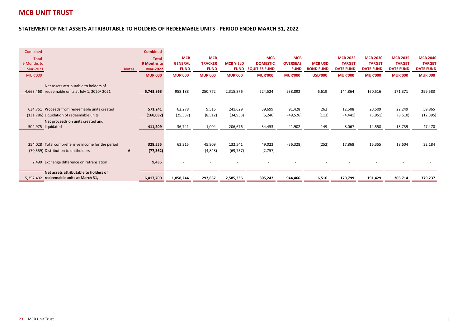**COLLECTION** 

#### **STATEMENT OF NET ASSETS ATTRIBUTABLE TO HOLDERS OF REDEEMABLE UNITS - PERIOD ENDED MARCH 31, 2022**

| Combined                                          |              | <b>Combined</b> |                          |                |                  |                      |                 |                  |                  |                  |                  |                  |
|---------------------------------------------------|--------------|-----------------|--------------------------|----------------|------------------|----------------------|-----------------|------------------|------------------|------------------|------------------|------------------|
| <b>Total</b>                                      |              | <b>Total</b>    | <b>MCB</b>               | <b>MCB</b>     |                  | <b>MCB</b>           | <b>MCB</b>      |                  | <b>MCB 2025</b>  | <b>MCB 2030</b>  | <b>MCB 2035</b>  | <b>MCB 2040</b>  |
| 9 Months to                                       |              | 9 Months to     | <b>GENERAL</b>           | <b>TRACKER</b> | <b>MCB YIELD</b> | <b>DOMESTIC</b>      | <b>OVERSEAS</b> | <b>MCB USD</b>   | <b>TARGET</b>    | <b>TARGET</b>    | <b>TARGET</b>    | <b>TARGET</b>    |
| Mar-2021                                          | <b>Notes</b> | <b>Mar-2022</b> | <b>FUND</b>              | <b>FUND</b>    | <b>FUND</b>      | <b>EQUITIES FUND</b> | <b>FUND</b>     | <b>BOND FUND</b> | <b>DATE FUND</b> | <b>DATE FUND</b> | <b>DATE FUND</b> | <b>DATE FUND</b> |
| <b>MUR'000</b>                                    |              | <b>MUR'000</b>  | <b>MUR'000</b>           | <b>MUR'000</b> | <b>MUR'000</b>   | <b>MUR'000</b>       | <b>MUR'000</b>  | <b>USD'000</b>   | <b>MUR'000</b>   | <b>MUR'000</b>   | <b>MUR'000</b>   | <b>MUR'000</b>   |
|                                                   |              |                 |                          |                |                  |                      |                 |                  |                  |                  |                  |                  |
| Net assets attributable to holders of             |              |                 |                          |                |                  |                      |                 |                  |                  |                  |                  |                  |
| 4,663,468 redeemable units at July 1, 2020/2021   |              | 5,745,863       | 958,188                  | 250,772        | 2,315,876        | 224,524              | 938,892         | 6,619            | 144,864          | 160,516          | 171,371          | 299,583          |
|                                                   |              |                 |                          |                |                  |                      |                 |                  |                  |                  |                  |                  |
|                                                   |              |                 |                          |                |                  |                      |                 |                  |                  |                  |                  |                  |
| 634,761 Proceeds from redeemable units created    |              | 571,241         | 62,278                   | 9,516          | 241,629          | 39,699               | 91,428          | 262              | 12,508           | 20,509           | 22,249           | 59,865           |
| (131,786) Liquidation of redeemable units         |              | (160, 032)      | (25, 537)                | (8, 512)       | (34, 953)        | (5, 246)             | (49, 526)       | (113)            | (4, 441)         | (5,951)          | (8,510)          | (12, 395)        |
| Net proceeds on units created and                 |              |                 |                          |                |                  |                      |                 |                  |                  |                  |                  |                  |
| 502,975 liquidated                                |              | 411,209         | 36,741                   | 1,004          | 206,676          | 34,453               | 41,902          | 149              | 8,067            | 14,558           | 13,739           | 47,470           |
|                                                   |              |                 |                          |                |                  |                      |                 |                  |                  |                  |                  |                  |
|                                                   |              |                 |                          |                |                  |                      |                 |                  |                  |                  |                  |                  |
| 254,028 Total comprehensive income for the period |              | 328,555         | 63,315                   | 45,909         | 132,541          | 49,022               | (36, 328)       | (252)            | 17,868           | 16,355           | 18,604           | 32,184           |
| (70,559) Distribution to unitholders              | 6            | (77, 362)       | $\overline{\phantom{a}}$ | (4,848)        | (69, 757)        | (2,757)              | ٠               |                  |                  |                  |                  |                  |
|                                                   |              |                 |                          |                |                  |                      |                 |                  |                  |                  |                  |                  |
| 2,490 Exchange difference on retranslation        |              | 9,435           |                          |                |                  |                      |                 |                  |                  |                  |                  |                  |
|                                                   |              |                 |                          |                |                  |                      |                 |                  |                  |                  |                  |                  |
| Net assets attributable to holders of             |              |                 |                          |                |                  |                      |                 |                  |                  |                  |                  |                  |
| 5,352,402 redeemable units at March 31,           |              | 6,417,700       | 1,058,244                | 292,837        | 2,585,336        | 305,242              | 944,466         | 6,516            | 170,799          | 191,429          | 203,714          | 379,237          |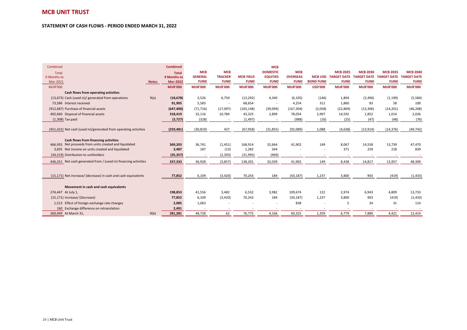#### **STATEMENT OF CASH FLOWS - PERIOD ENDED MARCH 31, 2022**

and the control of the control of the control of the control of the control of the control of the control of the

| Combined           |                                                                  |              | <b>Combined</b> |                          |                |                  | <b>MCB</b>      |                 |                  |                    |                                     |                 |                 |
|--------------------|------------------------------------------------------------------|--------------|-----------------|--------------------------|----------------|------------------|-----------------|-----------------|------------------|--------------------|-------------------------------------|-----------------|-----------------|
| Total              |                                                                  |              | <b>Total</b>    | <b>MCB</b>               | <b>MCB</b>     |                  | <b>DOMESTIC</b> | <b>MCB</b>      |                  | <b>MCB 2025</b>    | <b>MCB 2030</b>                     | <b>MCB 2035</b> | <b>MCB 2040</b> |
| 9 Months to        |                                                                  |              | 9 Months to     | <b>GENERAL</b>           | <b>TRACKER</b> | <b>MCB YIELD</b> | <b>EQUITIES</b> | <b>OVERSEAS</b> | <b>MCB USD</b>   | <b>TARGET DATE</b> | TARGET DATE TARGET DATE TARGET DATE |                 |                 |
| Mar-2021           |                                                                  | <b>Notes</b> | <b>Mar-2022</b> | <b>FUND</b>              | <b>FUND</b>    | <b>FUND</b>      | <b>FUND</b>     | <b>FUND</b>     | <b>BOND FUND</b> | <b>FUND</b>        | <b>FUND</b>                         | <b>FUND</b>     | <b>FUND</b>     |
| <b>MUR'000</b>     |                                                                  |              | <b>MUR'000</b>  | <b>MUR'000</b>           | <b>MUR'000</b> | <b>MUR'000</b>   | <b>MUR'000</b>  | <b>MUR'000</b>  | <b>USD'000</b>   | <b>MUR'000</b>     | <b>MUR'000</b>                      | <b>MUR'000</b>  | <b>MUR'000</b>  |
|                    | Cash flows from operating activities                             |              |                 |                          |                |                  |                 |                 |                  |                    |                                     |                 |                 |
|                    | (13,673) Cash (used in)/ generated from operations               | 9(a)         | (18, 678)       | 3,526                    | 6,750          | (13, 292)        | 4,340           | (6, 105)        | (146)            | 1,804              | (2,496)                             | (1, 199)        | (5, 584)        |
|                    | 73,586 Interest received                                         |              | 91,905          | 5,583                    |                | 68,654           |                 | 4,254           | 311              | 1,860              | 83                                  | 58              | 100             |
|                    | (912,687) Purchase of financial assets                           |              | (647, 400)      | (71, 716)                | (17,097)       | (165, 148)       | (39,094)        | (167, 304)      | (2,058)          | (22, 869)          | (13, 306)                           | (14, 201)       | (46, 208)       |
|                    | 402,660 Disposal of financial assets                             |              | 318,419         | 32,116                   | 10,784         | 43,325           | 2,899           | 78,054          | 2,997            | 14,592             | 1,852                               | 1,014           | 2,026           |
|                    | $(1,308)$ Tax paid                                               |              | (3, 727)        | (328)                    |                | (1, 497)         |                 | (988)           | (16)             | (25)               | (47)                                | (48)            | (76)            |
|                    |                                                                  |              |                 |                          |                |                  |                 |                 |                  |                    |                                     |                 |                 |
|                    | (451,422) Net cash (used in)/generated from operating activities |              | (259, 481)      | (30, 819)                | 437            | (67, 958)        | (31, 855)       | (92,089)        | 1,088            | (4,638)            | (13, 914)                           | (14, 376)       | (49, 742)       |
|                    |                                                                  |              |                 |                          |                |                  |                 |                 |                  |                    |                                     |                 |                 |
|                    | Cash flows from financing activities                             |              |                 |                          |                |                  |                 |                 |                  |                    |                                     |                 |                 |
|                    | 466.935 Net proceeds from units created and liquidated           |              | 369,203         | 36,741                   | (1, 451)       | 168,914          | 32,664          | 41,902          | 149              | 8,067              | 14,558                              | 13,739          | 47,470          |
|                    | 3,835 Net income on units created and liquidated                 |              | 3,487           | 187                      | (13)           | 1,282            | 344             |                 |                  | 371                | 259                                 | 218             | 839             |
|                    | (34,519) Distribution to unitholders                             |              | (35, 357)       | $\overline{\phantom{a}}$ | (2, 393)       | (31, 995)        | (969)           |                 |                  |                    |                                     |                 |                 |
|                    | 436.251 Net cash generated from / (used in) financing activities |              | 337,333         | 36,928                   | (3,857)        | 138,201          | 32,039          | 41,902          | 149              | 8,438              | 14,817                              | 13,957          | 48,309          |
|                    |                                                                  |              |                 |                          |                |                  |                 |                 |                  |                    |                                     |                 |                 |
|                    |                                                                  |              |                 |                          |                |                  |                 |                 |                  |                    |                                     |                 |                 |
|                    | (15.171) Net increase/ (decrease) in cash and cash equivalents   |              | 77,852          | 6,109                    | (3, 420)       | 70,243           | 184             | (50, 187)       | 1,237            | 3,800              | 903                                 | (419)           | (1, 433)        |
|                    |                                                                  |              |                 |                          |                |                  |                 |                 |                  |                    |                                     |                 |                 |
|                    | Movement in cash and cash equivalents                            |              |                 |                          |                |                  |                 |                 |                  |                    |                                     |                 |                 |
| 274,447 At July 1, |                                                                  |              | 198,853         | 41,556                   | 3,482          | 6,532            | 3,982           | 109,674         | 122              | 2,974              | 6,943                               | 4,809           | 13,733          |
|                    | (15,171) Increase/ (Decrease)                                    |              | 77,852          | 6,109                    | (3, 420)       | 70,243           | 184             | (50, 187)       | 1,237            | 3,800              | 903                                 | (419)           | (1, 433)        |
|                    | 1,513 Effect of foreign exchange rate changes                    |              | 2,085           | 1,063                    |                |                  |                 | 838             |                  | 5                  | 34                                  | 31              | 114             |
| 160                | Exchange difference on retranslation                             |              | 2,491           |                          |                |                  |                 |                 |                  |                    |                                     |                 |                 |
|                    | 260,949 At March 31,                                             | 9(b)         | 281,281         | 48,728                   | 62             | 76,775           | 4,166           | 60,325          | 1,359            | 6,779              | 7,880                               | 4,421           | 12,414          |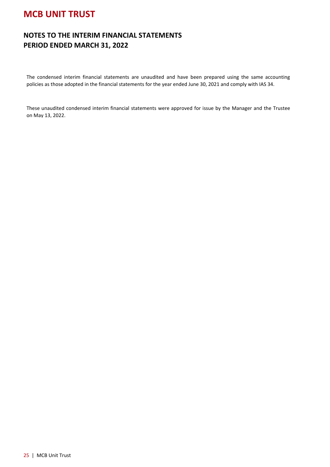### **NOTES TO THE INTERIM FINANCIAL STATEMENTS PERIOD ENDED MARCH 31, 2022**

The condensed interim financial statements are unaudited and have been prepared using the same accounting policies as those adopted in the financial statements for the year ended June 30, 2021 and comply with IAS 34.

These unaudited condensed interim financial statements were approved for issue by the Manager and the Trustee on May 13, 2022.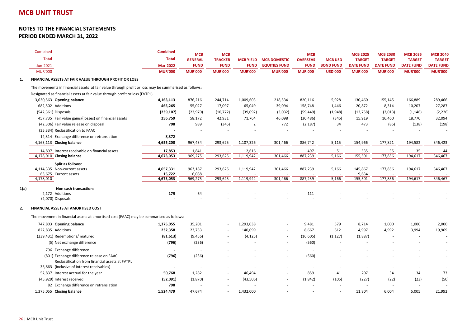#### **NOTES TO THE FINANCIAL STATEMENTSPERIOD ENDED MARCH 31, 2022**

|      | Combined                                                                                             | <b>Combined</b> | <b>MCB</b>     | <b>MCB</b>     |                  |                          | <b>MCB</b>      |                  | <b>MCB 2025</b>  | <b>MCB 2030</b>  | <b>MCB 2035</b>  | <b>MCB 2040</b>  |
|------|------------------------------------------------------------------------------------------------------|-----------------|----------------|----------------|------------------|--------------------------|-----------------|------------------|------------------|------------------|------------------|------------------|
|      | <b>Total</b>                                                                                         | <b>Total</b>    | <b>GENERAL</b> | <b>TRACKER</b> | <b>MCB YIELD</b> | <b>MCB DOMESTIC</b>      | <b>OVERSEAS</b> | <b>MCB USD</b>   | <b>TARGET</b>    | <b>TARGET</b>    | <b>TARGET</b>    | <b>TARGET</b>    |
|      | Jun-2021                                                                                             | <b>Mar-2022</b> | <b>FUND</b>    | <b>FUND</b>    | <b>FUND</b>      | <b>EQUITIES FUND</b>     | <b>FUND</b>     | <b>BOND FUND</b> | <b>DATE FUND</b> | <b>DATE FUND</b> | <b>DATE FUND</b> | <b>DATE FUND</b> |
|      | <b>MUR'000</b>                                                                                       | <b>MUR'000</b>  | <b>MUR'000</b> | <b>MUR'000</b> | <b>MUR'000</b>   | <b>MUR'000</b>           | <b>MUR'000</b>  | <b>USD'000</b>   | <b>MUR'000</b>   | <b>MUR'000</b>   | <b>MUR'000</b>   | <b>MUR'000</b>   |
|      | FINANCIAL ASSETS AT FAIR VALUE THROUGH PROFIT OR LOSS                                                |                 |                |                |                  |                          |                 |                  |                  |                  |                  |                  |
|      | The movements in financial assets at fair value through profit or loss may be summarised as follows: |                 |                |                |                  |                          |                 |                  |                  |                  |                  |                  |
|      | Designated as financial assets at fair value through profit or loss (FVTPL)                          |                 |                |                |                  |                          |                 |                  |                  |                  |                  |                  |
|      | 3,630,563 Opening balance                                                                            | 4,163,113       | 876,216        | 244,714        | 1,009,603        | 218,534                  | 820,116         | 5,928            | 130,460          | 155,145          | 166,889          | 289,466          |
|      | 682,502 Additions                                                                                    | 465,265         | 55,027         | 17,097         | 65,049           | 39,094                   | 158,748         | 1,446            | 20,872           | 8,314            | 10,207           | 27,287           |
|      | (542,361) Disposals                                                                                  | (239, 107)      | (22, 970)      | (10, 772)      | (39,092)         | (3,032)                  | (59, 449)       | (1,948)          | (12, 758)        | (2,013)          | (1, 146)         | (2, 226)         |
|      | 457,735 Fair value gains/(losses) on financial assets                                                | 256,759         | 58,172         | 42,931         | 71,764           | 46,098                   | (30, 486)       | (345)            | 15,919           | 16,460           | 18,770           | 32,094           |
|      | (42,306) Fair value release on disposal                                                              | 798             | 989            | (345)          | $\overline{2}$   | 772                      | (2, 187)        | 34               | 473              | (85)             | (138)            | (198)            |
|      | (35,334) Reclassification to FAAC                                                                    |                 |                |                |                  |                          |                 |                  |                  |                  |                  |                  |
|      | 12,314 Exchange difference on retranslation                                                          | 8,372           |                |                |                  |                          |                 |                  |                  |                  |                  |                  |
|      | 4,163,113 Closing balance                                                                            | 4,655,200       | 967,434        | 293,625        | 1,107,326        | 301,466                  | 886,742         | 5,115            | 154,966          | 177,821          | 194,582          | 346,423          |
|      | 14,897 Interest receivable on financial assets                                                       | 17,853          | 1,841          |                | 12,616           |                          | 497             | 51               | 535              | 35               | 35               | 44               |
|      | 4,178,010 Closing balance                                                                            | 4,673,053       | 969,275        | 293,625        | 1,119,942        | 301,466                  | 887,239         | 5,166            | 155,501          | 177,856          | 194,617          | 346,467          |
|      | Split as follows:                                                                                    |                 |                |                |                  |                          |                 |                  |                  |                  |                  |                  |
|      | 4,114,335 Non-current assets                                                                         | 4,657,331       | 963,187        | 293,625        | 1,119,942        | 301,466                  | 887,239         | 5,166            | 145,867          | 177,856          | 194,617          | 346,467          |
|      | 63,675 Current assets                                                                                | 15,722          | 6,088          |                |                  |                          |                 |                  | 9,634            |                  |                  |                  |
|      | 4,178,010                                                                                            | 4,673,053       | 969,275        | 293,625        | 1,119,942        | 301,466                  | 887,239         | 5,166            | 155,501          | 177,856          | 194,617          | 346,467          |
| 1(a) | Non cash transactions                                                                                |                 |                |                |                  |                          |                 |                  |                  |                  |                  |                  |
|      | 2,172 Additions                                                                                      | 175             | 64             |                |                  |                          | 111             |                  |                  |                  |                  |                  |
|      | (2,070) Disposals                                                                                    |                 |                |                |                  |                          |                 |                  |                  |                  |                  |                  |
|      | FINANCIAL ASSETS AT AMORTISED COST                                                                   |                 |                |                |                  |                          |                 |                  |                  |                  |                  |                  |
|      | The movement in financial assets at amortised cost (FAAC) may be summarised as follows:              |                 |                |                |                  |                          |                 |                  |                  |                  |                  |                  |
|      | 747,803 Opening balance                                                                              | 1,375,055       | 35,201         |                | 1,293,038        |                          | 9,481           | 579              | 8,714            | 1,000            | 1,000            | 2,000            |
|      | 822,835 Additions                                                                                    | 232,358         | 22,753         |                | 140,099          |                          | 8,667           | 612              | 4,997            | 4,992            | 3,994            | 19,969           |
|      | (239,431) Redemptions/ matured                                                                       | (81, 613)       | (9, 456)       |                | (4, 125)         | $\overline{\phantom{a}}$ | (16, 605)       | (1, 127)         | (1,887)          |                  |                  |                  |
|      | (5) Net exchange difference                                                                          | (796)           | (236)          |                |                  |                          | (560)           |                  |                  |                  |                  |                  |
|      | 796 Exchange difference                                                                              |                 | $\sim$         |                |                  |                          |                 |                  |                  |                  |                  |                  |
|      | (801) Exchange difference release on FAAC                                                            | (796)           | (236)          |                |                  | ÷.                       | (560)           |                  |                  |                  |                  |                  |
|      | Reclassification from financial assets at FVTPL                                                      |                 |                |                |                  |                          |                 |                  |                  |                  |                  |                  |
|      | 36,863 (inclusive of interest receivables)                                                           |                 |                |                |                  |                          |                 |                  |                  |                  |                  |                  |
|      | 52,837 Interest accrual for the year                                                                 | 50,768          | 1,282          |                | 46,494           |                          | 859             | 41               | 207              | 34               | 34               | 73               |
|      | (45,929) Interest received                                                                           | (52,091)        | (1,870)        |                | (43,506)         | $\overline{\phantom{a}}$ | (1,842)         | (105)            | (227)            | (22)             | (23)             | (50)             |
|      | 82 Exchange difference on retranslation                                                              | 798             |                |                |                  |                          |                 |                  |                  |                  |                  |                  |
|      | 1,375,055 Closing balance                                                                            | 1,524,479       | 47,674         |                | 1,432,000        |                          |                 |                  | 11,804           | 6,004            | 5,005            | 21,992           |
|      |                                                                                                      |                 |                |                |                  |                          |                 |                  |                  |                  |                  |                  |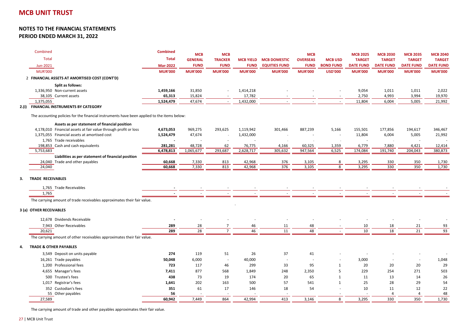|   | Combined<br><b>Total</b><br>Jun-2021                                                               | <b>Combined</b><br><b>Total</b><br><b>Mar-2022</b> | <b>MCB</b><br><b>GENERAL</b><br><b>FUND</b> | <b>MCB</b><br><b>TRACKER</b><br><b>FUND</b> | <b>MCB YIELD</b><br><b>FUND</b> | <b>MCB DOMESTIC</b><br><b>EQUITIES FUND</b> | <b>MCB</b><br><b>OVERSEAS</b><br><b>FUND</b> | <b>MCB USD</b><br><b>BOND FUND</b> | <b>MCB 2025</b><br><b>TARGET</b><br><b>DATE FUND</b> | <b>MCB 2030</b><br><b>TARGET</b><br><b>DATE FUND</b> | <b>MCB 2035</b><br><b>TARGET</b><br><b>DATE FUND</b> | <b>MCB 2040</b><br><b>TARGET</b><br><b>DATE FUND</b> |
|---|----------------------------------------------------------------------------------------------------|----------------------------------------------------|---------------------------------------------|---------------------------------------------|---------------------------------|---------------------------------------------|----------------------------------------------|------------------------------------|------------------------------------------------------|------------------------------------------------------|------------------------------------------------------|------------------------------------------------------|
|   | <b>MUR'000</b>                                                                                     | <b>MUR'000</b>                                     | <b>MUR'000</b>                              | <b>MUR'000</b>                              | <b>MUR'000</b>                  | <b>MUR'000</b>                              | <b>MUR'000</b>                               | <b>USD'000</b>                     | <b>MUR'000</b>                                       | <b>MUR'000</b>                                       | <b>MUR'000</b>                                       | <b>MUR'000</b>                                       |
|   | 2 FINANCIAL ASSETS AT AMORTISED COST (CONT'D)                                                      |                                                    |                                             |                                             |                                 |                                             |                                              |                                    |                                                      |                                                      |                                                      |                                                      |
|   | Split as follows:                                                                                  |                                                    |                                             |                                             |                                 |                                             |                                              |                                    |                                                      |                                                      |                                                      |                                                      |
|   | 1,336,950 Non-current assets                                                                       | 1,459,166                                          | 31,850                                      |                                             | 1,414,218                       |                                             |                                              |                                    | 9,054                                                | 1,011                                                | 1,011                                                | 2,022                                                |
|   | 38,105 Current assets                                                                              | 65,313                                             | 15,824                                      |                                             | 17,782                          |                                             |                                              |                                    | 2,750                                                | 4,993                                                | 3,994                                                | 19,970                                               |
|   | 1,375,055                                                                                          | 1,524,479                                          | 47,674                                      |                                             | 1,432,000                       |                                             |                                              |                                    | 11,804                                               | 6,004                                                | 5,005                                                | 21,992                                               |
|   | <b>FINANCIAL INSTRUMENTS BY CATEGORY</b>                                                           |                                                    |                                             |                                             |                                 |                                             |                                              |                                    |                                                      |                                                      |                                                      |                                                      |
|   | The accounting policies for the financial instruments have been applied to the items below:        |                                                    |                                             |                                             |                                 |                                             |                                              |                                    |                                                      |                                                      |                                                      |                                                      |
|   | Assets as per statement of financial position                                                      |                                                    |                                             |                                             |                                 |                                             |                                              |                                    |                                                      |                                                      |                                                      |                                                      |
|   | 4,178,010 Financial assets at fair value through profit or loss                                    | 4,673,053                                          | 969,275                                     | 293,625                                     | 1,119,942                       | 301,466                                     | 887,239                                      | 5,166                              | 155,501                                              | 177,856                                              | 194,617                                              | 346,467                                              |
|   | 1,375,055 Financial assets at amortised cost                                                       | 1,524,479                                          | 47,674                                      |                                             | 1,432,000                       |                                             |                                              |                                    | 11,804                                               | 6,004                                                | 5,005                                                | 21,992                                               |
|   | 1,765 Trade receivables                                                                            |                                                    |                                             |                                             |                                 |                                             |                                              |                                    |                                                      |                                                      |                                                      |                                                      |
|   | 198,853 Cash and cash equivalents                                                                  | 281,281                                            | 48,728                                      | 62                                          | 76,775                          | 4,166                                       | 60,325                                       | 1,359                              | 6,779                                                | 7,880                                                | 4,421                                                | 12,414                                               |
|   | 5,753,683                                                                                          | 6,478,813                                          | 1,065,677                                   | 293,687                                     | 2,628,717                       | 305,632                                     | 947,564                                      | 6,525                              | 174,084                                              | 191,740                                              | 204,043                                              | 380,873                                              |
|   | Liabilities as per statement of financial position                                                 |                                                    |                                             |                                             |                                 |                                             |                                              |                                    |                                                      |                                                      |                                                      |                                                      |
|   | 24,040 Trade and other payables<br>24,040                                                          | 60,668<br>60,668                                   | 7,330<br>7,330                              | 813<br>813                                  | 42,968<br>42,968                | 376<br>376                                  | 3,105<br>3,105                               | 8<br>8                             | 3,295<br>3,295                                       | 330<br>330                                           | 350<br>350                                           | 1,730<br>1,730                                       |
|   | <b>TRADE RECEIVABLES</b><br>1,765 Trade Receivables                                                |                                                    |                                             |                                             |                                 |                                             |                                              |                                    |                                                      |                                                      |                                                      |                                                      |
|   | 1,765                                                                                              |                                                    |                                             |                                             |                                 |                                             |                                              |                                    |                                                      |                                                      |                                                      |                                                      |
|   | The carrying amount of trade receivables approximates their fair value.<br>3 (a) OTHER RECEIVABLES |                                                    |                                             |                                             |                                 |                                             |                                              |                                    |                                                      |                                                      |                                                      |                                                      |
|   | 12,678 Dividends Receivable                                                                        |                                                    |                                             |                                             |                                 |                                             |                                              |                                    |                                                      |                                                      |                                                      |                                                      |
|   | 7,943 Other Receivables                                                                            | 289                                                | 28                                          |                                             | 46                              | 11                                          | 48                                           |                                    | 10                                                   | 18                                                   | 21                                                   | 93                                                   |
|   | 20,621                                                                                             | 289                                                | 28                                          | $\overline{7}$                              | 46                              | 11                                          | 48                                           |                                    | 10                                                   | 18                                                   | 21                                                   | 93                                                   |
|   | The carrying amount of other receivables approximates their fair value.                            |                                                    |                                             |                                             |                                 |                                             |                                              |                                    |                                                      |                                                      |                                                      |                                                      |
| 4 | <b>TRADE &amp; OTHER PAYABLES</b>                                                                  |                                                    |                                             |                                             |                                 |                                             |                                              |                                    |                                                      |                                                      |                                                      |                                                      |
|   | 3,549 Deposit on units payable                                                                     | 274                                                | 119                                         | 51                                          | 26                              | 37                                          | 41                                           |                                    |                                                      |                                                      |                                                      |                                                      |
|   | 16,261 Trade payables                                                                              | 50,048                                             | 6,000                                       |                                             | 40,000                          |                                             |                                              |                                    | 3,000                                                |                                                      |                                                      | 1,048                                                |
|   | 1,200 Professional fees                                                                            | 723                                                | 117                                         | 46                                          | 299                             | 33                                          | 95                                           | $\mathbf{1}$                       | 20                                                   | 20                                                   | 20                                                   | 29                                                   |
|   | 4,655 Manager's fees                                                                               | 7,411                                              | 877                                         | 568                                         | 1,849                           | 248                                         | 2,350                                        | 5                                  | 229                                                  | 254                                                  | 271                                                  | 503                                                  |
|   | 500 Trustee's fees                                                                                 | 438                                                | 73                                          | 19                                          | 174                             | 20                                          | 65                                           | $\mathbf{1}$                       | 11                                                   | 13                                                   | 14                                                   | 26                                                   |
|   | 1,017 Registrar's fees                                                                             | 1,641                                              | 202                                         | 163                                         | 500                             | 57                                          | 541                                          | $\mathbf{1}$                       | 25                                                   | 28                                                   | 29                                                   | 54                                                   |
|   | 352 Custodian's fees                                                                               | 351                                                | 61                                          | 17                                          | 146                             | 18                                          | 54                                           |                                    | 10                                                   | 11                                                   | 12                                                   | 22                                                   |
|   | 55 Other payables                                                                                  | 56                                                 |                                             |                                             |                                 |                                             |                                              |                                    |                                                      | $\overline{4}$                                       | $\overline{4}$                                       | 48                                                   |
|   | 27,589                                                                                             | 60,942                                             | 7,449                                       | 864                                         | 42,994                          | 413                                         | 3,146                                        | 8                                  | 3,295                                                | 330                                                  | 350                                                  | 1,730                                                |

The carrying amount of trade and other payables approximates their fair value.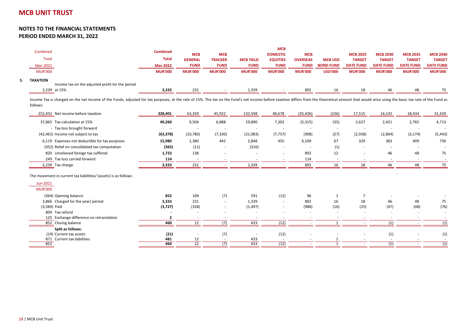|    | Combined<br><b>Total</b>                                            | <b>Combined</b><br><b>Total</b> | <b>MCB</b><br><b>GENERAL</b> | <b>MCB</b><br><b>TRACKER</b> | <b>MCB YIELD</b> | <b>MCB</b><br><b>DOMESTIC</b><br><b>EQUITIES</b> | <b>MCB</b><br><b>OVERSEAS</b> | <b>MCB USD</b>   | <b>MCB 2025</b><br><b>TARGET</b> | <b>MCB 2030</b><br><b>TARGET</b> | <b>MCB 2035</b><br><b>TARGET</b> | <b>MCB 2040</b><br><b>TARGET</b> |
|----|---------------------------------------------------------------------|---------------------------------|------------------------------|------------------------------|------------------|--------------------------------------------------|-------------------------------|------------------|----------------------------------|----------------------------------|----------------------------------|----------------------------------|
|    | Mar-2021                                                            | <b>Mar-2022</b>                 | <b>FUND</b>                  | <b>FUND</b>                  | <b>FUND</b>      | <b>FUND</b>                                      | <b>FUND</b>                   | <b>BOND FUND</b> | <b>DATE FUND</b>                 | <b>DATE FUND</b>                 | <b>DATE FUND</b>                 | <b>DATE FUND</b>                 |
|    | <b>MUR'000</b>                                                      | <b>MUR'000</b>                  | <b>MUR'000</b>               | <b>MUR'000</b>               | <b>MUR'000</b>   | <b>MUR'000</b>                                   | <b>MUR'000</b>                | <b>USD'000</b>   | <b>MUR'000</b>                   | <b>MUR'000</b>                   | <b>MUR'000</b>                   | <b>MUR'000</b>                   |
| 5. | <b>TAXATION</b><br>Income tax on the adjusted profit for the period |                                 |                              |                              |                  |                                                  |                               |                  |                                  |                                  |                                  |                                  |
|    | 2,239 at 15%                                                        | 3,333                           | 231                          |                              | 1,339            |                                                  | 892                           | 16               | 18                               | 46                               | 48                               |                                  |

Income Tax is charged on the net income of the Funds, adjusted for tax purposes, at the rate of 15%. The tax on the Fund's net income before taxation differs from the theoretical amount that would arise using the basic tax follows:

| 252,432 Net income before taxation                   | 328,401           | 63,359       | 45,922                   | 132,598           | 48,678                        | (35, 436)                | (236)      | 17,515     | 16,142     | 18,434     | 31,420     |
|------------------------------------------------------|-------------------|--------------|--------------------------|-------------------|-------------------------------|--------------------------|------------|------------|------------|------------|------------|
| 37,865 Tax calculation at 15%                        | 49,260            | 9,504        | 6,888                    | 19,890            | 7,302                         | (5, 315)                 | (35)       | 2,627      | 2,421      | 2,765      | 4,713      |
| - Tax loss brought forward                           |                   |              |                          |                   | $\overline{\phantom{a}}$      |                          |            |            |            |            |            |
| (42,462) Income not subject to tax                   | (63, 378)         | (10, 780)    | (7, 330)                 | (21,083)          | (7, 757)                      | (908)                    | (27)       | (2,938)    | (2,804)    | (3, 174)   | (5, 443)   |
| 6,119 Expenses not deductible for tax purposes       | 15,980            | 1,380        | 442                      | 2,848             | 455                           | 6,109                    | 67         | 329        | 383        | 409        | 730        |
| (352) Relief on consolidated tax computation         | (365)             | (11)         | $\overline{\phantom{a}}$ | (316)             | $\sim$                        |                          | (1)        |            |            |            |            |
| 820 Unrelieved foreign tax suffered                  | 1,722             | 138          |                          |                   |                               | 892                      | 12         |            | 46         | 48         | 75         |
| 249 Tax loss carried forward                         | 114               |              |                          |                   |                               | 114                      |            |            |            |            |            |
| 2,239 Tax charge                                     | 3,333             | 231          |                          | 1,339             |                               | 892                      | 16         | 18         | 46         | 48         | 75         |
| Jun-2021<br><b>MUR'000</b>                           |                   |              |                          |                   |                               |                          |            |            |            |            |            |
|                                                      |                   |              |                          |                   |                               |                          |            |            |            |            |            |
| (364) Opening balance                                | 852               | 109          | (7)                      | 591               | (12)                          | 96                       |            |            |            |            |            |
| 3,866 Charged for the year/ period<br>$(3,584)$ Paid | 3,333<br>(3, 727) | 231<br>(328) |                          | 1,339<br>(1, 497) | $\overline{\phantom{a}}$<br>٠ | 892<br>(988)             | 16<br>(16) | 18<br>(25) | 46<br>(47) | 48<br>(48) | 75<br>(76) |
| 809 Tax refund                                       |                   |              |                          |                   |                               |                          |            |            |            |            |            |
| 125 Exchange difference on retranslation             |                   |              |                          |                   |                               | $\overline{\phantom{a}}$ |            |            |            |            |            |
| 852 Closing balance                                  | 460               | 12           | (7)                      | 433               | (12)                          |                          |            |            | (1)        |            | (1)        |
| Split as follows:                                    |                   |              |                          |                   |                               |                          |            |            |            |            |            |
| (19) Current tax assets                              | (21)              |              | (7)                      |                   | (12)                          |                          |            |            | (1)        |            | (1)        |
| 871 Current tax liabilities                          | 481               | 12           |                          | 433               |                               |                          |            |            |            |            |            |
| 852                                                  | 460               | 12           | (7)                      | 433               | (12)                          | $\overline{\phantom{a}}$ |            |            | (1)        |            | (1)        |

<u>2 (1) - (1) - (1) - (1) - (1) - (1) - (1) - (1) - (1) - (1) - (1) - (1) - (1) - (1) - (1) - (1) - (1) - (1)</u> - (1) - (1) - (1) - (1) - (1) - (1) - (1) - (1) - (1) - (1) - (1) - (1) - (1) - (1) - (1) - (1) - (1) - (1) - (1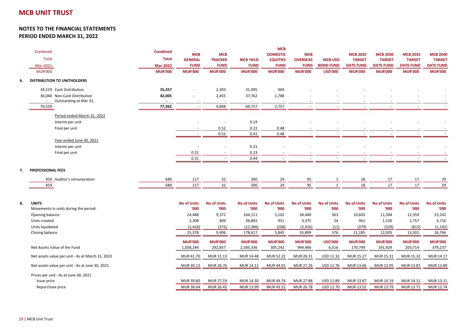#### **NOTES TO THE FINANCIAL STATEMENTSPERIOD ENDED MARCH 31, 2022**

| Combined<br><b>Total</b><br>Mar-2021<br><b>MUR'000</b> | <b>Combined</b><br><b>Total</b><br><b>Mar-2022</b><br><b>MUR'000</b> | <b>MCB</b><br><b>GENERAL</b><br><b>FUND</b><br><b>MUR'000</b> | <b>MCB</b><br><b>TRACKER</b><br><b>FUND</b><br><b>MUR'000</b> | <b>MCB YIELD</b><br><b>FUND</b><br><b>MUR'000</b> | <b>MCB</b><br><b>DOMESTIC</b><br><b>EQUITIES</b><br><b>FUND</b><br><b>MUR'000</b> | <b>MCB</b><br><b>OVERSEAS</b><br><b>FUND</b><br><b>MUR'000</b> | <b>MCB USD</b><br><b>BOND FUND</b><br><b>USD'000</b> | <b>MCB 2025</b><br><b>TARGET</b><br><b>DATE FUND</b><br><b>MUR'000</b> | <b>MCB 2030</b><br><b>TARGET</b><br><b>DATE FUND</b><br><b>MUR'000</b> | <b>MCB 2035</b><br><b>TARGET</b><br><b>DATE FUND</b><br><b>MUR'000</b> | <b>MCB 2040</b><br><b>TARGET</b><br><b>DATE FUND</b><br><b>MUR'000</b> |
|--------------------------------------------------------|----------------------------------------------------------------------|---------------------------------------------------------------|---------------------------------------------------------------|---------------------------------------------------|-----------------------------------------------------------------------------------|----------------------------------------------------------------|------------------------------------------------------|------------------------------------------------------------------------|------------------------------------------------------------------------|------------------------------------------------------------------------|------------------------------------------------------------------------|
| <b>DISTRIBUTION TO UNITHOLDERS</b>                     |                                                                      |                                                               |                                                               |                                                   |                                                                                   |                                                                |                                                      |                                                                        |                                                                        |                                                                        |                                                                        |
|                                                        |                                                                      |                                                               |                                                               |                                                   |                                                                                   |                                                                |                                                      |                                                                        |                                                                        |                                                                        |                                                                        |
| 34,519 Cash Distribution                               | 35,357                                                               | ×.                                                            | 2,393                                                         | 31,995                                            | 969                                                                               |                                                                |                                                      |                                                                        |                                                                        |                                                                        |                                                                        |
| 36,040 Non-Cash Distribution<br>Outstanding at Mar 31, | 42,005                                                               |                                                               | 2,455                                                         | 37,762                                            | 1,788                                                                             |                                                                |                                                      |                                                                        |                                                                        |                                                                        |                                                                        |
| 70,559                                                 | 77,362                                                               | $\overline{\phantom{a}}$                                      | 4,848                                                         | 69,757                                            | 2,757                                                                             | $\sim$                                                         |                                                      | $\overline{\phantom{a}}$                                               |                                                                        |                                                                        |                                                                        |
| Period ended March 31, 2022                            |                                                                      |                                                               |                                                               |                                                   |                                                                                   |                                                                |                                                      |                                                                        |                                                                        |                                                                        |                                                                        |
| Interim per unit                                       |                                                                      |                                                               |                                                               | 0.19                                              |                                                                                   |                                                                |                                                      |                                                                        |                                                                        |                                                                        |                                                                        |
| Final per unit                                         |                                                                      |                                                               | 0.52                                                          | 0.22                                              | 0.48                                                                              |                                                                |                                                      |                                                                        |                                                                        |                                                                        |                                                                        |
|                                                        |                                                                      |                                                               | 0.52                                                          | 0.41                                              | 0.48                                                                              |                                                                |                                                      |                                                                        |                                                                        |                                                                        |                                                                        |
| Year ended June 30, 2021                               |                                                                      |                                                               |                                                               |                                                   |                                                                                   |                                                                |                                                      |                                                                        |                                                                        |                                                                        |                                                                        |
| Interim per unit                                       |                                                                      |                                                               |                                                               | 0.21                                              |                                                                                   |                                                                |                                                      |                                                                        |                                                                        |                                                                        |                                                                        |
| Final per unit                                         |                                                                      | 0.31                                                          |                                                               | 0.23                                              |                                                                                   |                                                                |                                                      |                                                                        |                                                                        |                                                                        |                                                                        |
|                                                        |                                                                      | 0.31                                                          | $\sim$                                                        | 0.44                                              | $\sim$                                                                            | ٠                                                              | ٠                                                    | $\sim$                                                                 |                                                                        | $\sim$                                                                 |                                                                        |
| <b>PROFESSIONAL FEES</b>                               |                                                                      |                                                               |                                                               |                                                   |                                                                                   |                                                                |                                                      |                                                                        |                                                                        |                                                                        |                                                                        |
| 459 Auditor's remuneration                             | 689                                                                  | 117                                                           | 32                                                            | 300                                               | 29                                                                                | 95                                                             | 1                                                    | 18                                                                     | 17                                                                     | 17                                                                     | 29                                                                     |
| 459                                                    | 689                                                                  | 117                                                           | 32                                                            | 300                                               | 29                                                                                | 95                                                             | 1                                                    | 18                                                                     | 17                                                                     | 17                                                                     | 29                                                                     |
|                                                        |                                                                      |                                                               |                                                               |                                                   |                                                                                   |                                                                |                                                      |                                                                        |                                                                        |                                                                        |                                                                        |
| <b>UNITS</b>                                           |                                                                      | <b>No of Units</b>                                            | <b>No of Units</b>                                            | <b>No of Units</b>                                | <b>No of Units</b>                                                                | <b>No of Units</b>                                             | <b>No of Units</b>                                   | <b>No of Units</b>                                                     | <b>No of Units</b>                                                     | <b>No of Units</b>                                                     | <b>No of Units</b>                                                     |
| Movements in units during the period:                  |                                                                      | '000                                                          | '000                                                          | '000                                              | '000                                                                              | '000                                                           | '000                                                 | '000                                                                   | '000                                                                   | '000'                                                                  | '000                                                                   |
| Opening balance                                        |                                                                      | 24,488                                                        | 9,372                                                         | 164,111                                           | 5,102                                                                             | 34,440                                                         | 563                                                  | 10,603                                                                 | 11,504                                                                 | 12,359                                                                 | 23,242                                                                 |
| Units created                                          |                                                                      | 2,308                                                         | 409                                                           | 26,892                                            | 951                                                                               | 4,375                                                          | 24                                                   | 961                                                                    | 1,530                                                                  | 1,757                                                                  | 4,716                                                                  |
| Units liquidated                                       |                                                                      | (1, 418)                                                      | (375)                                                         | (12, 386)                                         | (208)                                                                             | (2,916)                                                        | (11)                                                 | (379)                                                                  | (529)                                                                  | (815)                                                                  | (1, 192)                                                               |
| Closing balance                                        |                                                                      | 25,378                                                        | 9,406                                                         | 178,617                                           | 5,845                                                                             | 35,899                                                         | 576                                                  | 11,185                                                                 | 12,505                                                                 | 13,301                                                                 | 26,766                                                                 |
|                                                        |                                                                      | <b>MUR'000</b>                                                | <b>MUR'000</b>                                                | <b>MUR'000</b>                                    | <b>MUR'000</b>                                                                    | <b>MUR'000</b>                                                 | <b>USD'000</b>                                       | <b>MUR'000</b>                                                         | <b>MUR'000</b>                                                         | <b>MUR'000</b>                                                         | <b>MUR'000</b>                                                         |
| Net Assets Value of the Fund                           |                                                                      | 1,058,244                                                     | 292,837                                                       | 2,585,336                                         | 305,242                                                                           | 944,466                                                        | 6,516                                                | 170,799                                                                | 191,429                                                                | 203,714                                                                | 379,237                                                                |
| Net assets value per unit - As at March 31, 2022       |                                                                      | MUR 41.70                                                     | MUR 31.13                                                     | MUR 14.48                                         | <b>MUR 52.22</b>                                                                  | MUR 26.31                                                      | USD 11.32                                            | MUR 15.27                                                              | MUR 15.31                                                              | MUR 15.32                                                              | MUR 14.17                                                              |
| Net assets value per unit - As at June 30, 2021        |                                                                      | MUR 39.13                                                     | MUR 26.76                                                     | MUR 14.11                                         | MUR 44.01                                                                         | MUR 27.26                                                      | USD 11.76                                            | MUR 13.66                                                              | MUR 13.95                                                              | MUR 13.87                                                              | MUR 12.89                                                              |
| Prices per unit - As at June 30, 2021                  |                                                                      |                                                               |                                                               |                                                   |                                                                                   |                                                                |                                                      |                                                                        |                                                                        |                                                                        |                                                                        |
| Issue price                                            |                                                                      | MUR 39.80                                                     | MUR 27.19                                                     | MUR 14.30                                         | <b>MUR 44.74</b>                                                                  | <b>MUR 27.88</b>                                               | USD 11.89                                            | MUR 13.87                                                              | MUR 14.19                                                              | MUR 14.11                                                              | MUR 13.11                                                              |
| Repurchase price                                       |                                                                      | MUR 38.64                                                     | MUR 26.45                                                     | MUR 13.99                                         | MUR 43.51                                                                         | MUR 26.78                                                      | USD 11.70                                            | MUR 13.52                                                              | MUR 13.79                                                              | MUR 13.71                                                              | MUR 12.74                                                              |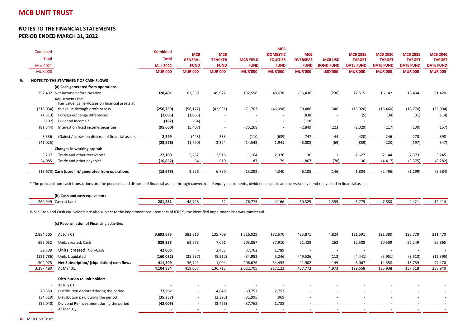|                |                                                                      |                 |                |                |                  | <b>MCB</b>               |                 |                          |                  |                  |                          |                  |
|----------------|----------------------------------------------------------------------|-----------------|----------------|----------------|------------------|--------------------------|-----------------|--------------------------|------------------|------------------|--------------------------|------------------|
| Combined       |                                                                      | <b>Combined</b> | <b>MCB</b>     | <b>MCB</b>     |                  | <b>DOMESTIC</b>          | <b>MCB</b>      |                          | <b>MCB 2025</b>  | <b>MCB 2030</b>  | <b>MCB 2035</b>          | <b>MCB 2040</b>  |
| Total          |                                                                      | <b>Total</b>    | <b>GENERAL</b> | <b>TRACKER</b> | <b>MCB YIELD</b> | <b>EQUITIES</b>          | <b>OVERSEAS</b> | <b>MCB USD</b>           | <b>TARGET</b>    | <b>TARGET</b>    | <b>TARGET</b>            | <b>TARGET</b>    |
| Mar-2021       |                                                                      | <b>Mar-2022</b> | <b>FUND</b>    | <b>FUND</b>    | <b>FUND</b>      | <b>FUND</b>              | <b>FUND</b>     | <b>BOND FUND</b>         | <b>DATE FUND</b> | <b>DATE FUND</b> | <b>DATE FUND</b>         | <b>DATE FUND</b> |
| <b>MUR'000</b> |                                                                      | <b>MUR'000</b>  | <b>MUR'000</b> | <b>MUR'000</b> | <b>MUR'000</b>   | <b>MUR'000</b>           | <b>MUR'000</b>  | <b>USD'000</b>           | <b>MUR'000</b>   | <b>MUR'000</b>   | <b>MUR'000</b>           | <b>MUR'000</b>   |
|                | NOTES TO THE STATEMENT OF CASH FLOWS                                 |                 |                |                |                  |                          |                 |                          |                  |                  |                          |                  |
|                | (a) Cash generated from operations                                   |                 |                |                |                  |                          |                 |                          |                  |                  |                          |                  |
|                | 252,432 Net income before taxation                                   | 328,401         | 63,359         | 45,922         | 132,598          | 48,678                   | (35, 436)       | (236)                    | 17,515           | 16,142           | 18,434                   | 31,420           |
|                | Adjustments for:<br>Fair value (gains)/losses on financial assets at |                 |                |                |                  |                          |                 |                          |                  |                  |                          |                  |
| (216,034)      | fair value through profit or loss                                    | (256, 759)      | (58, 172)      | (42, 931)      | (71, 763)        | (46,098)                 | 30,486          | 346                      | (15,920)         | (16, 460)        | (18, 770)                | (32,094)         |
| (1, 513)       | Foreign exchange differences                                         | (2,085)         | (1,063)        | ٠              | ٠                | $\overline{\phantom{a}}$ | (838)           | $\sim$                   | (5)              | (34)             | (31)                     | (114)            |
| (102)          | Dividend Income *                                                    | (182)           | (64)           | ٠              |                  | $\sim$                   | (118)           | $\overline{\phantom{a}}$ |                  |                  | $\overline{\phantom{a}}$ |                  |
| (81, 344)      | Interest on fixed income securities                                  | (95,600)        | (5,407)        | ٠              | (75, 268)        | $\sim$                   | (2,849)         | (223)                    | (2,029)          | (117)            | (100)                    | (157)            |
| 5,536          | (Gains) / Losses on disposal of financial assets                     | 2,299           | (443)          | 333            | (110)            | (639)                    | 747             | 44                       | (420)            | 246              | 270                      | 398              |
| (41, 025)      |                                                                      | (23, 926)       | (1,790)        | 3,324          | (14, 543)        | 1,941                    | (8,008)         | (69)                     | (859)            | (223)            | (197)                    | (547)            |
|                | Changes in working capital:                                          |                 |                |                |                  |                          |                 |                          |                  |                  |                          |                  |
| 3,267          | Trade and other receivables                                          | 22,100          | 5,252          | 2,916          | 1,164            | 2,320                    | 36              |                          | 2,627            | 2,144            | 2,373                    | 3,245            |
| 24,085         | Trade and other payables                                             | (16, 852)       | 64             | 510            | 87               | 79                       | 1,867           | (78)                     | 36               | (4, 417)         | (3, 375)                 | (8, 282)         |
|                | (13,673) Cash (used in)/ generated from operations                   | (18, 678)       | 3,526          | 6,750          | (13, 292)        | 4,340                    | (6, 105)        | (146)                    | 1,804            | (2, 496)         | (1, 199)                 | (5, 584)         |
|                |                                                                      |                 |                |                |                  |                          |                 |                          |                  |                  |                          |                  |

\* The principal non-cash transactions are the purchase and disposal of financial assets through conversion of equity instruments, dividend in specie and overseas dividend reinvested in financial assets.

|           | (b) Cash and cash equivalents                                                                                                             |            |           |          |           |          |                          |       |          |         |                          |           |
|-----------|-------------------------------------------------------------------------------------------------------------------------------------------|------------|-----------|----------|-----------|----------|--------------------------|-------|----------|---------|--------------------------|-----------|
|           | 260,949 Cash at bank                                                                                                                      | 281,281    | 48,728    | 62       | 76,775    | 4,166    | 60,325                   | 1,359 | 6,779    | 7,880   | 4,421                    | 12,414    |
|           | While Cash and Cash equivalents are also subject to the impairment requirements of IFRS 9, the identified impairment loss was immaterial. |            |           |          |           |          |                          |       |          |         |                          |           |
|           | (c) Reconciliation of Financing activities                                                                                                |            |           |          |           |          |                          |       |          |         |                          |           |
| 2,884,505 | At July 01,                                                                                                                               | 3,693,675  | 382,316   | 135,709  | 1,816,029 | 182,670  | 425,871                  | 4,824 | 121,591  | 121,380 | 123,779                  | 211,470   |
| 595,052   | Units created: Cash                                                                                                                       | 529,235    | 62,278    | 7,061    | 203,867   | 37,910   | 91,428                   | 262   | 12,508   | 20,509  | 22,249                   | 59,865    |
| 39,709    | Units created: Non-Cash                                                                                                                   | 42,006     |           | 2,455    | 37,762    | 1,789    | $\overline{\phantom{a}}$ |       |          |         |                          |           |
| (131,786) | Units Liquidated                                                                                                                          | (160, 032) | (25, 537) | (8, 512) | (34, 953) | (5, 246) | (49, 526)                | (113) | (4, 441) | (5,951) | (8,510)                  | (12, 395) |
| 502,975   | Net Subscription/ (Liquidation) cash flows                                                                                                | 411,209    | 36,741    | 1,004    | 206,676   | 34,453   | 41,902                   | 149   | 8,067    | 14,558  | 13,739                   | 47,470    |
| 3,387,480 | At Mar 31,                                                                                                                                | 4,104,884  | 419,057   | 136,713  | 2,022,705 | 217,123  | 467,773                  | 4,973 | 129,658  | 135,938 | 137,518                  | 258,940   |
|           | Distribution to unit holders                                                                                                              |            |           |          |           |          |                          |       |          |         |                          |           |
|           | At July 01,                                                                                                                               |            |           |          |           |          |                          |       |          |         |                          |           |
| 70,559    | Distribution declared during the period                                                                                                   | 77,362     | ٠         | 4,848    | 69,757    | 2,757    |                          |       |          |         | $\overline{\phantom{a}}$ |           |
| (34, 519) | Distribution paid during the period                                                                                                       | (35, 357)  | $\sim$    | (2, 393) | (31,995)  | (969)    | $\sim$                   |       |          |         | $\overline{\phantom{a}}$ |           |
| (36,040)  | Dividend Re-investment during the period                                                                                                  | (42,005)   |           | (2, 455) | (37, 762) | (1,788)  |                          |       |          |         |                          |           |
|           | At Mar 31,                                                                                                                                |            |           |          |           |          |                          |       |          |         |                          |           |
|           |                                                                                                                                           |            |           |          |           |          |                          |       |          |         |                          |           |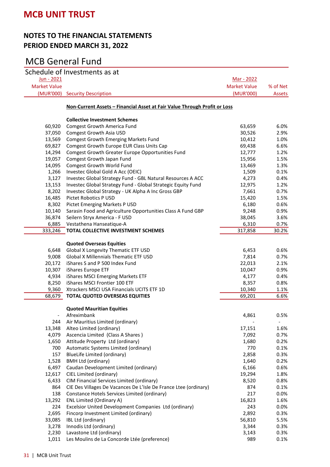### **NOTES TO THE FINANCIAL STATEMENTS PERIOD ENDED MARCH 31, 2022**

|                     | Schedule of Investments as at                                                     |                     |              |
|---------------------|-----------------------------------------------------------------------------------|---------------------|--------------|
| Jun - 2021          |                                                                                   | <u>Mar - 2022</u>   |              |
| <b>Market Value</b> |                                                                                   | <b>Market Value</b> | % of Net     |
| (MUR'000)           | <b>Security Description</b>                                                       | (MUR'000)           | Assets       |
|                     | <u> Non-Current Assets - Financial Asset at Fair Value Through Profit or Loss</u> |                     |              |
|                     | <b>Collective Investment Schemes</b>                                              |                     |              |
| 60,920              | <b>Comgest Growth America Fund</b>                                                | 63,659              | 6.0%         |
| 37,050              | Comgest Growth Asia USD                                                           | 30,526              | 2.9%         |
| 13,569              | Comgest Growth Emerging Markets Fund                                              | 10,412              | 1.0%         |
| 69,827              | Comgest Growth Europe EUR Class Units Cap                                         | 69,438              | 6.6%         |
| 14,294              | Comgest Growth Greater Europe Opportunities Fund                                  | 12,777              | 1.2%         |
| 19,057              | Comgest Growth Japan Fund                                                         | 15,956              | 1.5%         |
| 14,095              | Comgest Growth World Fund                                                         | 13,469              | 1.3%         |
| 1,266               | Investec Global Gold A Acc (OEIC)                                                 | 1,509               | 0.1%         |
| 3,127               | Investec Global Strategy Fund - GBL Natural Resources A ACC                       | 4,273               | 0.4%         |
| 13,153              | Investec Global Strategy Fund - Global Strategic Equity Fund                      | 12,975              | 1.2%         |
| 8,202               | Investec Global Strategy - UK Alpha A Inc Gross GBP                               | 7,661               | 0.7%         |
| 16,485              | Pictet Robotics P USD                                                             | 15,420              | 1.5%         |
| 8,302               | Pictet Emerging Markets P USD                                                     | 6,180               | 0.6%         |
| 10,140<br>36,874    | Sarasin Food and Agriculture Opportunities Class A Fund GBP                       | 9,248               | 0.9%<br>3.6% |
| 6,885               | Seilern Stryx America - F USD<br>Vestathena Hanseatique-A                         | 38,045<br>6,310     | 0.7%         |
| 333,246             | TOTAL COLLECTIVE INVESTMENT SCHEMES                                               | 317,858             | 30.2%        |
|                     |                                                                                   |                     |              |
|                     | <b>Quoted Overseas Equities</b>                                                   |                     |              |
| 6,648               | Global X Longevity Thematic ETF USD                                               | 6,453               | 0.6%         |
| 9,008               | <b>Global X Millennials Thematic ETF USD</b>                                      | 7,814               | 0.7%         |
| 20,172              | iShares S and P 500 Index Fund                                                    | 22,013              | 2.1%         |
| 10,307              | iShares Europe ETF                                                                | 10,047              | 0.9%         |
| 4,934               | iShares MSCI Emerging Markets ETF                                                 | 4,177               | 0.4%         |
| 8,250               | iShares MSCI Frontier 100 ETF                                                     | 8,357               | 0.8%         |
| 9,360               | Xtrackers MSCI USA Financials UCITS ETF 1D                                        | 10,340              | 1.1%         |
| 68,679              | <b>TOTAL QUOTED OVERSEAS EQUITIES</b>                                             | 69,201              | 6.6%         |
|                     |                                                                                   |                     |              |
|                     | <b>Quoted Mauritian Equities</b><br>Afreximbank                                   | 4,861               | 0.5%         |
| 244                 | Air Mauritius Limited (ordinary)                                                  |                     |              |
| 13,348              | Alteo Limited (ordinary)                                                          | 17,151              | 1.6%         |
| 4,079               | Ascencia Limited (Class A Shares)                                                 | 7,092               | 0.7%         |
| 1,650               | Attitude Property Ltd (ordinary)                                                  | 1,680               | 0.2%         |
| 700                 | Automatic Systems Limited (ordinary)                                              | 770                 | 0.1%         |
| 157                 | BlueLife Limited (ordinary)                                                       | 2,858               | 0.3%         |
| 1,528               | <b>BMH Ltd (ordinary)</b>                                                         | 1,640               | 0.2%         |
| 6,497               | Caudan Development Limited (ordinary)                                             | 6,166               | 0.6%         |
| 12,617              | CIEL Limited (ordinary)                                                           | 19,294              | 1.8%         |
| 6,433               | CIM Financial Services Limited (ordinary)                                         | 8,520               | 0.8%         |
| 864                 | CIE Des Villages De Vacances De L'Isle De France Ltee (ordinary)                  | 874                 | 0.1%         |
| 138                 | Constance Hotels Services Limited (ordinary)                                      | 217                 | 0.0%         |
| 13,292              | <b>ENL Limited (Ordinary A)</b>                                                   | 16,823              | 1.6%         |
| 224                 | Excelsior United Development Companies Ltd (ordinary)                             | 243                 | 0.0%         |
| 2,695               | Fincorp Investment Limited (ordinary)                                             | 2,892               | 0.3%         |
| 33,085              | IBL Ltd (ordinary)                                                                | 56,810              | 5.5%         |
| 3,278               | Innodis Ltd (ordinary)                                                            | 3,344               | 0.3%         |
| 2,230               | Lavastone Ltd (ordinary)                                                          | 3,143               | 0.3%         |
| 1,011               | Les Moulins de La Concorde Ltée (preference)                                      | 989                 | 0.1%         |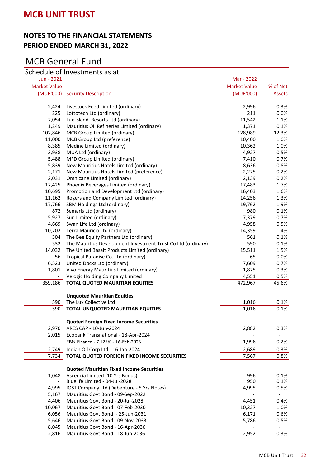### **NOTES TO THE FINANCIAL STATEMENTS PERIOD ENDED MARCH 31, 2022**

|                          | Schedule of Investments as at                                |                     |          |
|--------------------------|--------------------------------------------------------------|---------------------|----------|
| Jun - 2021               |                                                              | Mar - 2022          |          |
| <b>Market Value</b>      |                                                              | <b>Market Value</b> | % of Net |
| (MUR'000)                | <b>Security Description</b>                                  | (MUR'000)           | Assets   |
|                          |                                                              |                     |          |
| 2,424                    | Livestock Feed Limited (ordinary)                            | 2,996               | 0.3%     |
| 225                      | Lottotech Ltd (ordinary)                                     | 211                 | 0.0%     |
| 7,054                    | Lux Island Resorts Ltd (ordinary)                            | 11,542              | 1.1%     |
| 1,249                    | Mauritius Oil Refineries Limited (ordinary)                  | 1,371               | 0.1%     |
| 102,846                  | MCB Group Limited (ordinary)                                 | 128,989             | 12.3%    |
| 11,000                   | MCB Group Ltd (preference)                                   | 10,400              | 1.0%     |
| 8,385                    | Medine Limited (ordinary)                                    | 10,362              | 1.0%     |
| 3,938                    | MUA Ltd (ordinary)                                           | 4,927               | 0.5%     |
| 5,488                    | MFD Group Limited (ordinary)                                 | 7,410               | 0.7%     |
| 5,839                    | New Mauritius Hotels Limited (ordinary)                      | 8,636               | 0.8%     |
| 2,171                    | New Mauritius Hotels Limited (preference)                    | 2,275               | 0.2%     |
| 2,031                    | Omnicane Limited (ordinary)                                  | 2,139               | 0.2%     |
| 17,425                   | Phoenix Beverages Limited (ordinary)                         | 17,483              | 1.7%     |
| 10,695                   | Promotion and Development Ltd (ordinary)                     | 16,403              | 1.6%     |
| 11,162                   | Rogers and Company Limited (ordinary)                        | 14,256              | 1.3%     |
| 17,766                   | SBM Holdings Ltd (ordinary)                                  | 19,762              | 1.9%     |
| 872                      | Semaris Ltd (ordinary)                                       | 980                 | 0.1%     |
| 5,927                    | Sun Limited (ordinary)                                       | 7,379               | 0.7%     |
| 4,669                    | Swan Life Ltd (ordinary)                                     | 4,958               | 0.5%     |
| 10,702                   | Terra Mauricia Ltd (ordinary)                                | 14,359              | 1.4%     |
| 304                      | The Bee Equity Partners Ltd (ordinary)                       | 561                 | 0.1%     |
| 532                      | The Mauritius Development Investment Trust Co Ltd (ordinary) | 590                 | 0.1%     |
| 14,032                   | The United Basalt Products Limited (ordinary)                | 15,511              | 1.5%     |
| 56                       | Tropical Paradise Co. Ltd (ordinary)                         | 65                  | 0.0%     |
| 6,523                    | United Docks Ltd (ordinary)                                  | 7,609               | 0.7%     |
| 1,801                    | Vivo Energy Mauritius Limited (ordinary)                     | 1,875               | 0.3%     |
| $\overline{\phantom{a}}$ | Velogic Holding Company Limited                              | 4,551               | 0.5%     |
| 359,186                  | <b>TOTAL QUOTED MAURITIAN EQUITIES</b>                       | 472,967             | 45.6%    |
|                          | <b>Unquoted Mauritian Equities</b>                           |                     |          |
| 590                      | The Lux Collective Ltd                                       | 1,016               | 0.1%     |
| 590                      | <b>TOTAL UNQUOTED MAURITIAN EQUITIES</b>                     | 1,016               | 0.1%     |
|                          |                                                              |                     |          |
|                          | <b>Quoted Foreign Fixed Income Securities</b>                |                     |          |
| 2,970                    | ARES CAP - 10-Jun-2024                                       | 2,882               | 0.3%     |
| 2,015                    | Ecobank Transnational - 18-Apr-2024                          |                     |          |
| $\overline{\phantom{a}}$ | EBN Finance - 7.125% - 16-Feb-2026                           | 1,996               | 0.2%     |
| 2,749                    | Indian Oil Corp Ltd - 16-Jan-2024                            | 2,689               | 0.3%     |
| 7,734                    | TOTAL QUOTED FOREIGN FIXED INCOME SECURITIES                 | 7,567               | 0.8%     |
|                          | <b>Quoted Mauritian Fixed Income Securities</b>              |                     |          |
| 1,048                    | Ascencia Limited (10 Yrs Bonds)                              | 996                 | 0.1%     |
|                          | Bluelife Limited - 04-Jul-2028                               | 950                 | 0.1%     |
| 4,995                    | IOST Company Ltd (Debenture - 5 Yrs Notes)                   | 4,995               | 0.5%     |
| 5,167                    | Mauritius Govt Bond - 09-Sep-2022                            |                     |          |
| 4,406                    | Mauritius Govt Bond - 20-Jul-2028                            | 4,451               | 0.4%     |
| 10,067                   | Mauritius Govt Bond - 07-Feb-2030                            | 10,327              | 1.0%     |
| 6,056                    | Mauritius Govt Bond - 25-Jun-2031                            | 6,171               | 0.6%     |
| 5,646                    | Mauritius Govt Bond - 09-Nov-2033                            | 5,786               | 0.5%     |
| 8,045                    | Mauritius Govt Bond - 16-Apr-2036                            |                     |          |
| 2,816                    | Mauritius Govt Bond - 18-Jun-2036                            | 2,952               | 0.3%     |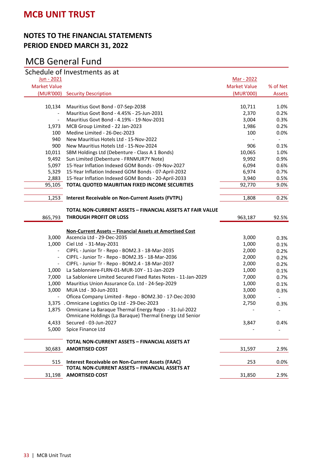### **NOTES TO THE FINANCIAL STATEMENTS PERIOD ENDED MARCH 31, 2022**

|                          | Schedule of Investments as at                                 |                     |          |
|--------------------------|---------------------------------------------------------------|---------------------|----------|
| Jun - 2021               |                                                               | <u>Mar - 2022</u>   |          |
| <b>Market Value</b>      |                                                               | <b>Market Value</b> | % of Net |
| (MUR'000)                | <b>Security Description</b>                                   | (MUR'000)           | Assets   |
|                          |                                                               |                     |          |
| 10,134                   | Mauritius Govt Bond - 07-Sep-2038                             | 10,711              | 1.0%     |
| $\overline{\phantom{a}}$ | Mauritius Govt Bond - 4.45% - 25-Jun-2031                     | 2,370               | 0.2%     |
| $\overline{\phantom{a}}$ | Mauritius Govt Bond - 4.19% - 19-Nov-2031                     | 3,004               | 0.3%     |
| 1,973                    | MCB Group Limited - 22 Jan-2023                               | 1,986               | 0.2%     |
| 100                      | Medine Limited - 26-Dec-2023                                  | 100                 | 0.0%     |
| 940                      | New Mauritius Hotels Ltd - 15-Nov-2022                        |                     |          |
| 900                      | New Mauritius Hotels Ltd - 15-Nov-2024                        | 906                 | 0.1%     |
| 10,011                   | SBM Holdings Ltd (Debenture - Class A 1 Bonds)                | 10,065              | 1.0%     |
| 9,492                    | Sun Limited (Debenture - FRNMUR7Y Note)                       | 9,992               | 0.9%     |
| 5,097                    | 15-Year Inflation Indexed GOM Bonds - 09-Nov-2027             | 6,094               | 0.6%     |
| 5,329                    | 15-Year Inflation Indexed GOM Bonds - 07-April-2032           | 6,974               | 0.7%     |
| 2,883                    | 15-Year Inflation Indexed GOM Bonds - 20-April-2033           | 3,940               | 0.5%     |
| 95,105                   | TOTAL QUOTED MAURITIAN FIXED INCOME SECURITIES                | 92,770              | 9.0%     |
|                          |                                                               |                     |          |
| 1,253                    | <b>Interest Receivable on Non-Current Assets (FVTPL)</b>      | 1,808               | 0.2%     |
|                          | TOTAL NON-CURRENT ASSETS - FINANCIAL ASSETS AT FAIR VALUE     |                     |          |
| 865,793                  | <b>THROUGH PROFIT OR LOSS</b>                                 | 963,187             | 92.5%    |
|                          |                                                               |                     |          |
|                          | Non-Current Assets - Financial Assets at Amortised Cost       |                     |          |
| 3,000                    | Ascencia Ltd - 29-Dec-2035                                    | 3,000               | 0.3%     |
| 1,000                    | Ciel Ltd - 31-May-2031                                        | 1,000               | 0.1%     |
|                          | CIPFL - Junior Tr - Repo - BOM2.3 - 18-Mar-2035               | 2,000               | 0.2%     |
|                          | CIPFL - Junior Tr - Repo - BOM2.35 - 18-Mar-2036              | 2,000               | 0.2%     |
| $\overline{\phantom{a}}$ | CIPFL - Junior Tr - Repo - BOM2.4 - 18-Mar-2037               | 2,000               | 0.2%     |
| 1,000                    | La Sablonniere-FLRN-01-MUR-10Y - 11-Jan-2029                  | 1,000               | 0.1%     |
| 7,000                    | La Sabloniere Limited Secured Fixed Rates Notes - 11-Jan-2029 | 7,000               | 0.7%     |
| 1,000                    | Mauritius Union Assurance Co. Ltd - 24-Sep-2029               | 1,000               | 0.1%     |
| 3,000                    | MUA Ltd - 30-Jun-2031                                         | 3,000               | 0.3%     |
|                          | Oficea Company Limited - Repo - BOM2.30 - 17-Dec-2030         | 3,000               |          |
|                          | 3,375 . Omnicane Logistics Op Ltd - 29-Dec-2023               | 2,750               | 0.3%     |
| 1,875                    | Omnicane La Baraque Thermal Energy Repo - 31-Jul-2022         |                     |          |
|                          | Omnicane Holdings (La Baraque) Thermal Energy Ltd Senior      |                     |          |
| 4,433                    | Secured - 03-Jun-2027                                         | 3,847               | 0.4%     |
| 5,000                    | Spice Finance Ltd                                             |                     |          |
|                          | TOTAL NON-CURRENT ASSETS - FINANCIAL ASSETS AT                |                     |          |
|                          |                                                               |                     |          |
| 30,683                   | <b>AMORTISED COST</b>                                         | 31,597              | 2.9%     |
| 515                      | <b>Interest Receivable on Non-Current Assets (FAAC)</b>       | 253                 | 0.0%     |
|                          | TOTAL NON-CURRENT ASSETS - FINANCIAL ASSETS AT                |                     |          |
| 31,198                   | <b>AMORTISED COST</b>                                         | 31,850              | 2.9%     |
|                          |                                                               |                     |          |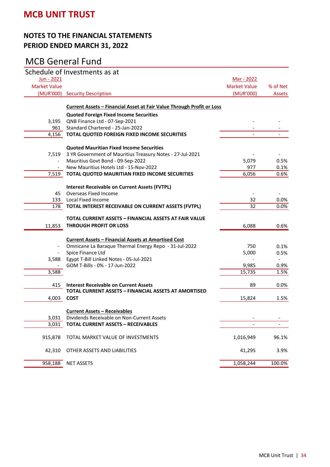### **NOTES TO THE FINANCIAL STATEMENTS PERIOD ENDED MARCH 31, 2022**

|                          | Schedule of Investments as at                                         |                     |          |
|--------------------------|-----------------------------------------------------------------------|---------------------|----------|
| <u>Jun - 2021</u>        |                                                                       | Mar - 2022          |          |
| <b>Market Value</b>      |                                                                       | <b>Market Value</b> | % of Net |
|                          | (MUR'000) Security Description                                        | (MUR'000)           | Assets   |
|                          |                                                                       |                     |          |
|                          | Current Assets - Financial Asset at Fair Value Through Profit or Loss |                     |          |
|                          | <b>Quoted Foreign Fixed Income Securities</b>                         |                     |          |
| 3,195                    | QNB Finance Ltd - 07-Sep-2021                                         |                     |          |
| 961                      | Standard Chartered - 25-Jan-2022                                      |                     |          |
| 4,156                    | TOTAL QUOTED FOREIGN FIXED INCOME SECURITIES                          |                     |          |
|                          | <b>Quoted Mauritian Fixed Income Securities</b>                       |                     |          |
|                          |                                                                       |                     |          |
| 7,519                    | 3 YR Government of Mauritius Treasury Notes - 27-Jul-2021             |                     |          |
|                          | Mauritius Govt Bond - 09-Sep-2022                                     | 5,079               | 0.5%     |
|                          | New Mauritius Hotels Ltd - 15-Nov-2022                                | 977                 | 0.1%     |
| 7,519                    | TOTAL QUOTED MAURITIAN FIXED INCOME SECURITIES                        | 6,056               | 0.6%     |
|                          | <b>Interest Receivable on Current Assets (FVTPL)</b>                  |                     |          |
| 45                       | Overseas Fixed Income                                                 |                     |          |
| 133                      | Local Fixed Income                                                    | 32                  | 0.0%     |
| 178                      | TOTAL INTEREST RECEIVABLE ON CURRENT ASSETS (FVTPL)                   | 32                  | 0.0%     |
|                          |                                                                       |                     |          |
|                          | TOTAL CURRENT ASSETS - FINANCIAL ASSETS AT FAIR VALUE                 |                     |          |
| 11,853                   | <b>THROUGH PROFIT OR LOSS</b>                                         | 6,088               | 0.6%     |
|                          | <b>Current Assets - Financial Assets at Amortised Cost</b>            |                     |          |
| $\overline{\phantom{a}}$ | Omnicane La Baraque Thermal Energy Repo - 31-Jul-2022                 | 750                 | 0.1%     |
| $\overline{\phantom{a}}$ | Spice Finance Ltd                                                     | 5,000               | 0.5%     |
| 3,588                    | Egypt T-Bill Linked Notes - 05-Jul-2021                               |                     |          |
|                          | GOM T-Bills - 0% - 17-Jun-2022                                        | 9,985               | 0.9%     |
| 3,588                    |                                                                       | 15,735              | 1.5%     |
|                          |                                                                       |                     |          |
| 415                      | <b>Interest Receivable on Current Assets</b>                          | 89                  | $0.0\%$  |
|                          | TOTAL CURRENT ASSETS - FINANCIAL ASSETS AT AMORTISED                  |                     |          |
| 4,003                    | <b>COST</b>                                                           | 15,824              | 1.5%     |
|                          | <b>Current Assets - Receivables</b>                                   |                     |          |
| 3,031                    | Dividends Receivable on Non-Current Assets                            |                     |          |
| 3,031                    | <b>TOTAL CURRENT ASSETS - RECEIVABLES</b>                             |                     |          |
|                          |                                                                       |                     |          |
| 915,878                  | TOTAL MARKET VALUE OF INVESTMENTS                                     | 1,016,949           | 96.1%    |
| 42,310                   | OTHER ASSETS AND LIABILITIES                                          | 41,295              | 3.9%     |
| 958,188                  | <b>NET ASSETS</b>                                                     | 1,058,244           | 100.0%   |
|                          |                                                                       |                     |          |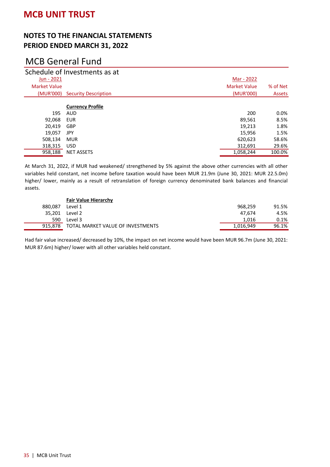### **NOTES TO THE FINANCIAL STATEMENTS PERIOD ENDED MARCH 31, 2022**

# MCB General Fund

|                     | Schedule of Investments as at  |                     |               |
|---------------------|--------------------------------|---------------------|---------------|
| Jun - 2021          |                                | Mar - 2022          |               |
| <b>Market Value</b> |                                | <b>Market Value</b> | % of Net      |
|                     | (MUR'000) Security Description | (MUR'000)           | <b>Assets</b> |
|                     | <b>Currency Profile</b>        |                     |               |
| 195                 | <b>AUD</b>                     | 200                 | $0.0\%$       |
| 92,068              | <b>EUR</b>                     | 89,561              | 8.5%          |
| 20.419              | <b>GBP</b>                     | 19.213              | 1.8%          |
| 19,057              | JPY                            | 15,956              | 1.5%          |
| 508,134             | <b>MUR</b>                     | 620,623             | 58.6%         |
| 318,315             | <b>USD</b>                     | 312,691             | 29.6%         |
| 958,188             | <b>NET ASSETS</b>              | 1,058,244           | 100.0%        |

At March 31, 2022, if MUR had weakened/ strengthened by 5% against the above other currencies with all other variables held constant, net income before taxation would have been MUR 21.9m (June 30, 2021: MUR 22.5.0m) higher/ lower, mainly as a result of retranslation of foreign currency denominated bank balances and financial assets.

|         | <b>Fair Value Hierarchy</b>       |           |       |
|---------|-----------------------------------|-----------|-------|
| 880.087 | Level 1                           | 968,259   | 91.5% |
|         | 35.201 Level 2                    | 47.674    | 4.5%  |
| 590     | Level 3                           | 1.016     | 0.1%  |
| 915.878 | TOTAL MARKET VALUE OF INVESTMENTS | 1,016,949 | 96.1% |

Had fair value increased/ decreased by 10%, the impact on net income would have been MUR 96.7m (June 30, 2021: MUR 87.6m) higher/ lower with all other variables held constant.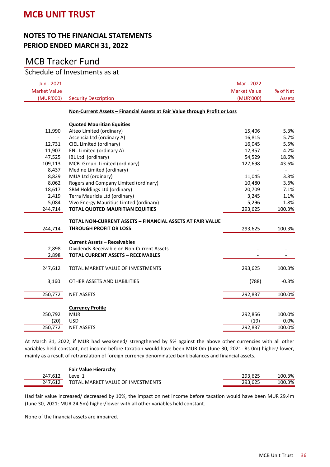#### **NOTES TO THE FINANCIAL STATEMENTS PERIOD ENDED MARCH 31, 2022**

## MCB Tracker Fund

### Schedule of Investments as at

| Jun - 2021          |                                                                            | Mar - 2022               |                          |
|---------------------|----------------------------------------------------------------------------|--------------------------|--------------------------|
| <b>Market Value</b> |                                                                            | <b>Market Value</b>      | % of Net                 |
| (MUR'000)           | <b>Security Description</b>                                                | (MUR'000)                | <b>Assets</b>            |
|                     | Non-Current Assets - Financial Assets at Fair Value through Profit or Loss |                          |                          |
|                     | <b>Quoted Mauritian Equities</b>                                           |                          |                          |
| 11,990              | Alteo Limited (ordinary)                                                   | 15,406                   | 5.3%                     |
|                     | Ascencia Ltd (ordinary A)                                                  | 16,815                   | 5.7%                     |
| 12,731              | CIEL Limited (ordinary)                                                    | 16,045                   | 5.5%                     |
| 11,907              | ENL Limited (ordinary A)                                                   | 12,357                   | 4.2%                     |
| 47,525              | IBL Ltd (ordinary)                                                         | 54,529                   | 18.6%                    |
| 109,113             | MCB Group Limited (ordinary)                                               | 127,698                  | 43.6%                    |
| 8,437               | Medine Limited (ordinary)                                                  |                          | $\frac{1}{2}$            |
| 8,829               | MUA Ltd (ordinary)                                                         | 11,045                   | 3.8%                     |
| 8,062               | Rogers and Company Limited (ordinary)                                      | 10,480                   | 3.6%                     |
| 18,617              | SBM Holdings Ltd (ordinary)                                                | 20,709                   | 7.1%                     |
| 2,419               | Terra Mauricia Ltd (ordinary)                                              | 3,245                    | 1.1%                     |
| 5,084               | Vivo Energy Mauritius Limted (ordinary)                                    | 5,296                    | 1.8%                     |
| 244,714             | <b>TOTAL QUOTED MAURITIAN EQUITIES</b>                                     | 293,625                  | 100.3%                   |
|                     | TOTAL NON-CURRENT ASSETS - FINANCIAL ASSETS AT FAIR VALUE                  |                          |                          |
| 244,714             | <b>THROUGH PROFIT OR LOSS</b>                                              | 293,625                  | 100.3%                   |
|                     |                                                                            |                          |                          |
|                     | <b>Current Assets - Receivables</b>                                        |                          |                          |
| 2,898               | Dividends Receivable on Non-Current Assets                                 |                          |                          |
| 2,898               | <b>TOTAL CURRENT ASSETS - RECEIVABLES</b>                                  | $\overline{\phantom{a}}$ | $\overline{\phantom{a}}$ |
| 247,612             | TOTAL MARKET VALUE OF INVESTMENTS                                          | 293,625                  | 100.3%                   |
| 3,160               | OTHER ASSETS AND LIABILITIES                                               | (788)                    | $-0.3%$                  |
| 250,772             | <b>NET ASSETS</b>                                                          | 292,837                  | 100.0%                   |
|                     | <b>Currency Profile</b>                                                    |                          |                          |
| 250,792             | <b>MUR</b>                                                                 | 292,856                  | 100.0%                   |
| (20)                | <b>USD</b>                                                                 | (19)                     | 0.0%                     |
| 250,772             | <b>NET ASSETS</b>                                                          | 292,837                  | 100.0%                   |
|                     |                                                                            |                          |                          |

At March 31, 2022, if MUR had weakened/ strengthened by 5% against the above other currencies with all other variables held constant, net income before taxation would have been MUR 0m (June 30, 2021: Rs 0m) higher/ lower, mainly as a result of retranslation of foreign currency denominated bank balances and financial assets.

|         | <b>Fair Value Hierarchy</b>       |         |        |
|---------|-----------------------------------|---------|--------|
| 247.612 | Level 1                           | 293.625 | 100.3% |
| 247.612 | TOTAL MARKET VALUE OF INVESTMENTS | 293.625 | 100.3% |

Had fair value increased/ decreased by 10%, the impact on net income before taxation would have been MUR 29.4m (June 30, 2021: MUR 24.5m) higher/lower with all other variables held constant.

None of the financial assets are impaired.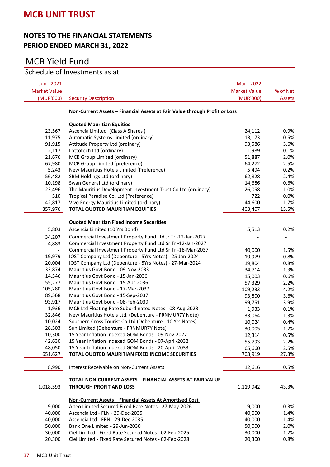### **NOTES TO THE FINANCIAL STATEMENTS PERIOD ENDED MARCH 31, 2022**

# MCB Yield Fund

# Schedule of Investments as at

| Jun - 2021          |                                                                            | Mar - 2022          |          |
|---------------------|----------------------------------------------------------------------------|---------------------|----------|
| <b>Market Value</b> |                                                                            | <b>Market Value</b> | % of Net |
| (MUR'000)           | <b>Security Description</b>                                                | (MUR'000)           | Assets   |
|                     |                                                                            |                     |          |
|                     | Non-Current Assets - Financial Assets at Fair Value through Profit or Loss |                     |          |
|                     | <b>Quoted Mauritian Equities</b>                                           |                     |          |
| 23,567              | Ascencia Limited (Class A Shares)                                          | 24,112              | 0.9%     |
| 11,975              | Automatic Systems Limited (ordinary)                                       | 13,173              | 0.5%     |
| 91,915              | Attitude Property Ltd (ordinary)                                           | 93,586              | 3.6%     |
| 2,117               | Lottotech Ltd (ordinary)                                                   | 1,989               | 0.1%     |
| 21,676              | MCB Group Limited (ordinary)                                               | 51,887              | 2.0%     |
| 67,980              | MCB Group Limited (preference)                                             | 64,272              | 2.5%     |
| 5,243               | New Mauritius Hotels Limited (Preference)                                  | 5,494               | 0.2%     |
| 56,482              | SBM Holdings Ltd (ordinary)                                                | 62,828              | 2.4%     |
| 10,198              | Swan General Ltd (ordinary)                                                | 14,686              | 0.6%     |
| 23,496              | The Mauritius Development Investment Trust Co Ltd (ordinary)               | 26,058              | 1.0%     |
| 510                 | Tropical Paradise Co. Ltd (Preference)                                     | 722                 | 0.0%     |
| 42,817              | Vivo Energy Mauritius Limited (ordinary)                                   | 44,600              | 1.7%     |
| 357,976             | <b>TOTAL QUOTED MAURITIAN EQUITIES</b>                                     | 403,407             | 15.5%    |
|                     |                                                                            |                     |          |
|                     | <b>Quoted Mauritian Fixed Income Securities</b>                            |                     |          |
| 5,803               | Ascencia Limited (10 Yrs Bond)                                             | 5,513               | 0.2%     |
| 34,207              | Commercial Investment Property Fund Ltd Jr Tr -12-Jan-2027                 |                     |          |
| 4,883               | Commercial Investment Property Fund Ltd Sr Tr -12-Jan-2027                 |                     |          |
|                     | Commercial Investment Property Fund Ltd Sr Tr -18-Mar-2037                 | 40,000              | 1.5%     |
| 19,979              | IOST Company Ltd (Debenture - 5Yrs Notes) - 25-Jan-2024                    | 19,979              | 0.8%     |
| 20,004              | IOST Company Ltd (Debenture - 5Yrs Notes) - 27-Mar-2024                    | 19,804              | 0.8%     |
| 33,874              | Mauritius Govt Bond - 09-Nov-2033                                          | 34,714              | 1.3%     |
| 14,546              | Mauritius Govt Bond - 15-Jan-2036                                          | 15,003              | 0.6%     |
| 55,277              | Mauritius Govt Bond - 15-Apr-2036                                          | 57,329              | 2.2%     |
| 105,280             | Mauritius Govt Bond - 17-Mar-2037                                          | 109,233             | 4.2%     |
| 89,568              | Mauritius Govt Bond - 15-Sep-2037                                          | 93,800              | 3.6%     |
| 93,917              | Mauritius Govt Bond - 08-Feb-2039                                          | 99,751              | 3.9%     |
| 1,936               | MCB Ltd Floating Rate Subordinated Notes - 08-Aug-2023                     | 1,933               | 0.1%     |
| 32,846              | New Mauritius Hotels Ltd. (Debenture - FRNMUR7Y Note)                      | 33,064              | 1.3%     |
| 10,024              | Southern Cross Tourist Co Ltd (Debenture - 10 Yrs Notes)                   | 10,024              | 0.4%     |
| 28,503              | Sun Limited (Debenture - FRNMUR7Y Note)                                    | 30,005              | 1.2%     |
| 10,300              | 15 Year Inflation Indexed GOM Bonds - 09-Nov-2027                          | 12,314              | 0.5%     |
| 42,630              | 15 Year Inflation Indexed GOM Bonds - 07-April-2032                        | 55,793              | 2.2%     |
| 48,050              | 15 Year Inflation Indexed GOM Bonds - 20-April-2033                        | 65,660              | 2.5%     |
| 651,627             | TOTAL QUOTED MAURITIAN FIXED INCOME SECURITIES                             | 703,919             | 27.3%    |
|                     |                                                                            |                     |          |
| 8,990               | Interest Receivable on Non-Current Assets                                  | 12,616              | 0.5%     |
|                     | <b>TOTAL NON-CURRENT ASSETS - FINANCIAL ASSETS AT FAIR VALUE</b>           |                     |          |
|                     | <b>THROUGH PROFIT AND LOSS</b>                                             |                     |          |
| 1,018,593           |                                                                            | 1,119,942           | 43.3%    |
|                     | Non-Current Assets - Financial Assets At Amortised Cost                    |                     |          |
| 9,000               | Alteo Limited Secured Fixed Rate Notes - 27-May-2026                       | 9,000               | 0.3%     |
| 40,000              | Ascencia Ltd - FLN - 29-Dec-2035                                           | 40,000              | 1.4%     |
| 40,000              | Ascencia Ltd - FRN - 29-Dec-2035                                           | 40,000              | 1.4%     |
| 50,000              | Bank One Limited - 29-Jun-2030                                             | 50,000              | 2.0%     |
| 30,000              | Ciel Limited - Fixed Rate Secured Notes - 02-Feb-2025                      | 30,000              | 1.2%     |
| 20,300              | Ciel Limited - Fixed Rate Secured Notes - 02-Feb-2028                      | 20,300              | 0.8%     |
|                     |                                                                            |                     |          |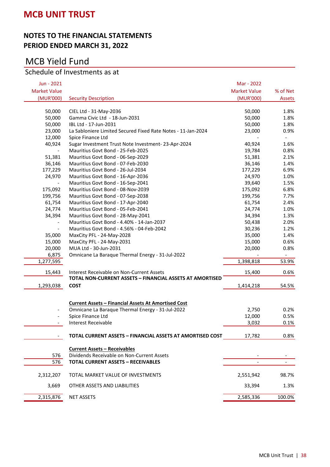#### **NOTES TO THE FINANCIAL STATEMENTS PERIOD ENDED MARCH 31, 2022**

# MCB Yield Fund

# Schedule of Investments as at

| Jun - 2021               |                                                              | Mar - 2022          |                          |
|--------------------------|--------------------------------------------------------------|---------------------|--------------------------|
| <b>Market Value</b>      |                                                              | <b>Market Value</b> | % of Net                 |
| (MUR'000)                | <b>Security Description</b>                                  | (MUR'000)           | Assets                   |
|                          |                                                              |                     |                          |
| 50,000                   | CIEL Ltd - 31-May-2036                                       | 50,000              | 1.8%                     |
| 50,000                   | Gamma Civic Ltd - 18-Jun-2031                                | 50,000              | 1.8%                     |
| 50,000                   | IBL Ltd - 17-Jun-2031                                        | 50,000              | 1.8%                     |
| 23,000                   | La Sabloniere Limited Secured Fixed Rate Notes - 11-Jan-2024 | 23,000              | 0.9%                     |
| 12,000                   | Spice Finance Ltd                                            |                     | $\overline{\phantom{a}}$ |
| 40,924                   | Sugar Investment Trust Note Investment-23-Apr-2024           | 40,924              | 1.6%                     |
|                          | Mauritius Govt Bond - 25-Feb-2025                            | 19,784              | 0.8%                     |
| 51,381                   | Mauritius Govt Bond - 06-Sep-2029                            | 51,381              | 2.1%                     |
| 36,146                   | Mauritius Govt Bond - 07-Feb-2030                            | 36,146              | 1.4%                     |
| 177,229                  | Mauritius Govt Bond - 26-Jul-2034                            | 177,229             | 6.9%                     |
| 24,970                   | Mauritius Govt Bond - 16-Apr-2036                            | 24,970              | 1.0%                     |
| $\overline{\phantom{a}}$ | Mauritius Govt Bond - 16-Sep-2041                            | 39,640              | 1.5%                     |
| 175,092                  | Mauritius Govt Bond - 08-Nov-2039                            | 175,092             | 6.8%                     |
| 199,756                  | Mauritius Govt Bond - 07-Sep-2038                            | 199,756             | 7.7%                     |
| 61,754                   | Mauritius Govt Bond - 17-Apr-2040                            | 61,754              | 2.4%                     |
| 24,774                   | Mauritius Govt Bond - 05-Feb-2041                            | 24,774              | 1.0%                     |
| 34,394                   | Mauritius Govt Bond - 28-May-2041                            | 34,394              | 1.3%                     |
|                          | Mauritius Govt Bond - 4.40% - 14-Jan-2037                    | 50,438              | 2.0%                     |
| $\overline{\phantom{a}}$ | Mauritius Govt Bond - 4.56% - 04-Feb-2042                    | 30,236              | 1.2%                     |
| 35,000                   | MaxCity PFL - 24-May-2028                                    | 35,000              | 1.4%                     |
| 15,000                   | MaxCity PFL - 24-May-2031                                    | 15,000              | 0.6%                     |
| 20,000                   | MUA Ltd - 30-Jun-2031                                        | 20,000              | 0.8%                     |
| 6,875                    | Omnicane La Baraque Thermal Energy - 31-Jul-2022             |                     | $\blacksquare$           |
| 1,277,595                |                                                              | 1,398,818           | 53.9%                    |
| 15,443                   | Interest Receivable on Non-Current Assets                    | 15,400              | 0.6%                     |
|                          | TOTAL NON-CURRENT ASSETS - FINANCIAL ASSETS AT AMORTISED     |                     |                          |
| 1,293,038                | <b>COST</b>                                                  | 1,414,218           | 54.5%                    |
|                          |                                                              |                     |                          |
|                          |                                                              |                     |                          |
|                          | <b>Current Assets - Financial Assets At Amortised Cost</b>   |                     | 0.2%                     |
|                          | Omnicane La Baraque Thermal Energy - 31-Jul-2022             | 2,750<br>12,000     |                          |
| $\overline{\phantom{a}}$ | Spice Finance Ltd                                            |                     | 0.5%                     |
| $\overline{\phantom{a}}$ | <b>Interest Receivable</b>                                   | 3,032               | 0.1%                     |
|                          | TOTAL CURRENT ASSETS - FINANCIAL ASSETS AT AMORTISED COST    | 17.782              | 0.8%                     |
|                          |                                                              |                     |                          |
|                          | <b>Current Assets - Receivables</b>                          |                     |                          |
| 576                      | Dividends Receivable on Non-Current Assets                   |                     |                          |
| 576                      | <b>TOTAL CURRENT ASSETS - RECEIVABLES</b>                    |                     |                          |
| 2,312,207                | TOTAL MARKET VALUE OF INVESTMENTS                            | 2,551,942           | 98.7%                    |
| 3,669                    | OTHER ASSETS AND LIABILITIES                                 | 33,394              | 1.3%                     |
| 2,315,876                | <b>NET ASSETS</b>                                            | 2,585,336           | 100.0%                   |
|                          |                                                              |                     |                          |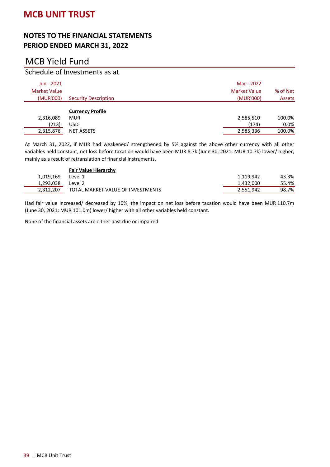# MCB Yield Fund

### Schedule of Investments as at

| Jun - 2021<br><b>Market Value</b><br>(MUR'000) | <b>Security Description</b> | Mar - 2022<br><b>Market Value</b><br>(MUR'000) | % of Net<br><b>Assets</b> |
|------------------------------------------------|-----------------------------|------------------------------------------------|---------------------------|
|                                                | <b>Currency Profile</b>     |                                                |                           |
| 2,316,089                                      | <b>MUR</b>                  | 2,585,510                                      | 100.0%                    |
| (213)                                          | USD                         | (174)                                          | 0.0%                      |
| 2,315,876                                      | <b>NET ASSETS</b>           | 2,585,336                                      | 100.0%                    |

At March 31, 2022, if MUR had weakened/ strengthened by 5% against the above other currency with all other variables held constant, net loss before taxation would have been MUR 8.7k (June 30, 2021: MUR 10.7k) lower/ higher, mainly as a result of retranslation of financial instruments.

|           | <b>Fair Value Hierarchy</b>       |           |       |
|-----------|-----------------------------------|-----------|-------|
| 1.019.169 | Level 1                           | 1.119.942 | 43.3% |
| 1.293.038 | Level 2                           | 1,432,000 | 55.4% |
| 2.312.207 | TOTAL MARKET VALUE OF INVESTMENTS | 2,551,942 | 98.7% |

Had fair value increased/ decreased by 10%, the impact on net loss before taxation would have been MUR 110.7m (June 30, 2021: MUR 101.0m) lower/ higher with all other variables held constant.

None of the financial assets are either past due or impaired.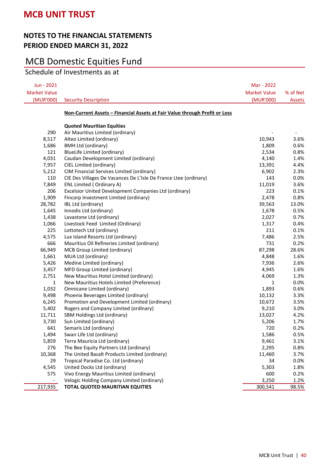## MCB Domestic Equities Fund

Schedule of Investments as at

| Jun - 2021          |                                                                                    | Mar - 2022          |              |
|---------------------|------------------------------------------------------------------------------------|---------------------|--------------|
| <b>Market Value</b> |                                                                                    | <b>Market Value</b> | % of Net     |
| (MUR'000)           | <b>Security Description</b>                                                        | (MUR'000)           | Assets       |
|                     | <u> Non-Current Assets – Financial Assets at Fair Value through Profit or Loss</u> |                     |              |
|                     | <b>Quoted Mauritian Equities</b>                                                   |                     |              |
| 290                 | Air Mauritius Limited (ordinary)                                                   |                     |              |
| 8,517               | Alteo Limited (ordinary)                                                           | 10,943              | 3.6%         |
| 1,686               | <b>BMH Ltd (ordinary)</b>                                                          | 1,809               | 0.6%         |
| 121                 | BlueLife Limited (ordinary)                                                        | 2,534               | 0.8%         |
| 4,031               | Caudan Development Limited (ordinary)                                              | 4,140               | 1.4%         |
| 7,957               | CIEL Limited (ordinary)                                                            | 13,391              | 4.4%         |
| 5,212               | CIM Financial Services Limited (ordinary)                                          | 6,902               | 2.3%         |
| 110                 | CIE Des Villages De Vacances De L'Isle De France Ltee (ordinary)                   | 143                 | 0.0%         |
| 7,849               | ENL Limited (Ordinary A)                                                           | 11,019              | 3.6%         |
| 206                 | Excelsior United Development Companies Ltd (ordinary)                              | 223                 | 0.1%         |
| 1,909               | Fincorp Investment Limited (ordinary)                                              | 2,478               | 0.8%         |
| 28,782              | IBL Ltd (ordinary)                                                                 | 39,563              | 13.0%        |
| 1,645               | Innodis Ltd (ordinary)                                                             | 1,678               | 0.5%         |
| 1,438               | Lavastone Ltd (ordinary)                                                           | 2,027               | 0.7%         |
| 1,066               | Livestock Feed Limited (Ordinary)                                                  | 1,317               | 0.4%         |
| 225                 | Lottotech Ltd (ordinary)                                                           | 211                 | 0.1%         |
| 4,575               | Lux Island Resorts Ltd (ordinary)                                                  | 7,486               | 2.5%         |
| 666                 | Mauritius Oil Refineries Limited (ordinary)                                        | 731                 | 0.2%         |
| 66,949<br>1,661     | MCB Group Limited (ordinary)                                                       | 87,298              | 28.6%        |
| 5,426               | MUA Ltd (ordinary)<br>Medine Limited (ordinary)                                    | 4,848<br>7,936      | 1.6%<br>2.6% |
| 3,457               | MFD Group Limited (ordinary)                                                       | 4,945               | 1.6%         |
| 2,751               | New Mauritius Hotel Limited (ordinary)                                             | 4,069               | 1.3%         |
| $\mathbf{1}$        | New Mauritius Hotels Limited (Preference)                                          | 1                   | 0.0%         |
| 1,032               | Omnicane Limited (ordinary)                                                        | 1,893               | 0.6%         |
| 9,498               | Phoenix Beverages Limited (ordinary)                                               | 10,132              | 3.3%         |
| 6,245               | Promotion and Development Limited (ordinary)                                       | 10,672              | 3.5%         |
| 5,402               | Rogers and Company Limited (ordinary)                                              | 9,210               | 3.0%         |
| 11,711              | SBM Holdings Ltd (ordinary)                                                        | 13,027              | 4.2%         |
| 3,730               | Sun Limited (ordinary)                                                             | 5,206               | 1.7%         |
| 641                 | Semaris Ltd (ordinary)                                                             | 720                 | 0.2%         |
| 1,494               | Swan Life Ltd (ordinary)                                                           | 1,586               | 0.5%         |
| 5,859               | Terra Mauricia Ltd (ordinary)                                                      | 9,461               | 3.1%         |
| 276                 | The Bee Equity Partners Ltd (ordinary)                                             | 2,295               | 0.8%         |
| 10,368              | The United Basalt Products Limited (ordinary)                                      | 11,460              | 3.7%         |
| 29                  | Tropical Paradise Co. Ltd (ordinary)                                               | 34                  | 0.0%         |
| 4,545               | United Docks Ltd (ordinary)                                                        | 5,303               | 1.8%         |
| 575                 | Vivo Energy Mauritius Limited (ordinary)                                           | 600                 | 0.2%         |
|                     | Velogic Holding Company Limited (ordinary)                                         | 3,250               | 1.2%         |
| 217,935             | <b>TOTAL QUOTED MAURITIAN EQUITIES</b>                                             | 300,541             | 98.5%        |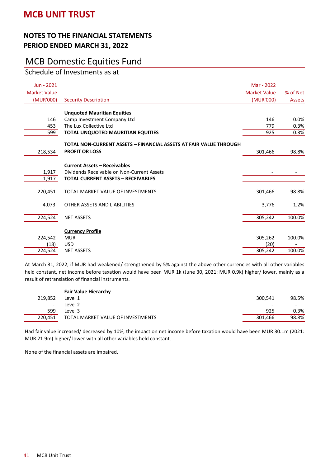# MCB Domestic Equities Fund

Schedule of Investments as at

| Jun - 2021          |                                                                   | Mar - 2022          |                          |
|---------------------|-------------------------------------------------------------------|---------------------|--------------------------|
| <b>Market Value</b> |                                                                   | <b>Market Value</b> | % of Net                 |
| (MUR'000)           | <b>Security Description</b>                                       | (MUR'000)           | <b>Assets</b>            |
|                     |                                                                   |                     |                          |
| 146                 | <b>Unquoted Mauritian Equities</b>                                | 146                 |                          |
| 453                 | Camp Investment Company Ltd<br>The Lux Collective Ltd             | 779                 | 0.0%<br>0.3%             |
| 599                 | TOTAL UNQUOTED MAURITIAN EQUITIES                                 | 925                 | 0.3%                     |
|                     |                                                                   |                     |                          |
|                     | TOTAL NON-CURRENT ASSETS - FINANCIAL ASSETS AT FAIR VALUE THROUGH |                     |                          |
| 218,534             | <b>PROFIT OR LOSS</b>                                             | 301,466             | 98.8%                    |
|                     |                                                                   |                     |                          |
|                     | <b>Current Assets - Receivables</b>                               |                     |                          |
| 1,917               | Dividends Receivable on Non-Current Assets                        |                     |                          |
| 1,917               | <b>TOTAL CURRENT ASSETS - RECEIVABLES</b>                         |                     | $\overline{\phantom{a}}$ |
| 220,451             | TOTAL MARKET VALUE OF INVESTMENTS                                 | 301,466             | 98.8%                    |
| 4,073               | OTHER ASSETS AND LIABILITIES                                      | 3,776               | 1.2%                     |
| 224,524             | <b>NET ASSETS</b>                                                 | 305,242             | 100.0%                   |
|                     | <b>Currency Profile</b>                                           |                     |                          |
| 224,542             | <b>MUR</b>                                                        | 305,262             | 100.0%                   |
| (18)                | <b>USD</b>                                                        | (20)                |                          |
| 224,524             | <b>NET ASSETS</b>                                                 | 305,242             | 100.0%                   |

At March 31, 2022, if MUR had weakened/ strengthened by 5% against the above other currencies with all other variables held constant, net income before taxation would have been MUR 1k (June 30, 2021: MUR 0.9k) higher/ lower, mainly as a result of retranslation of financial instruments.

|                          | <b>Fair Value Hierarchy</b>       |         |                          |
|--------------------------|-----------------------------------|---------|--------------------------|
| 219.852                  | Level 1                           | 300.541 | 98.5%                    |
| $\overline{\phantom{0}}$ | Level 2                           |         | $\overline{\phantom{0}}$ |
| 599                      | Level 3                           | 925     | 0.3%                     |
| 220.451                  | TOTAL MARKET VALUE OF INVESTMENTS | 301.466 | 98.8%                    |

Had fair value increased/ decreased by 10%, the impact on net income before taxation would have been MUR 30.1m (2021: MUR 21.9m) higher/ lower with all other variables held constant.

None of the financial assets are impaired.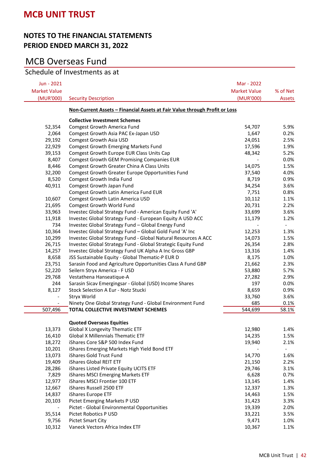### **NOTES TO THE FINANCIAL STATEMENTS PERIOD ENDED MARCH 31, 2022**

# MCB Overseas Fund

### Schedule of Investments as at

| Jun - 2021               |                                                                            | Mar - 2022          |                              |
|--------------------------|----------------------------------------------------------------------------|---------------------|------------------------------|
| <b>Market Value</b>      |                                                                            | <b>Market Value</b> | % of Net                     |
| (MUR'000)                | <b>Security Description</b>                                                | (MUR'000)           | Assets                       |
|                          | Non-Current Assets - Financial Assets at Fair Value through Profit or Loss |                     |                              |
|                          | <b>Collective Investment Schemes</b>                                       |                     |                              |
| 52,354                   | <b>Comgest Growth America Fund</b>                                         | 54,707              | 5.9%                         |
| 2,064                    | Comgest Growth Asia PAC Ex-Japan USD                                       | 1,647               | 0.2%                         |
| 29,192                   | Comgest Growth Asia USD                                                    | 24,051              | 2.5%                         |
| 22,929                   | <b>Comgest Growth Emerging Markets Fund</b>                                | 17,596              | 1.9%                         |
| 39,153                   | Comgest Growth Europe EUR Class Units Cap                                  | 48,342              | 5.2%                         |
| 8,407                    | <b>Comgest Growth GEM Promising Companies EUR</b>                          |                     | 0.0%                         |
| 8,446                    | Comgest Growth Greater China A Class Units                                 | 14,075              | 1.5%                         |
| 32,200                   | Comgest Growth Greater Europe Opportunities Fund                           | 37,540              | 4.0%                         |
| 8,520                    | Comgest Growth India Fund                                                  | 8,719               | 0.9%                         |
| 40,911                   | Comgest Growth Japan Fund                                                  | 34,254              | 3.6%                         |
|                          | Comgest Growth Latin America Fund EUR                                      | 7,751               | 0.8%                         |
| 10,607                   | Comgest Growth Latin America USD                                           | 10,112              | 1.1%                         |
| 21,695                   | Comgest Growth World Fund                                                  | 20,731              | 2.2%                         |
| 33,963                   | Investec Global Strategy Fund - American Equity Fund 'A'                   | 33,699              | 3.6%                         |
| 11,918                   | Investec Global Strategy Fund - European Equity A USD ACC                  | 11,179              | 1.2%                         |
| 734                      | Investec Global Strategy Fund - Global Energy Fund                         |                     | $\qquad \qquad \blacksquare$ |
| 10,364                   | Investec Global Strategy Fund - Global Gold Fund 'A' Inc                   | 12,253              | 1.3%                         |
| 10,299                   | Investec Global Strategy Fund - Global Natural Resources A ACC             | 14,073              | 1.5%                         |
| 26,715                   | Investec Global Strategy Fund - Global Strategic Equity Fund               | 26,354              | 2.8%                         |
| 14,257                   | Investec Global Strategy Fund UK Alpha A Inc Gross GBP                     | 13,316              | 1.4%                         |
| 8,658                    | JSS Sustainable Equity - Global Thematic-P EUR D                           | 8,175               | 1.0%                         |
| 23,751                   | Sarasin Food and Agriculture Opportunities Class A Fund GBP                | 21,662              | 2.3%                         |
| 52,220                   | Seilern Stryx America - F USD                                              | 53,880              | 5.7%                         |
| 29,768                   | Vestathena Hanseatique-A                                                   | 27,282              | 2.9%                         |
| 244                      | Sarasin Sicav Emergingsar - Global (USD) Income Shares                     | 197                 | 0.0%                         |
| 8,127                    | Stock Selection A Eur - Notz Stucki                                        | 8,659               | 0.9%                         |
| $\overline{\phantom{a}}$ | Stryx World                                                                | 33,760              | 3.6%                         |
|                          | Ninety One Global Strategy Fund - Global Environment Fund                  | 685                 | 0.1%                         |
| 507,496                  | TOTAL COLLECTIVE INVESTMENT SCHEMES                                        | 544,699             | 58.1%                        |
|                          | <b>Quoted Overseas Equities</b>                                            |                     |                              |
| 13,373                   | <b>Global X Longevity Thematic ETF</b>                                     | 12,980              | 1.4%                         |
| 16,410                   | <b>Global X Millennials Thematic ETF</b>                                   | 14,235              | 1.5%                         |
| 18,272                   | iShares Core S&P 500 Index Fund                                            | 19,940              | 2.1%                         |
| 10,201                   | iShares Emerging Markets High Yield Bond ETF                               |                     | -                            |
| 13,073                   | iShares Gold Trust Fund                                                    | 14,770              | 1.6%                         |
| 19,409                   | iShares Global REIT ETF                                                    | 21,150              | 2.2%                         |
| 28,286                   | iShares Listed Private Equity UCITS ETF                                    | 29,746              | 3.1%                         |
| 7,829                    | iShares MSCI Emerging Markets ETF                                          | 6,628               | 0.7%                         |
| 12,977                   | iShares MSCI Frontier 100 ETF                                              | 13,145              | 1.4%                         |
| 12,667                   | iShares Russell 2500 ETF                                                   | 12,337              | 1.3%                         |
| 14,837                   | iShares Europe ETF                                                         | 14,463              | 1.5%                         |
| 20,103                   | Pictet Emerging Markets P USD                                              | 31,423              | 3.3%                         |
| $\overline{\phantom{a}}$ | Pictet - Global Environmental Opportunities                                | 19,339              | 2.0%                         |
| 35,514                   | Pictet Robotics P USD                                                      | 33,221              | 3.5%                         |
| 9,756                    | <b>Pictet Smart City</b>                                                   | 9,471               | 1.0%                         |
| 10,312                   | Vaneck Vectors Africa Index ETF                                            | 10,367              | 1.1%                         |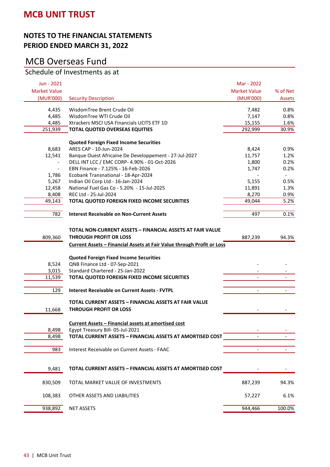#### **NOTES TO THE FINANCIAL STATEMENTS PERIOD ENDED MARCH 31, 2022**

# MCB Overseas Fund

### Schedule of Investments as at

| Jun - 2021          |                                                                        | Mar - 2022               |                          |
|---------------------|------------------------------------------------------------------------|--------------------------|--------------------------|
| <b>Market Value</b> |                                                                        | <b>Market Value</b>      | % of Net                 |
| (MUR'000)           | <b>Security Description</b>                                            | (MUR'000)                | Assets                   |
| 4,435               | WisdomTree Brent Crude Oil                                             | 7,482                    | 0.8%                     |
| 4,485               | WisdomTree WTI Crude Oil                                               | 7,147                    | 0.8%                     |
| 4,485               | Xtrackers MSCI USA Financials UCITS ETF 1D                             | 15,155                   | 1.6%                     |
| 251,939             | <b>TOTAL QUOTED OVERSEAS EQUITIES</b>                                  | 292,999                  | 30.9%                    |
|                     | <b>Quoted Foreign Fixed Income Securities</b>                          |                          |                          |
| 8,683               | ARES CAP - 10-Jun-2024                                                 | 8,424                    | 0.9%                     |
| 12,541              | Banque Ouest Africaine De Developpement - 27-Jul-2027                  | 11,757                   | 1.2%                     |
|                     | DELL INT LCC / EMC CORP- 4.90% - 01-Oct-2026                           | 1,800                    | 0.2%                     |
| $\blacksquare$      | EBN Finance - 7.125% - 16-Feb-2026                                     | 1,747                    | 0.2%                     |
| 1,786               | Ecobank Transnational - 18-Apr-2024                                    |                          | $\overline{a}$           |
| 5,267               | Indian Oil Corp Ltd - 16-Jan-2024                                      | 5,155                    | 0.5%                     |
| 12,458              | National Fuel Gas Co - 5.20% - 15-Jul-2025                             | 11,891                   | 1.3%                     |
| 8,408               | REC Ltd - 25-Jul-2024                                                  | 8,270                    | 0.9%                     |
| 49,143              | TOTAL QUOTED FOREIGN FIXED INCOME SECURITIES                           | 49,044                   | 5.2%                     |
| 782                 | <b>Interest Receivable on Non-Current Assets</b>                       | 497                      | 0.1%                     |
|                     |                                                                        |                          |                          |
|                     | TOTAL NON-CURRENT ASSETS – FINANCIAL ASSETS AT FAIR VALUE              |                          |                          |
| 809,360             | <b>THROUGH PROFIT OR LOSS</b>                                          | 887,239                  | 94.3%                    |
|                     | Current Assets - Financial Assets at Fair Value through Profit or Loss |                          |                          |
|                     | <b>Quoted Foreign Fixed Income Securities</b>                          |                          |                          |
| 8,524               | QNB Finance Ltd - 07-Sep-2021                                          |                          |                          |
| 3,015               | Standard Chartered - 25-Jan-2022                                       |                          |                          |
| 11,539              | TOTAL QUOTED FOREIGN FIXED INCOME SECURITIES                           |                          | $\overline{\phantom{0}}$ |
| 129                 | <b>Interest Receivable on Current Assets - FVTPL</b>                   | $\overline{\phantom{a}}$ | $\overline{\phantom{0}}$ |
|                     | TOTAL CURRENT ASSETS - FINANCIAL ASSETS AT FAIR VALUE                  |                          |                          |
| 11,668              | <b>THROUGH PROFIT OR LOSS</b>                                          |                          |                          |
|                     |                                                                        |                          |                          |
|                     | <b>Current Assets - Financial assets at amortised cost</b>             |                          |                          |
| 8,498               | Egypt Treasury Bill- 05-Jul-2021                                       |                          | -                        |
| 8,498               | TOTAL CURRENT ASSETS - FINANCIAL ASSETS AT AMORTISED COST              |                          |                          |
| 983                 | Interest Receivable on Current Assets - FAAC                           | $\blacksquare$           | $\overline{\phantom{0}}$ |
|                     |                                                                        |                          |                          |
| 9,481               | TOTAL CURRENT ASSETS - FINANCIAL ASSETS AT AMORTISED COST              |                          |                          |
| 830,509             | TOTAL MARKET VALUE OF INVESTMENTS                                      | 887,239                  | 94.3%                    |
| 108,383             | OTHER ASSETS AND LIABILITIES                                           | 57,227                   | 6.1%                     |
| 938,892             | <b>NET ASSETS</b>                                                      | 944,466                  | 100.0%                   |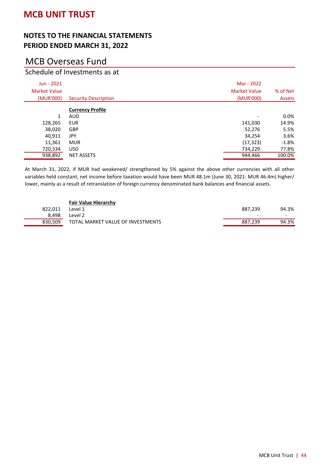# MCB Overseas Fund

### Schedule of Investments as at

| Jun - 2021<br><b>Market Value</b><br>(MUR'000) | <b>Security Description</b> | Mar - 2022<br><b>Market Value</b><br>(MUR'000) | % of Net<br><b>Assets</b> |
|------------------------------------------------|-----------------------------|------------------------------------------------|---------------------------|
|                                                | <b>Currency Profile</b>     |                                                |                           |
| 1                                              | <b>AUD</b>                  | ۰                                              | $0.0\%$                   |
| 128,265                                        | <b>EUR</b>                  | 141,030                                        | 14.9%                     |
| 38,020                                         | <b>GBP</b>                  | 52,276                                         | 5.5%                      |
| 40,911                                         | <b>JPY</b>                  | 34,254                                         | 3.6%                      |
| 11,361                                         | <b>MUR</b>                  | (17, 323)                                      | $-1.8%$                   |
| 720,334                                        | <b>USD</b>                  | 734,229                                        | 77.8%                     |
| 938,892                                        | <b>NET ASSETS</b>           | 944,466                                        | 100.0%                    |

At March 31, 2022, if MUR had weakened/ strengthened by 5% against the above other currencies with all other variables held constant, net income before taxation would have been MUR 48.1m (June 30, 2021: MUR 46.4m) higher/ lower, mainly as a result of retranslation of foreign currency denominated bank balances and financial assets.

|         | <b>Fair Value Hierarchy</b>       |                          |       |
|---------|-----------------------------------|--------------------------|-------|
| 822.011 | Level 1                           | 887.239                  | 94.3% |
| 8.498   | Level 2                           | $\overline{\phantom{0}}$ |       |
| 830.509 | TOTAL MARKET VALUE OF INVESTMENTS | 887.239                  | 94.3% |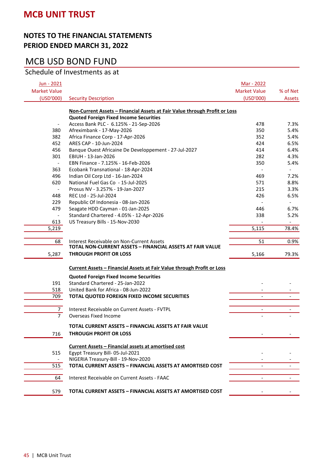#### **NOTES TO THE FINANCIAL STATEMENTS PERIOD ENDED MARCH 31, 2022**

# MCB USD BOND FUND

### Schedule of Investments as at

| Jun - 2021               |                                                                            | Mar - 2022               |                          |
|--------------------------|----------------------------------------------------------------------------|--------------------------|--------------------------|
| <b>Market Value</b>      |                                                                            | <b>Market Value</b>      | % of Net                 |
| (USD'000)                | <b>Security Description</b>                                                | (USD'000)                | Assets                   |
|                          |                                                                            |                          |                          |
|                          | Non-Current Assets - Financial Assets at Fair Value through Profit or Loss |                          |                          |
|                          | <b>Quoted Foreign Fixed Income Securities</b>                              |                          |                          |
|                          | Access Bank PLC - 6.125% - 21-Sep-2026                                     | 478                      | 7.3%                     |
| 380                      | Afreximbank - 17-May-2026                                                  | 350                      | 5.4%                     |
| 382                      | Africa Finance Corp - 17-Apr-2026                                          | 352                      | 5.4%                     |
| 452                      | ARES CAP - 10-Jun-2024                                                     | 424                      | 6.5%                     |
| 456                      | Banque Ouest Africaine De Developpement - 27-Jul-2027                      | 414                      | 6.4%                     |
| 301                      | EBIUH - 13-Jan-2026                                                        | 282                      | 4.3%                     |
| $\blacksquare$           | EBN Finance - 7.125% - 16-Feb-2026                                         | 350                      | 5.4%                     |
| 363                      | Ecobank Transnational - 18-Apr-2024                                        |                          | $\overline{\phantom{a}}$ |
| 496                      | Indian Oil Corp Ltd - 16-Jan-2024                                          | 469                      | 7.2%                     |
| 620                      | National Fuel Gas Co - 15-Jul-2025                                         | 571                      | 8.8%                     |
| $\overline{\phantom{a}}$ | Prosus NV - 3.257% - 19-Jan-2027                                           | 215                      | 3.3%                     |
| 448                      | REC Ltd - 25-Jul-2024                                                      | 426                      | 6.5%                     |
| 229                      | Republic Of Indonesia - 08-Jan-2026                                        |                          | $\overline{\phantom{a}}$ |
| 479                      | Seagate HDD Cayman - 01-Jan-2025                                           | 446                      | 6.7%                     |
| $\overline{\phantom{a}}$ | Standard Chartered - 4.05% - 12-Apr-2026                                   | 338                      | 5.2%                     |
| 613                      | US Treasury Bills - 15-Nov-2030                                            |                          | $\overline{\phantom{a}}$ |
| 5,219                    |                                                                            | 5,115                    | 78.4%                    |
|                          |                                                                            |                          |                          |
| 68                       | Interest Receivable on Non-Current Assets                                  | 51                       | 0.9%                     |
|                          | TOTAL NON-CURRENT ASSETS - FINANCIAL ASSETS AT FAIR VALUE                  |                          |                          |
| 5,287                    | <b>THROUGH PROFIT OR LOSS</b>                                              | 5,166                    | 79.3%                    |
|                          | Current Assets - Financial Assets at Fair Value through Profit or Loss     |                          |                          |
|                          | <b>Quoted Foreign Fixed Income Securities</b>                              |                          |                          |
| 191                      | Standard Chartered - 25-Jan-2022                                           |                          |                          |
| 518                      | United Bank for Africa - 08-Jun-2022                                       |                          |                          |
| 709                      | TOTAL QUOTED FOREIGN FIXED INCOME SECURITIES                               | $\blacksquare$           | $\overline{a}$           |
|                          |                                                                            |                          |                          |
| 7                        | Interest Receivable on Current Assets - FVTPL                              | $\overline{\phantom{a}}$ |                          |
| $\overline{7}$           | Overseas Fixed Income                                                      |                          |                          |
|                          | TOTAL CURRENT ASSETS - FINANCIAL ASSETS AT FAIR VALUE                      |                          |                          |
| 716                      | <b>THROUGH PROFIT OR LOSS</b>                                              |                          |                          |
|                          |                                                                            |                          |                          |
|                          | Current Assets - Financial assets at amortised cost                        |                          |                          |
| 515                      | Egypt Treasury Bill- 05-Jul-2021                                           |                          |                          |
|                          | NIGERIA Treasury-Bill - 19-Nov-2020                                        |                          |                          |
| 515                      | TOTAL CURRENT ASSETS - FINANCIAL ASSETS AT AMORTISED COST                  |                          |                          |
| 64                       | Interest Receivable on Current Assets - FAAC                               | $\frac{1}{2}$            |                          |
|                          |                                                                            |                          |                          |
| 579                      | TOTAL CURRENT ASSETS - FINANCIAL ASSETS AT AMORTISED COST                  |                          |                          |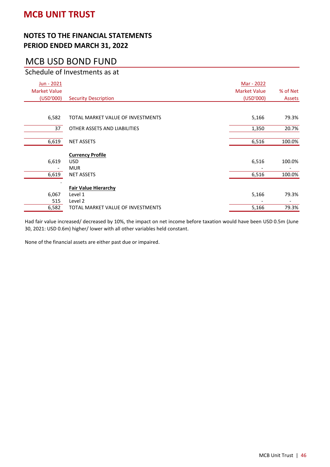#### **NOTES TO THE FINANCIAL STATEMENTS PERIOD ENDED MARCH 31, 2022**

# MCB USD BOND FUND

### Schedule of Investments as at

| <b>Security Description</b>       | <u>Mar - 2022</u><br><b>Market Value</b><br>(USD'000)                                                             | % of Net<br>Assets |
|-----------------------------------|-------------------------------------------------------------------------------------------------------------------|--------------------|
|                                   |                                                                                                                   |                    |
| TOTAL MARKET VALUE OF INVESTMENTS | 5,166                                                                                                             | 79.3%              |
| OTHER ASSETS AND LIABILITIES      | 1,350                                                                                                             | 20.7%              |
| <b>NET ASSETS</b>                 | 6,516                                                                                                             | 100.0%             |
|                                   |                                                                                                                   |                    |
| <b>USD</b>                        | 6,516                                                                                                             | 100.0%             |
| <b>MUR</b>                        |                                                                                                                   |                    |
| <b>NET ASSETS</b>                 | 6,516                                                                                                             | 100.0%             |
|                                   |                                                                                                                   |                    |
|                                   |                                                                                                                   | 79.3%              |
|                                   |                                                                                                                   |                    |
|                                   |                                                                                                                   | 79.3%              |
|                                   | <b>Currency Profile</b><br><b>Fair Value Hierarchy</b><br>Level 1<br>Level 2<br>TOTAL MARKET VALUE OF INVESTMENTS | 5,166<br>5,166     |

Had fair value increased/ decreased by 10%, the impact on net income before taxation would have been USD 0.5m (June 30, 2021: USD 0.6m) higher/ lower with all other variables held constant.

None of the financial assets are either past due or impaired.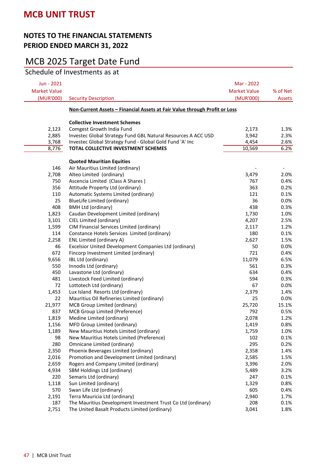## MCB 2025 Target Date Fund

Schedule of Investments as at

| Jun - 2021<br><b>Market Value</b><br>(MUR'000) | <b>Security Description</b>                                                | Mar - 2022<br><b>Market Value</b><br>(MUR'000) | % of Net<br>Assets |
|------------------------------------------------|----------------------------------------------------------------------------|------------------------------------------------|--------------------|
|                                                |                                                                            |                                                |                    |
|                                                | Non-Current Assets - Financial Assets at Fair Value through Profit or Loss |                                                |                    |
|                                                | <b>Collective Investment Schemes</b>                                       |                                                |                    |
| 2,123                                          | Comgest Growth India Fund                                                  | 2,173                                          | 1.3%               |
| 2,885                                          | Investec Global Strategy Fund GBL Natural Resources A ACC USD              | 3,942                                          | 2.3%               |
| 3,768                                          | Investec Global Strategy Fund - Global Gold Fund 'A' Inc                   | 4,454                                          | 2.6%               |
| 8,776                                          | TOTAL COLLECTIVE INVESTMENT SCHEMES                                        | 10,569                                         | 6.2%               |
|                                                |                                                                            |                                                |                    |
|                                                | <b>Quoted Mauritian Equities</b>                                           |                                                |                    |
| 146                                            | Air Mauritius Limited (ordinary)                                           |                                                |                    |
| 2,708                                          | Alteo Limited (ordinary)                                                   | 3,479                                          | 2.0%               |
| 750                                            | Ascencia Limited (Class A Shares)                                          | 767                                            | 0.4%               |
| 356                                            | Attitude Property Ltd (ordinary)                                           | 363                                            | 0.2%               |
| 110                                            | Automatic Systems Limited (ordinary)                                       | 121                                            | 0.1%               |
| 25                                             | <b>BlueLife Limited (ordinary)</b>                                         | 36                                             | 0.0%               |
| 408                                            | <b>BMH Ltd (ordinary)</b>                                                  | 438                                            | 0.3%               |
| 1,823                                          | Caudan Development Limited (ordinary)                                      | 1,730                                          | 1.0%               |
| 3,101                                          | CIEL Limited (ordinary)                                                    | 4,207                                          | 2.5%               |
| 1,599                                          | CIM Financial Services Limited (ordinary)                                  | 2,117                                          | 1.2%               |
| 114                                            | Constance Hotels Services Limited (ordinary)                               | 180                                            | 0.1%               |
| 2,258                                          | ENL Limited (ordinary A)                                                   | 2,627                                          | 1.5%               |
| 46                                             | Excelsior United Development Companies Ltd (ordinary)                      | 50                                             | 0.0%               |
| 672                                            | Fincorp Investment Limited (ordinary)                                      | 721                                            | 0.4%               |
| 9,656                                          | IBL Ltd (ordinary)                                                         | 11,079                                         | 6.5%               |
| 550                                            | Innodis Ltd (ordinary)                                                     | 561                                            | 0.3%               |
| 450                                            | Lavastone Ltd (ordinary)                                                   | 634                                            | 0.4%               |
| 481                                            | Livestock Feed Limited (ordinary)                                          | 594                                            | 0.3%               |
| 72                                             | Lottotech Ltd (ordinary)                                                   | 67                                             | 0.0%               |
| 1,453                                          | Lux Island Resorts Ltd (ordinary)                                          | 2,379                                          | 1.4%               |
| 22                                             | Mauritius Oil Refineries Limited (ordinary)                                | 25                                             | 0.0%               |
| 21,977                                         |                                                                            | 25,720                                         | 15.1%              |
| 837                                            | MCB Group Limited (ordinary)<br>MCB Group Limited (Preference)             | 792                                            | 0.5%               |
|                                                | Medine Limited (ordinary)                                                  | 2,078                                          | 1.2%               |
| 1,819                                          |                                                                            |                                                |                    |
| 1,156                                          | MFD Group Limited (ordinary)                                               | 1,419                                          | 0.8%<br>1.0%       |
| 1,189<br>98                                    | New Mauritius Hotels Limited (ordinary)                                    | 1,759<br>102                                   | 0.1%               |
|                                                | New Mauritius Hotels Limited (Preference)                                  | 295                                            |                    |
| 280                                            | Omnicane Limited (ordinary)                                                |                                                | 0.2%               |
| 2,350                                          | Phoenix Beverages Limited (ordinary)                                       | 2,358                                          | 1.4%               |
| 2,016                                          | Promotion and Development Limited (ordinary)                               | 2,585                                          | 1.5%               |
| 2,659                                          | Rogers and Company Limited (ordinary)                                      | 3,396                                          | 2.0%               |
| 4,934                                          | SBM Holdings Ltd (ordinary)                                                | 5,489                                          | 3.2%               |
| 220                                            | Semaris Ltd (ordinary)                                                     | 247                                            | 0.1%               |
| 1,118                                          | Sun Limited (ordinary)                                                     | 1,329                                          | 0.8%               |
| 570                                            | Swan Life Ltd (ordinary)                                                   | 605                                            | 0.4%               |
| 2,191                                          | Terra Mauricia Ltd (ordinary)                                              | 2,940                                          | 1.7%               |
| 187                                            | The Mauritius Development Investment Trust Co Ltd (ordinary)               | 208                                            | 0.1%               |
| 2,751                                          | The United Basalt Products Limited (ordinary)                              | 3,041                                          | 1.8%               |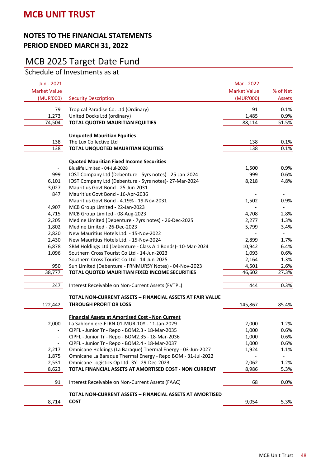## MCB 2025 Target Date Fund

Schedule of Investments as at

| Jun - 2021<br><b>Market Value</b><br>(MUR'000)<br><b>Security Description</b> | Mar - 2022<br><b>Market Value</b><br>(MUR'000) | % of Net<br>Assets           |
|-------------------------------------------------------------------------------|------------------------------------------------|------------------------------|
| 79<br>Tropical Paradise Co. Ltd (Ordinary)                                    | 91                                             | 0.1%                         |
| 1,273<br>United Docks Ltd (ordinary)                                          | 1,485                                          | 0.9%                         |
| <b>TOTAL QUOTED MAURITIAN EQUITIES</b><br>74,504                              | 88,114                                         | 51.5%                        |
| <b>Unquoted Mauritian Equities</b>                                            |                                                |                              |
| The Lux Collective Ltd<br>138                                                 | 138                                            | 0.1%                         |
| 138<br>TOTAL UNQUOTED MAURITIAN EQUITIES                                      | 138                                            | 0.1%                         |
|                                                                               |                                                |                              |
| <b>Quoted Mauritian Fixed Income Securities</b>                               |                                                |                              |
| Bluelife Limited - 04-Jul-2028                                                | 1,500                                          | 0.9%                         |
| 999<br>IOST Company Ltd (Debenture - 5yrs notes) - 25-Jan-2024                | 999                                            | 0.6%                         |
| 6,101<br>IOST Company Ltd (Debenture - 5yrs notes)- 27-Mar-2024               | 8,218                                          | 4.8%                         |
| 3,027<br>Mauritius Govt Bond - 25-Jun-2031                                    |                                                |                              |
| 847<br>Mauritius Govt Bond - 16-Apr-2036                                      |                                                |                              |
| Mauritius Govt Bond - 4.19% - 19-Nov-2031<br>$\overline{\phantom{a}}$         | 1,502                                          | 0.9%                         |
| 4,907<br>MCB Group Limited - 22-Jan-2023                                      |                                                | $\qquad \qquad \blacksquare$ |
| 4,715<br>MCB Group Limited - 08-Aug-2023                                      | 4,708                                          | 2.8%                         |
| 2,205<br>Medine Limited (Debenture - 7yrs notes) - 26-Dec-2025                | 2,277                                          | 1.3%                         |
| 1,802<br>Medine Limited - 26-Dec-2023                                         | 5,799                                          | 3.4%                         |
| 2,820<br>New Mauritius Hotels Ltd. - 15-Nov-2022                              |                                                |                              |
| 2,430<br>New Mauritius Hotels Ltd. - 15-Nov-2024                              | 2,899                                          | 1.7%                         |
| 6,878<br>SBM Holdings Ltd (Debenture - Class A 1 Bonds)- 10-Mar-2024          | 10,942                                         | 6.4%                         |
| 1,096<br>Southern Cross Tourist Co Ltd - 14-Jun-2023                          | 1,093                                          | 0.6%                         |
| Southern Cross Tourist Co Ltd - 14-Jun-2025                                   | 2,164                                          | 1.3%                         |
| Sun Limited (Debenture - FRNMUR5Y Notes) - 04-Nov-2023<br>950                 | 4,501                                          | 2.6%                         |
| 38,777<br>TOTAL QUOTED MAURITIAN FIXED INCOME SECURITIES                      | 46,602                                         | 27.3%                        |
| 247<br>Interest Receivable on Non-Current Assets (FVTPL)                      | 444                                            | 0.3%                         |
| TOTAL NON-CURRENT ASSETS - FINANCIAL ASSETS AT FAIR VALUE                     |                                                |                              |
| <b>THROUGH PROFIT OR LOSS</b><br>122,442                                      | 145,867                                        | 85.4%                        |
|                                                                               |                                                |                              |
| <b>Financial Assets at Amortised Cost - Non Current</b>                       |                                                |                              |
| 2,000<br>La Sablonniere-FLRN-01-MUR-10Y - 11-Jan-2029                         | 2,000                                          | 1.2%                         |
| CIPFL - Junior Tr - Repo - BOM2.3 - 18-Mar-2035<br>$\overline{\phantom{a}}$   | 1,000                                          | 0.6%                         |
| CIPFL - Junior Tr - Repo - BOM2.35 - 18-Mar-2036<br>$\overline{\phantom{a}}$  | 1,000                                          | 0.6%                         |
| CIPFL - Junior Tr - Repo - BOM2.4 - 18-Mar-2037<br>$\overline{\phantom{a}}$   | 1,000                                          | 0.6%                         |
| Omnicane Holdings (La Baraque) Thermal Energy - 03-Jun-2027<br>2,217          | 1,924                                          | 1.1%                         |
| Omnicane La Baraque Thermal Energy - Repo BOM - 31-Jul-2022<br>1,875          |                                                |                              |
| Omnicane Logistics Op Ltd -3Y - 29-Dec-2023<br>2,531                          | 2,062                                          | 1.2%                         |
| 8,623<br>TOTAL FINANCIAL ASSETS AT AMORTISED COST - NON CURRENT               | 8,986                                          | 5.3%                         |
| 91<br>Interest Receivable on Non-Current Assets (FAAC)                        | 68                                             | 0.0%                         |
| <b>TOTAL NON-CURRENT ASSETS - FINANCIAL ASSETS AT AMORTISED</b>               |                                                |                              |
| <b>COST</b><br>8,714                                                          | 9,054                                          | 5.3%                         |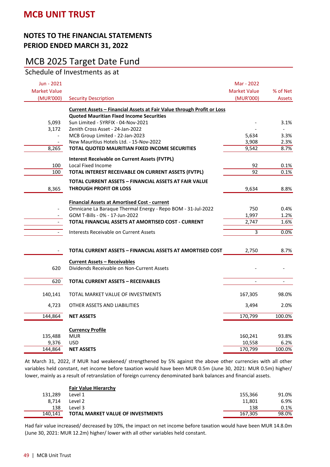# MCB 2025 Target Date Fund

Schedule of Investments as at

| Jun - 2021<br><b>Market Value</b><br>(MUR'000) | <b>Security Description</b>                                                          | Mar - 2022<br><b>Market Value</b><br>(MUR'000) | % of Net<br>Assets       |
|------------------------------------------------|--------------------------------------------------------------------------------------|------------------------------------------------|--------------------------|
|                                                | Current Assets - Financial Assets at Fair Value through Profit or Loss               |                                                |                          |
|                                                | <b>Quoted Mauritian Fixed Income Securities</b>                                      |                                                |                          |
| 5,093                                          | Sun Limited - 5YRFIX - 04-Nov-2021                                                   |                                                | 3.1%                     |
| 3,172                                          | Zenith Cross Asset - 24-Jan-2022<br>MCB Group Limited - 22-Jan-2023                  | 5,634                                          | 3.3%                     |
|                                                | New Mauritius Hotels Ltd. - 15-Nov-2022                                              | 3,908                                          | 2.3%                     |
| 8,265                                          | TOTAL QUOTED MAURITIAN FIXED INCOME SECURITIES                                       | 9,542                                          | 8.7%                     |
|                                                | <b>Interest Receivable on Current Assets (FVTPL)</b>                                 |                                                |                          |
| 100                                            | Local Fixed Income                                                                   | 92                                             | 0.1%                     |
| 100                                            | TOTAL INTEREST RECEIVABLE ON CURRENT ASSETS (FVTPL)                                  | $\overline{92}$                                | 0.1%                     |
|                                                | TOTAL CURRENT ASSETS - FINANCIAL ASSETS AT FAIR VALUE                                |                                                |                          |
| 8,365                                          | THROUGH PROFIT OR LOSS                                                               | 9,634                                          | 8.8%                     |
|                                                |                                                                                      |                                                |                          |
|                                                | <b>Financial Assets at Amortised Cost - current</b>                                  |                                                |                          |
|                                                | Omnicane La Baraque Thermal Energy - Repo BOM - 31-Jul-2022                          | 750                                            | 0.4%                     |
| $ \,$<br>$\blacksquare$                        | GOM T-Bills - 0% - 17-Jun-2022<br>TOTAL FINANCIAL ASSETS AT AMORTISED COST - CURRENT | 1,997<br>2,747                                 | 1.2%<br>1.6%             |
|                                                |                                                                                      |                                                |                          |
| $ \,$                                          | Interests Receivable on Current Assets                                               | 3                                              | 0.0%                     |
|                                                | TOTAL CURRENT ASSETS - FINANCIAL ASSETS AT AMORTISED COST                            | 2,750                                          | 8.7%                     |
|                                                | <b>Current Assets - Receivables</b>                                                  |                                                |                          |
| 620                                            | Dividends Receivable on Non-Current Assets                                           |                                                |                          |
| 620                                            | <b>TOTAL CURRENT ASSETS - RECEIVABLES</b>                                            | $\overline{\phantom{a}}$                       | $\overline{\phantom{a}}$ |
| 140,141                                        | TOTAL MARKET VALUE OF INVESTMENTS                                                    | 167,305                                        | 98.0%                    |
| 4,723                                          | OTHER ASSETS AND LIABILITIES                                                         | 3,494                                          | 2.0%                     |
| 144,864                                        | <b>NET ASSETS</b>                                                                    | 170,799                                        | 100.0%                   |
|                                                |                                                                                      |                                                |                          |
|                                                | <b>Currency Profile</b>                                                              |                                                |                          |
| 135,488                                        | <b>MUR</b>                                                                           | 160,241                                        | 93.8%                    |
| 9,376<br>144,864                               | <b>USD</b><br><b>NET ASSETS</b>                                                      | 10,558<br>170,799                              | 6.2%<br>100.0%           |
|                                                |                                                                                      |                                                |                          |

At March 31, 2022, if MUR had weakened/ strengthened by 5% against the above other currencies with all other variables held constant, net income before taxation would have been MUR 0.5m (June 30, 2021: MUR 0.5m) higher/ lower, mainly as a result of retranslation of foreign currency denominated bank balances and financial assets.

|         | <b>Fair Value Hierarchy</b>              |         |         |
|---------|------------------------------------------|---------|---------|
| 131.289 | Level 1                                  | 155.366 | 91.0%   |
| 8.714   | Level 2                                  | 11.801  | 6.9%    |
| 138     | Level 3                                  | 138     | $0.1\%$ |
| 140.141 | <b>TOTAL MARKET VALUE OF INVESTMENTS</b> | 167.305 | 98.0%   |

Had fair value increased/ decreased by 10%, the impact on net income before taxation would have been MUR 14.8.0m (June 30, 2021: MUR 12.2m) higher/ lower with all other variables held constant.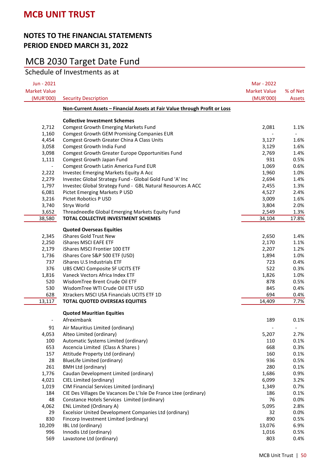# MCB 2030 Target Date Fund

| Jun - 2021<br><b>Market Value</b> |                                                                            | Mar - 2022<br><b>Market Value</b> | % of Net                 |
|-----------------------------------|----------------------------------------------------------------------------|-----------------------------------|--------------------------|
| (MUR'000)                         | <b>Security Description</b>                                                | (MUR'000)                         | Assets                   |
|                                   | Non-Current Assets - Financial Assets at Fair Value through Profit or Loss |                                   |                          |
|                                   | <b>Collective Investment Schemes</b>                                       |                                   |                          |
| 2,712                             | <b>Comgest Growth Emerging Markets Fund</b>                                | 2,081                             | 1.1%                     |
| 1,160                             | <b>Comgest Growth GEM Promising Companies EUR</b>                          |                                   |                          |
| 4,454                             | <b>Comgest Growth Greater China A Class Units</b>                          | 3,127                             | 1.6%                     |
| 3,058                             | Comgest Growth India Fund                                                  | 3,129                             | 1.6%                     |
| 3,098                             | Comgest Growth Greater Europe Opportunities Fund                           | 2,769                             | 1.4%                     |
| 1,111                             | Comgest Growth Japan Fund                                                  | 931                               | 0.5%                     |
| $\overline{\phantom{a}}$          | Comgest Growth Latin America Fund EUR                                      | 1,069                             | 0.6%                     |
| 2,222                             | Investec Emerging Markets Equity A Acc                                     | 1,960                             | 1.0%                     |
| 2,279                             | Investec Global Strategy Fund - Global Gold Fund 'A' Inc                   | 2,694                             | 1.4%                     |
| 1,797                             | Investec Global Strategy Fund - GBL Natural Resources A ACC                | 2,455                             | 1.3%                     |
| 6,081                             | Pictet Emerging Markets P USD                                              | 4,527                             | 2.4%                     |
| 3,216                             | <b>Pictet Robotics P USD</b>                                               | 3,009                             | 1.6%                     |
| 3,740                             | Stryx World                                                                | 3,804                             | 2.0%                     |
| 3,652                             | Threadneedle Global Emerging Markets Equity Fund                           | 2,549                             | 1.3%                     |
| 38,580                            | TOTAL COLLECTIVE INVESTMENT SCHEMES                                        | 34,104                            | 17.8%                    |
|                                   | <b>Quoted Overseas Equities</b>                                            |                                   |                          |
| 2,345                             | iShares Gold Trust New                                                     | 2,650                             | 1.4%                     |
| 2,250                             | iShares MSCI EAFE ETF                                                      | 2,170                             | 1.1%                     |
| 2,179                             | iShares MSCI Frontier 100 ETF                                              | 2,207                             | 1.2%                     |
| 1,736                             | iShares Core S&P 500 ETF (USD)                                             | 1,894                             | 1.0%                     |
| 737                               | iShares U.S Industrials ETF                                                | 723                               | 0.4%                     |
| 376                               | UBS CMCI Composite SF UCITS ETF                                            | 522                               | 0.3%                     |
| 1,816                             | Vaneck Vectors Africa Index ETF                                            | 1,826                             | 1.0%                     |
| 520                               | WisdomTree Brent Crude Oil ETF                                             | 878                               | 0.5%                     |
| 530                               | WisdomTree WTI Crude Oil ETF USD                                           | 845                               | 0.4%                     |
| 628                               | Xtrackers MSCI USA Financials UCITS ETF 1D                                 | 694                               | 0.4%                     |
| 13,117                            | TOTAL QUOTED OVERSEAS EQUITIES                                             | 14,409                            | 7.7%                     |
|                                   | <b>Quoted Mauritian Equities</b>                                           |                                   |                          |
|                                   | Afreximbank                                                                | 189                               | 0.1%                     |
| 91                                | Air Mauritius Limited (ordinary)                                           |                                   | $\overline{\phantom{a}}$ |
| 4,053                             | Alteo Limited (ordinary)                                                   | 5,207                             | 2.7%                     |
| 100                               | Automatic Systems Limited (ordinary)                                       | 110                               | 0.1%                     |
| 653                               | Ascencia Limited (Class A Shares)                                          | 668                               | 0.3%                     |
| 157                               | Attitude Property Ltd (ordinary)                                           | 160                               | 0.1%                     |
| 28                                | BlueLife Limited (ordinary)                                                | 936                               | 0.5%                     |
| 261                               | <b>BMH Ltd (ordinary)</b>                                                  | 280                               | 0.1%                     |
| 1,776                             | Caudan Development Limited (ordinary)                                      | 1,686                             | 0.9%                     |
| 4,021                             | CIEL Limited (ordinary)                                                    | 6,099                             | 3.2%                     |
| 1,019                             | CIM Financial Services Limited (ordinary)                                  | 1,349                             | 0.7%                     |
| 184                               | CIE Des Villages De Vacances De L'Isle De France Ltee (ordinary)           | 186                               | 0.1%                     |
| 48                                | Constance Hotels Services Limited (ordinary)                               | 76                                | 0.0%                     |
| 4,062                             | <b>ENL Limited (Ordinary A)</b>                                            | 5,095                             | 2.8%                     |
| 29                                | Excelsior United Development Companies Ltd (ordinary)                      | 32                                | 0.0%                     |
| 830                               | Fincorp Investment Limited (ordinary)                                      | 890                               | 0.5%                     |
| 10,209                            | IBL Ltd (ordinary)                                                         | 13,076                            | 6.9%                     |
| 996                               | Innodis Ltd (ordinary)                                                     | 1,016                             | 0.5%                     |
| 569                               | Lavastone Ltd (ordinary)                                                   | 803                               | 0.4%                     |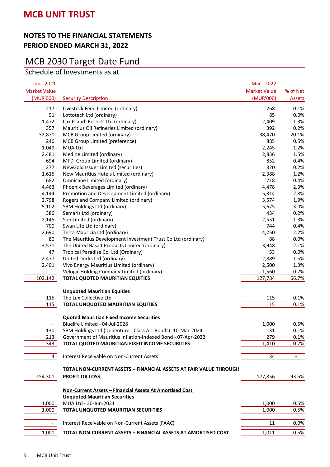# MCB 2030 Target Date Fund

Schedule of Investments as at

| Jun - 2021          |                                                                   | Mar - 2022          |                          |
|---------------------|-------------------------------------------------------------------|---------------------|--------------------------|
| <b>Market Value</b> |                                                                   | <b>Market Value</b> | % of Net                 |
| (MUR'000)           | <b>Security Description</b>                                       | (MUR'000)           | Assets                   |
| 217                 | Livestock Feed Limited (ordinary)                                 | 268                 | 0.1%                     |
| 91                  | Lottotech Ltd (ordinary)                                          | 85                  | 0.0%                     |
| 1,472               | Lux Island Resorts Ltd (ordinary)                                 | 2,409               | 1.3%                     |
| 357                 | Mauritius Oil Refineries Limited (ordinary)                       | 392                 | 0.2%                     |
| 32,871              | MCB Group Limited (ordinary)                                      | 38,470              | 20.1%                    |
| 246                 | MCB Group Limited (preference)                                    | 885                 | 0.5%                     |
| 1,049               | MUA Ltd                                                           | 2,245               | 1.2%                     |
| 2,481               | Medine Limited (ordinary)                                         | 2,836               | 1.5%                     |
| 694                 | MFD Group Limited (ordinary)                                      | 852                 | 0.4%                     |
| 277                 | NewGold Issuer Limited (securities)                               | 320                 | 0.2%                     |
| 1,615               | New Mauritius Hotels Limited (ordinary)                           | 2,388               | 1.2%                     |
| 682                 | Omnicane Limited (ordinary)                                       | 718                 | 0.4%                     |
| 4,463               | Phoenix Beverages Limited (ordinary)                              | 4,478               | 2.3%                     |
| 4,144               | Promotion and Development Limited (ordinary)                      | 5,314               | 2.8%                     |
| 2,798               | Rogers and Company Limited (ordinary)                             | 3,574               | 1.9%                     |
| 5,102               | SBM Holdings Ltd (ordinary)                                       | 5,675               | 3.0%                     |
| 386                 | Semaris Ltd (ordinary)                                            | 434                 | 0.2%                     |
| 2,145               | Sun Limited (ordinary)                                            | 2,551               | 1.3%                     |
| 700                 | Swan Life Ltd (ordinary)                                          | 744                 | 0.4%                     |
| 2,690               | Terra Mauricia Ltd (ordinary)                                     | 4,250               | 2.2%                     |
| 80                  | The Mauritius Development Investment Trust Co Ltd (ordinary)      | 88                  | 0.0%                     |
| 3,571               | The United Basalt Products Limited (ordinary)                     | 3,948               | 2.1%                     |
| 47                  | Tropical Paradise Co. Ltd (Ordinary)                              | 53                  | 0.0%                     |
| 2,477               | United Docks Ltd (ordinary)                                       | 2,889               | 1.5%                     |
| 2,401               | Vivo Energy Mauritius Limited (ordinary)                          | 2,500               | 1.3%                     |
|                     | Velogic Holding Company Limited (ordinary)                        | 1,560               | 0.7%                     |
| 102,142             | <b>TOTAL QUOTED MAURITIAN EQUITIES</b>                            | 127,784             | 66.7%                    |
|                     |                                                                   |                     |                          |
|                     | <b>Unquoted Mauritian Equities</b>                                |                     |                          |
| 115                 | The Lux Collective Ltd                                            | 115                 | 0.1%                     |
| 115                 | TOTAL UNQUOTED MAURITIAN EQUITIES                                 | 115                 | 0.1%                     |
|                     | <b>Quoted Mauritian Fixed Income Securities</b>                   |                     |                          |
|                     | Bluelife Limited - 04-Jul-2028                                    | 1,000               | 0.5%                     |
| 130                 | SBM Holdings Ltd (Debenture - Class A 1 Bonds)- 10-Mar-2024       | 131                 | 0.1%                     |
| 213                 | Government of Mauritius Inflation-Indexed Bond - 07-Apr-2032      | 279                 | 0.1%                     |
| 343                 | TOTAL QUOTED MAURITIAN FIXED INCOME SECURITIES                    | 1,410               | 0.7%                     |
|                     |                                                                   |                     |                          |
| $\overline{4}$      | Interest Receivable on Non-Current Assets                         | 34                  | $\overline{\phantom{a}}$ |
|                     | TOTAL NON-CURRENT ASSETS – FINANCIAL ASSETS AT FAIR VALUE THROUGH |                     |                          |
| 154,301             | <b>PROFIT OR LOSS</b>                                             | 177,856             | 93.5%                    |
|                     |                                                                   |                     |                          |
|                     | Non-Current Assets - Financial Assets At Amortised Cost           |                     |                          |
|                     | <b>Unquoted Mauritian Securities</b>                              |                     |                          |
| 1,000               | MUA Ltd - 30-Jun-2031                                             | 1,000               | 0.5%                     |
| 1,000               | TOTAL UNQUOTED MAURITIAN SECURITIES                               | 1,000               | 0.5%                     |
|                     | Interest Receivable on Non-Current Assets (FAAC)                  | 11                  | 0.0%                     |
| 1,000               | TOTAL NON-CURRENT ASSETS - FINANCIAL ASSETS AT AMORTISED COST     | 1,011               | 0.5%                     |
|                     |                                                                   |                     |                          |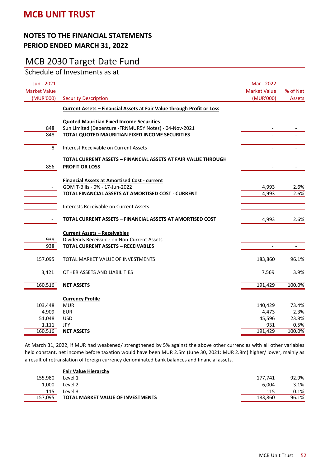# MCB 2030 Target Date Fund

| Jun - 2021<br><b>Market Value</b> |                                                                                                                                                            | Mar - 2022<br><b>Market Value</b> | % of Net       |
|-----------------------------------|------------------------------------------------------------------------------------------------------------------------------------------------------------|-----------------------------------|----------------|
| (MUR'000)                         | <b>Security Description</b>                                                                                                                                | (MUR'000)                         | Assets         |
|                                   | Current Assets - Financial Assets at Fair Value through Profit or Loss                                                                                     |                                   |                |
| 848<br>848                        | <b>Quoted Mauritian Fixed Income Securities</b><br>Sun Limited (Debenture -FRNMUR5Y Notes) - 04-Nov-2021<br>TOTAL QUOTED MAURITIAN FIXED INCOME SECURITIES |                                   |                |
| 8                                 | <b>Interest Receivable on Current Assets</b>                                                                                                               | $\overline{\phantom{0}}$          |                |
| 856                               | TOTAL CURRENT ASSETS - FINANCIAL ASSETS AT FAIR VALUE THROUGH<br><b>PROFIT OR LOSS</b>                                                                     |                                   |                |
|                                   | <b>Financial Assets at Amortised Cost - current</b><br>GOM T-Bills - 0% - 17-Jun-2022<br>TOTAL FINANCIAL ASSETS AT AMORTISED COST - CURRENT                | 4,993<br>4,993                    | 2.6%<br>2.6%   |
| $\sim$                            | Interests Receivable on Current Assets                                                                                                                     | $\overline{\phantom{0}}$          | $\blacksquare$ |
| $\overline{\phantom{a}}$          | TOTAL CURRENT ASSETS -- FINANCIAL ASSETS AT AMORTISED COST                                                                                                 | 4,993                             | 2.6%           |
| 938<br>938                        | <b>Current Assets - Receivables</b><br>Dividends Receivable on Non-Current Assets<br><b>TOTAL CURRENT ASSETS - RECEIVABLES</b>                             |                                   |                |
| 157,095                           | TOTAL MARKET VALUE OF INVESTMENTS                                                                                                                          | 183,860                           | 96.1%          |
| 3,421                             | OTHER ASSETS AND LIABILITIES                                                                                                                               | 7,569                             | 3.9%           |
| 160,516                           | <b>NET ASSETS</b>                                                                                                                                          | 191,429                           | 100.0%         |
| 103,448                           | <b>Currency Profile</b><br><b>MUR</b>                                                                                                                      | 140,429                           | 73.4%          |
| 4,909                             | <b>EUR</b>                                                                                                                                                 | 4,473                             | 2.3%           |
| 51,048                            | <b>USD</b>                                                                                                                                                 | 45,596                            | 23.8%          |
| 1,111                             | <b>JPY</b>                                                                                                                                                 | 931                               | 0.5%           |
| 160,516                           | <b>NET ASSETS</b>                                                                                                                                          | 191,429                           | 100.0%         |

At March 31, 2022, if MUR had weakened/ strengthened by 5% against the above other currencies with all other variables held constant, net income before taxation would have been MUR 2.5m (June 30, 2021: MUR 2.8m) higher/ lower, mainly as a result of retranslation of foreign currency denominated bank balances and financial assets.

|         | <b>Fair Value Hierarchy</b>              |         |       |
|---------|------------------------------------------|---------|-------|
| 155.980 | Level 1                                  | 177.741 | 92.9% |
| 1.000   | Level 2                                  | 6.004   | 3.1%  |
| 115     | Level 3                                  | 115     | 0.1%  |
| 157.095 | <b>TOTAL MARKET VALUE OF INVESTMENTS</b> | 183.860 | 96.1% |
|         |                                          |         |       |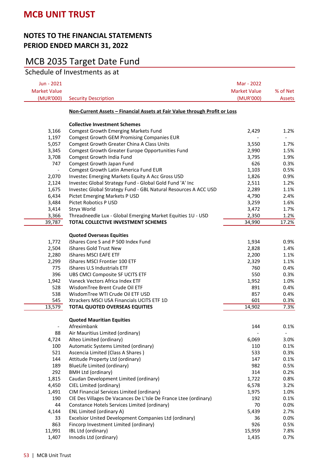## MCB 2035 Target Date Fund

Schedule of Investments as at

| Jun - 2021               |                                                                            | Mar - 2022          |               |
|--------------------------|----------------------------------------------------------------------------|---------------------|---------------|
| <b>Market Value</b>      |                                                                            | <b>Market Value</b> | % of Net      |
| (MUR'000)                | <b>Security Description</b>                                                | (MUR'000)           | <b>Assets</b> |
|                          | Non-Current Assets - Financial Assets at Fair Value through Profit or Loss |                     |               |
|                          | <b>Collective Investment Schemes</b>                                       |                     |               |
| 3,166                    | <b>Comgest Growth Emerging Markets Fund</b>                                | 2,429               | 1.2%          |
| 1,197                    | Comgest Growth GEM Promising Companies EUR                                 |                     |               |
| 5,057                    | Comgest Growth Greater China A Class Units                                 | 3,550               | 1.7%          |
| 3,345                    | Comgest Growth Greater Europe Opportunities Fund                           | 2,990               | 1.5%          |
| 3,708                    | Comgest Growth India Fund                                                  | 3,795               | 1.9%          |
| 747                      | Comgest Growth Japan Fund                                                  | 626                 | 0.3%          |
| $\overline{\phantom{a}}$ | Comgest Growth Latin America Fund EUR                                      | 1,103               | 0.5%          |
| 2,070                    | Investec Emerging Markets Equity A Acc Gross USD                           | 1,826               | 0.9%          |
| 2,124                    | Investec Global Strategy Fund - Global Gold Fund 'A' Inc                   | 2,511               | 1.2%          |
| 1,675                    | Investec Global Strategy Fund - GBL Natural Resources A ACC USD            | 2,289               | 1.1%          |
| 6,434                    | Pictet Emerging Markets P USD                                              | 4,790               | 2.4%          |
| 3,484                    | Pictet Robotics P USD                                                      | 3,259               | 1.6%          |
| 3,414                    | Stryx World                                                                | 3,472               | 1.7%          |
| 3,366                    | Threadneedle Lux - Global Emerging Market Equities 1U - USD                | 2,350               | 1.2%          |
| 39,787                   | TOTAL COLLECTIVE INVESTMENT SCHEMES                                        | 34,990              | 17.2%         |
|                          |                                                                            |                     |               |
|                          | <b>Quoted Overseas Equities</b>                                            |                     |               |
| 1,772                    | iShares Core S and P 500 Index Fund                                        | 1,934               | 0.9%          |
| 2,504                    | iShares Gold Trust New                                                     | 2,828               | 1.4%          |
| 2,280                    | iShares MSCI EAFE ETF                                                      | 2,200               | 1.1%          |
| 2,299                    | iShares MSCI Frontier 100 ETF                                              | 2,329               | 1.1%          |
| 775                      | iShares U.S Industrials ETF                                                | 760                 | 0.4%          |
| 396                      | UBS CMCI Composite SF UCITS ETF                                            | 550                 | 0.3%          |
| 1,942                    | Vaneck Vectors Africa Index ETF                                            | 1,952               | 1.0%          |
| 528                      | WisdomTree Brent Crude Oil ETF                                             | 891                 | 0.4%          |
| 538                      | WisdomTree WTI Crude Oil ETF USD                                           | 857                 | 0.4%          |
| 545                      | Xtrackers MSCI USA Financials UCITS ETF 1D                                 | 601                 | 0.3%          |
| 13,579                   | <b>TOTAL QUOTED OVERSEAS EQUITIES</b>                                      | 14,902              | 7.3%          |
|                          | <b>Quoted Mauritian Equities</b>                                           |                     |               |
| $\overline{\phantom{a}}$ | Afreximbank                                                                | 144                 | 0.1%          |
| 88                       | Air Mauritius Limited (ordinary)                                           |                     |               |
| 4,724                    | Alteo Limited (ordinary)                                                   | 6,069               | 3.0%          |
| 100                      | Automatic Systems Limited (ordinary)                                       | 110                 | 0.1%          |
| 521                      | Ascencia Limited (Class A Shares)                                          | 533                 | 0.3%          |
| 144                      | Attitude Property Ltd (ordinary)                                           | 147                 | 0.1%          |
| 189                      | BlueLife Limited (ordinary)                                                | 982                 | 0.5%          |
| 292                      | <b>BMH Ltd (ordinary)</b>                                                  | 314                 | 0.2%          |
| 1,815                    | Caudan Development Limited (ordinary)                                      | 1,722               | 0.8%          |
| 4,450                    | CIEL Limited (ordinary)                                                    | 6,578               | 3.2%          |
| 1,491                    | CIM Financial Services Limited (ordinary)                                  | 1,975               | 1.0%          |
| 190                      | CIE Des Villages De Vacances De L'Isle De France Ltee (ordinary)           | 192                 | 0.1%          |
| 44                       | Constance Hotels Services Limited (ordinary)                               | 70                  | 0.0%          |
| 4,144                    | ENL Limited (ordinary A)                                                   | 5,439               | 2.7%          |
| 33                       | Excelsior United Development Companies Ltd (ordinary)                      | 36                  | 0.0%          |
| 863                      | Fincorp Investment Limited (ordinary)                                      | 926                 | 0.5%          |
| 11,991                   | IBL Ltd (ordinary)                                                         | 15,959              | 7.8%          |
| 1,407                    | Innodis Ltd (ordinary)                                                     | 1,435               | 0.7%          |
|                          |                                                                            |                     |               |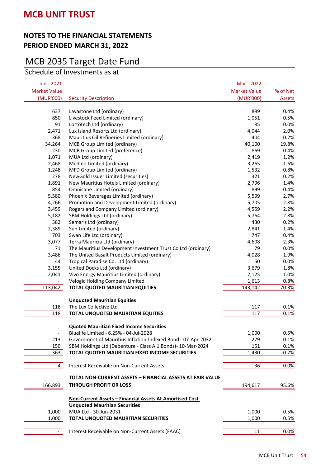# MCB 2035 Target Date Fund

Schedule of Investments as at

| Jun - 2021               |                                                                 | Mar - 2022          |          |
|--------------------------|-----------------------------------------------------------------|---------------------|----------|
| <b>Market Value</b>      |                                                                 | <b>Market Value</b> | % of Net |
| (MUR'000)                | <b>Security Description</b>                                     | (MUR'000)           | Assets   |
|                          |                                                                 |                     |          |
| 637                      | Lavastone Ltd (ordinary)                                        | 899                 | 0.4%     |
| 850                      | Livestock Feed Limited (ordinary)                               | 1,051               | 0.5%     |
| 91                       | Lottotech Ltd (ordinary)                                        | 85                  | 0.0%     |
| 2,471                    | Lux Island Resorts Ltd (ordinary)                               | 4,044               | 2.0%     |
| 368                      | Mauritius Oil Refineries Limited (ordinary)                     | 404                 | 0.2%     |
| 34,264                   | MCB Group Limited (ordinary)                                    | 40,100              | 19.8%    |
| 230                      | MCB Group Limited (preference)                                  | 869                 | 0.4%     |
| 1,071                    | MUA Ltd (ordinary)                                              | 2,419               | 1.2%     |
| 2,468                    | Medine Limited (ordinary)                                       | 3,265               | 1.6%     |
| 1,248                    | MFD Group Limited (ordinary)                                    | 1,532               | 0.8%     |
| 278                      | NewGold Issuer Limited (securities)                             | 321                 | 0.2%     |
| 1,891                    | New Mauritius Hotels Limited (ordinary)                         | 2,796               | 1.4%     |
| 854                      | Omnicane Limited (ordinary)                                     | 899                 | 0.4%     |
| 5,580                    | Phoenix Beverages Limited (ordinary)                            | 5,599               | 2.7%     |
| 4,266                    | Promotion and Development Limited (ordinary)                    | 5,705               | 2.8%     |
| 3,459                    | Rogers and Company Limited (ordinary)                           | 4,559               | 2.2%     |
| 5,182                    | SBM Holdings Ltd (ordinary)                                     | 5,764               | 2.8%     |
| 382                      | Semaris Ltd (ordinary)                                          | 430                 | 0.2%     |
| 2,389                    | Sun Limited (ordinary)                                          | 2,841               | 1.4%     |
| 703                      | Swan Life Ltd (ordinary)                                        | 747                 | 0.4%     |
| 3,077                    | Terra Mauricia Ltd (ordinary)                                   | 4,608               | 2.3%     |
| 71                       | The Mauritius Development Investment Trust Co Ltd (ordinary)    | 79                  | 0.0%     |
| 3,486                    | The United Basalt Products Limited (ordinary)                   | 4,028               | 1.9%     |
| 44                       | Tropical Paradise Co. Ltd (ordinary)                            | 50                  | 0.0%     |
| 3,155                    | United Docks Ltd (ordinary)                                     | 3,679               | 1.8%     |
| 2,041                    | Vivo Energy Mauritius Limited (ordinary)                        | 2,125               | 1.0%     |
|                          | Velogic Holding Company Limited                                 | 1,613               | 0.8%     |
| 113,042                  | TOTAL QUOTED MAURITIAN EQUITIES                                 | 143,142             | 70.3%    |
|                          | <b>Unquoted Mauritian Equities</b>                              |                     |          |
| 118                      | The Lux Collective Ltd                                          | 117                 | 0.1%     |
| 118                      | TOTAL UNQUOTED MAURITIAN EQUITIES                               | 117                 | 0.1%     |
|                          |                                                                 |                     |          |
|                          | <b>Quoted Mauritian Fixed Income Securities</b>                 |                     |          |
| $\overline{\phantom{a}}$ | Bluelife Limited - 6.25% - 04-Jul-2028                          | 1,000               | 0.5%     |
| 213                      | Government of Mauritius Inflation-Indexed Bond - 07-Apr-2032    | 279                 | 0.1%     |
| 150                      | SBM Holdings Ltd (Debenture - Class A 1 Bonds)- 10-Mar-2024     | 151                 | 0.1%     |
| 363                      | TOTAL QUOTED MAURITIAN FIXED INCOME SECURITIES                  | 1,430               | 0.7%     |
| $\overline{4}$           | Interest Receivable on Non-Current Assets                       | 36                  | $0.0\%$  |
|                          | TOTAL NON-CURRENT ASSETS - FINANCIAL ASSETS AT FAIR VALUE       |                     |          |
| 166,893                  | <b>THROUGH PROFIT OR LOSS</b>                                   | 194,617             | 95.6%    |
|                          |                                                                 |                     |          |
|                          | <u> Non-Current Assets - Financial Assets At Amortised Cost</u> |                     |          |
|                          | <b>Unquoted Mauritian Securities</b>                            |                     |          |
| 1,000                    | MUA Ltd - 30-Jun-2031                                           | 1,000               | 0.5%     |
| 1,000                    | TOTAL UNQUOTED MAURITIAN SECURITIES                             | 1,000               | 0.5%     |
| $\blacksquare$           | Interest Receivable on Non-Current Assets (FAAC)                | 11                  | 0.0%     |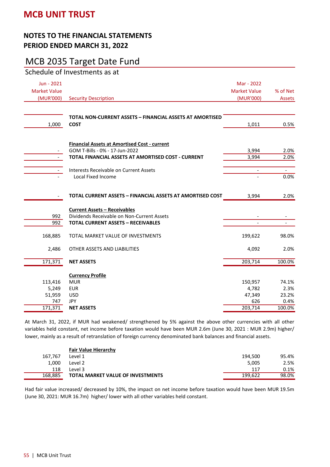## MCB 2035 Target Date Fund

Schedule of Investments as at

| Jun - 2021<br><b>Market Value</b>            |                                                                                                                                             | Mar - 2022<br><b>Market Value</b>            | % of Net                                 |
|----------------------------------------------|---------------------------------------------------------------------------------------------------------------------------------------------|----------------------------------------------|------------------------------------------|
| (MUR'000)                                    | <b>Security Description</b>                                                                                                                 | (MUR'000)                                    | <b>Assets</b>                            |
| 1,000                                        | <b>TOTAL NON-CURRENT ASSETS - FINANCIAL ASSETS AT AMORTISED</b><br><b>COST</b>                                                              | 1,011                                        | 0.5%                                     |
|                                              | <b>Financial Assets at Amortised Cost - current</b><br>GOM T-Bills - 0% - 17-Jun-2022<br>TOTAL FINANCIAL ASSETS AT AMORTISED COST - CURRENT | 3,994<br>3,994                               | 2.0%<br>2.0%                             |
|                                              | Interests Receivable on Current Assets<br>Local Fixed Income                                                                                |                                              | $\equiv$<br>0.0%                         |
|                                              | <b>TOTAL CURRENT ASSETS - FINANCIAL ASSETS AT AMORTISED COST</b>                                                                            | 3,994                                        | 2.0%                                     |
| 992<br>992                                   | <b>Current Assets - Receivables</b><br>Dividends Receivable on Non-Current Assets<br><b>TOTAL CURRENT ASSETS - RECEIVABLES</b>              | $\overline{\phantom{a}}$                     | $\overline{\phantom{a}}$                 |
| 168,885                                      | TOTAL MARKET VALUE OF INVESTMENTS                                                                                                           | 199,622                                      | 98.0%                                    |
| 2,486                                        | OTHER ASSETS AND LIABILITIES                                                                                                                | 4,092                                        | 2.0%                                     |
| 171,371                                      | <b>NET ASSETS</b>                                                                                                                           | 203,714                                      | 100.0%                                   |
| 113,416<br>5,249<br>51,959<br>747<br>171,371 | <b>Currency Profile</b><br><b>MUR</b><br><b>EUR</b><br><b>USD</b><br><b>JPY</b><br><b>NET ASSETS</b>                                        | 150,957<br>4,782<br>47,349<br>626<br>203,714 | 74.1%<br>2.3%<br>23.2%<br>0.4%<br>100.0% |
|                                              |                                                                                                                                             |                                              |                                          |

At March 31, 2022, if MUR had weakened/ strengthened by 5% against the above other currencies with all other variables held constant, net income before taxation would have been MUR 2.6m (June 30, 2021 : MUR 2.9m) higher/ lower, mainly as a result of retranslation of foreign currency denominated bank balances and financial assets.

|         | <b>Fair Value Hierarchy</b>              |         |       |
|---------|------------------------------------------|---------|-------|
| 167.767 | Level 1                                  | 194.500 | 95.4% |
| 1.000   | Level 2                                  | 5.005   | 2.5%  |
| 118     | Level 3                                  | 117     | 0.1%  |
| 168.885 | <b>TOTAL MARKET VALUE OF INVESTMENTS</b> | 199.622 | 98.0% |

Had fair value increased/ decreased by 10%, the impact on net income before taxation would have been MUR 19.5m (June 30, 2021: MUR 16.7m) higher/ lower with all other variables held constant.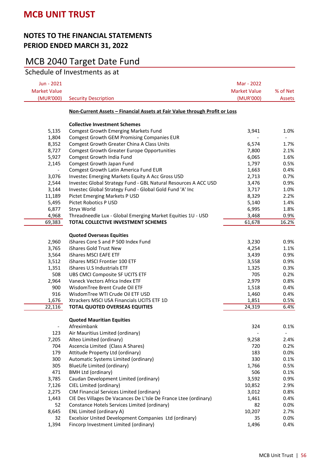## MCB 2040 Target Date Fund

Schedule of Investments as at

| Jun - 2021               |                                                                            | Mar - 2022               |                              |
|--------------------------|----------------------------------------------------------------------------|--------------------------|------------------------------|
| <b>Market Value</b>      |                                                                            | <b>Market Value</b>      | % of Net                     |
| (MUR'000)                | <b>Security Description</b>                                                | (MUR'000)                | <b>Assets</b>                |
|                          | Non-Current Assets - Financial Assets at Fair Value through Profit or Loss |                          |                              |
|                          | <b>Collective Investment Schemes</b>                                       |                          |                              |
| 5,135                    | <b>Comgest Growth Emerging Markets Fund</b>                                | 3,941                    | 1.0%                         |
| 1,804                    | <b>Comgest Growth GEM Promising Companies EUR</b>                          | $\overline{\phantom{a}}$ | $\qquad \qquad \blacksquare$ |
| 8,352                    | Comgest Growth Greater China A Class Units                                 | 6,574                    | 1.7%                         |
| 8,727                    | <b>Comgest Growth Greater Europe Opportunities</b>                         | 7,800                    | 2.1%                         |
| 5,927                    | Comgest Growth India Fund                                                  | 6,065                    | 1.6%                         |
| 2,145                    | Comgest Growth Japan Fund                                                  | 1,797                    | 0.5%                         |
| $\overline{\phantom{a}}$ | Comgest Growth Latin America Fund EUR                                      | 1,663                    | 0.4%                         |
| 3,076                    | Investec Emerging Markets Equity A Acc Gross USD                           | 2,713                    | 0.7%                         |
| 2,544                    | Investec Global Strategy Fund - GBL Natural Resources A ACC USD            | 3,476                    | 0.9%                         |
| 3,144                    | Investec Global Strategy Fund - Global Gold Fund 'A' Inc                   | 3,717                    | 1.0%                         |
| 11,189                   | Pictet Emerging Markets P USD                                              | 8,329                    | 2.2%                         |
| 5,495                    | Pictet Robotics P USD                                                      | 5,140                    | 1.4%                         |
| 6,877                    | Stryx World                                                                | 6,995                    | 1.8%                         |
| 4,968                    | Threadneedle Lux - Global Emerging Market Equities 1U - USD                | 3,468                    | 0.9%                         |
| 69,383                   | TOTAL COLLECTIVE INVESTMENT SCHEMES                                        | 61,678                   | 16.2%                        |
|                          | <b>Quoted Overseas Equities</b>                                            |                          |                              |
| 2,960                    | iShares Core S and P 500 Index Fund                                        | 3,230                    | 0.9%                         |
| 3,765                    | iShares Gold Trust New                                                     | 4,254                    | 1.1%                         |
| 3,564                    | <b>iShares MSCI EAFE ETF</b>                                               | 3,439                    | 0.9%                         |
| 3,512                    | iShares MSCI Frontier 100 ETF                                              | 3,558                    | 0.9%                         |
| 1,351                    | iShares U.S Industrials ETF                                                | 1,325                    | 0.3%                         |
| 508                      | UBS CMCI Composite SF UCITS ETF                                            | 705                      | 0.2%                         |
| 2,964                    | Vaneck Vectors Africa Index ETF                                            | 2,979                    | 0.8%                         |
| 900                      | WisdomTree Brent Crude Oil ETF                                             | 1,518                    | 0.4%                         |
| 916                      | WisdomTree WTI Crude Oil ETF USD                                           | 1,460                    | 0.4%                         |
| 1,676                    | Xtrackers MSCI USA Financials UCITS ETF 1D                                 | 1,851                    | 0.5%                         |
| 22,116                   | <b>TOTAL QUOTED OVERSEAS EQUITIES</b>                                      | 24,319                   | 6.4%                         |
|                          |                                                                            |                          |                              |
|                          | <b>Quoted Mauritian Equities</b>                                           |                          |                              |
| $\blacksquare$           | Afreximbank                                                                | 324                      | 0.1%                         |
| 123                      | Air Mauritius Limited (ordinary)                                           |                          |                              |
| 7,205                    | Alteo Limited (ordinary)                                                   | 9,258                    | 2.4%                         |
| 704                      | Ascencia Limited (Class A Shares)                                          | 720                      | 0.2%                         |
| 179                      | Attitude Property Ltd (ordinary)                                           | 183                      | 0.0%                         |
| 300                      | Automatic Systems Limited (ordinary)                                       | 330                      | 0.1%                         |
| 305                      | BlueLife Limited (ordinary)                                                | 1,766                    | 0.5%                         |
| 471                      | <b>BMH Ltd (ordinary)</b>                                                  | 506                      | 0.1%                         |
| 3,785                    | Caudan Development Limited (ordinary)                                      | 3,592                    | 0.9%                         |
| 7,126                    | CIEL Limited (ordinary)                                                    | 10,852                   | 2.9%                         |
| 2,275                    | CIM Financial Services Limited (ordinary)                                  | 3,012                    | 0.8%                         |
| 1,443                    | CIE Des Villages De Vacances De L'Isle De France Ltee (ordinary)           | 1,461                    | 0.4%                         |
| 52                       | Constance Hotels Services Limited (ordinary)                               | 82                       | 0.0%                         |
| 8,645                    | ENL Limited (ordinary A)                                                   | 10,207                   | 2.7%                         |
| 32                       | Excelsior United Development Companies Ltd (ordinary)                      | 35                       | 0.0%                         |
| 1,394                    | Fincorp Investment Limited (ordinary)                                      | 1,496                    | 0.4%                         |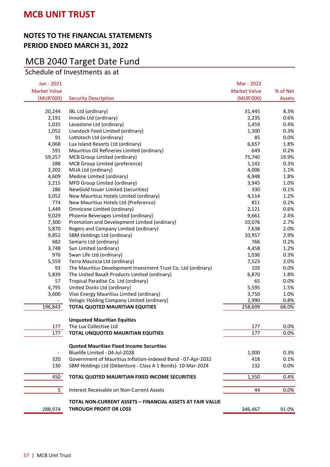# MCB 2040 Target Date Fund

Schedule of Investments as at

| Jun - 2021               |                                                                  | Mar - 2022          |          |
|--------------------------|------------------------------------------------------------------|---------------------|----------|
| <b>Market Value</b>      |                                                                  | <b>Market Value</b> | % of Net |
| (MUR'000)                | <b>Security Description</b>                                      | (MUR'000)           | Assets   |
|                          |                                                                  |                     |          |
| 20,244                   | IBL Ltd (ordinary)                                               | 31,445              | 8.3%     |
| 2,191                    | Innodis Ltd (ordinary)                                           | 2,235               | 0.6%     |
| 1,035                    | Lavastone Ltd (ordinary)                                         | 1,459               | 0.4%     |
| 1,052                    | Livestock Feed Limited (ordinary)                                | 1,300               | 0.3%     |
| 91                       | Lottotech Ltd (ordinary)                                         | 85                  | 0.0%     |
| 4,068                    | Lux Island Resorts Ltd (ordinary)                                | 6,657               | 1.8%     |
| 591                      | Mauritius Oil Refineries Limited (ordinary)                      | 649                 | 0.2%     |
| 59,257                   | MCB Group Limited (ordinary)                                     | 75,740              | 19.9%    |
| 288                      | MCB Group Limited (preference)                                   | 1,142               | 0.3%     |
| 3,202                    | MUA Ltd (ordinary)                                               | 4,006               | 1.1%     |
| 4,609                    | Medine Limited (ordinary)                                        | 6,948               | 1.8%     |
| 3,215                    | MFD Group Limited (ordinary)                                     | 3,945               | 1.0%     |
| 286                      | NewGold Issuer Limited (securities)                              | 330                 | 0.1%     |
| 3,052                    | New Mauritius Hotels Limited (ordinary)                          | 4,514               | 1.2%     |
| 774                      | New Mauritius Hotels Ltd (Preference)                            | 811                 | 0.2%     |
| 1,449                    | Omnicane Limited (ordinary)                                      | 2,121               | 0.6%     |
| 9,029                    | Phoenix Beverages Limited (ordinary)                             | 9,661               | 2.4%     |
| 7,300                    | Promotion and Development Limited (ordinary)                     | 10,076              | 2.7%     |
| 5,870                    | Rogers and Company Limited (ordinary)                            | 7,638               | 2.0%     |
| 9,852                    | SBM Holdings Ltd (ordinary)                                      | 10,957              | 2.9%     |
| 682                      | Semaris Ltd (ordinary)                                           | 766                 | 0.2%     |
| 3,748                    | Sun Limited (ordinary)                                           | 4,458               | 1.2%     |
| 976                      | Swan Life Ltd (ordinary)                                         | 1,036               | 0.3%     |
| 5,559                    | Terra Mauricia Ltd (ordinary)                                    | 7,523               | 2.0%     |
| 93                       | The Mauritius Development Investment Trust Co. Ltd (ordinary)    | 103                 | 0.0%     |
| 5,839                    | The United Basalt Products Limited (ordinary)                    | 6,870               | 1.8%     |
| 57                       | Tropical Paradise Co. Ltd (ordinary)                             | 65                  | 0.0%     |
| 4,795                    | United Docks Ltd (ordinary)                                      | 5,595               | 1.5%     |
| 3,600                    | Vivo Energy Mauritius Limited (ordinary)                         | 3,750               | 1.0%     |
|                          | Velogic Holding Company Limited (ordinary)                       | 2,990               | 0.8%     |
| 196,843                  | <b>TOTAL QUOTED MAURITIAN EQUITIES</b>                           | 258,699             | 68.0%    |
|                          |                                                                  |                     |          |
|                          | <b>Unquoted Mauritian Equities</b>                               |                     |          |
| 177                      | The Lux Collective Ltd                                           | 177                 | 0.0%     |
| 177                      | TOTAL UNQUOTED MAURITIAN EQUITIES                                | 177                 | 0.0%     |
|                          | <b>Quoted Mauritian Fixed Income Securities</b>                  |                     |          |
| $\overline{\phantom{a}}$ | Bluelife Limited - 04-Jul-2028                                   | 1,000               | 0.3%     |
| 320                      | Government of Mauritius Inflation-Indexed Bond - 07-Apr-2032     | 418                 | 0.1%     |
| 130                      | SBM Holdings Ltd (Debenture - Class A 1 Bonds)- 10-Mar-2024      | 132                 | 0.0%     |
|                          |                                                                  |                     |          |
| 450                      | TOTAL QUOTED MAURITIAN FIXED INCOME SECURITIES                   | 1,550               | 0.4%     |
| 5                        | Interest Receivable on Non-Current Assets                        | 44                  | 0.0%     |
|                          | <b>TOTAL NON-CURRENT ASSETS - FINANCIAL ASSETS AT FAIR VALUE</b> |                     |          |
| 288,974                  | <b>THROUGH PROFIT OR LOSS</b>                                    | 346,467             | 91.0%    |
|                          |                                                                  |                     |          |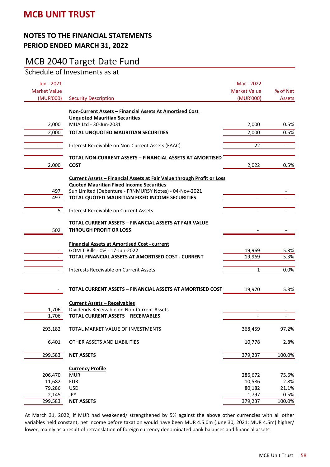# MCB 2040 Target Date Fund

Schedule of Investments as at

| Jun - 2021                       |                                                                               | Mar - 2022                       | % of Net       |
|----------------------------------|-------------------------------------------------------------------------------|----------------------------------|----------------|
| <b>Market Value</b><br>(MUR'000) | <b>Security Description</b>                                                   | <b>Market Value</b><br>(MUR'000) | Assets         |
|                                  |                                                                               |                                  |                |
|                                  | Non-Current Assets - Financial Assets At Amortised Cost                       |                                  |                |
|                                  | <b>Unquoted Mauritian Securities</b>                                          |                                  |                |
| 2,000                            | MUA Ltd - 30-Jun-2031                                                         | 2,000                            | 0.5%           |
| 2,000                            | TOTAL UNQUOTED MAURITIAN SECURITIES                                           | 2,000                            | 0.5%           |
|                                  |                                                                               |                                  |                |
| $\overline{\phantom{a}}$         | Interest Receivable on Non-Current Assets (FAAC)                              | 22                               | $\blacksquare$ |
|                                  |                                                                               |                                  |                |
|                                  | <b>TOTAL NON-CURRENT ASSETS - FINANCIAL ASSETS AT AMORTISED</b>               |                                  |                |
| 2,000                            | <b>COST</b>                                                                   | 2,022                            | 0.5%           |
|                                  |                                                                               |                                  |                |
|                                  | <u>Current Assets - Financial Assets at Fair Value through Profit or Loss</u> |                                  |                |
|                                  | <b>Quoted Mauritian Fixed Income Securities</b>                               |                                  |                |
| 497                              | Sun Limited (Debenture - FRNMUR5Y Notes) - 04-Nov-2021                        |                                  |                |
| 497                              | TOTAL QUOTED MAURITIAN FIXED INCOME SECURITIES                                | $\overline{\phantom{a}}$         |                |
| 5                                | Interest Receivable on Current Assets                                         | $\blacksquare$                   |                |
|                                  |                                                                               |                                  |                |
|                                  | TOTAL CURRENT ASSETS - FINANCIAL ASSETS AT FAIR VALUE                         |                                  |                |
| 502                              | <b>THROUGH PROFIT OR LOSS</b>                                                 |                                  |                |
|                                  |                                                                               |                                  |                |
|                                  | <b>Financial Assets at Amortised Cost - current</b>                           |                                  |                |
|                                  | GOM T-Bills - 0% - 17-Jun-2022                                                | 19,969                           | 5.3%           |
|                                  | TOTAL FINANCIAL ASSETS AT AMORTISED COST - CURRENT                            | 19,969                           | 5.3%           |
|                                  |                                                                               |                                  |                |
|                                  | Interests Receivable on Current Assets                                        | $\mathbf{1}$                     | 0.0%           |
|                                  |                                                                               |                                  |                |
|                                  |                                                                               |                                  |                |
|                                  | TOTAL CURRENT ASSETS - FINANCIAL ASSETS AT AMORTISED COST                     | 19,970                           | 5.3%           |
|                                  |                                                                               |                                  |                |
|                                  | <b>Current Assets - Receivables</b>                                           |                                  |                |
| 1,706                            | Dividends Receivable on Non-Current Assets                                    |                                  |                |
| 1,706                            | <b>TOTAL CURRENT ASSETS - RECEIVABLES</b>                                     |                                  |                |
|                                  |                                                                               |                                  |                |
| 293,182                          | TOTAL MARKET VALUE OF INVESTMENTS                                             | 368,459                          | 97.2%          |
| 6,401                            | OTHER ASSETS AND LIABILITIES                                                  | 10,778                           | 2.8%           |
|                                  |                                                                               |                                  |                |
| 299,583                          | <b>NET ASSETS</b>                                                             | 379,237                          | 100.0%         |
|                                  |                                                                               |                                  |                |
|                                  | <b>Currency Profile</b>                                                       |                                  |                |
| 206,470                          | <b>MUR</b>                                                                    | 286,672                          | 75.6%          |
| 11,682                           | <b>EUR</b>                                                                    | 10,586                           | 2.8%           |
| 79,286                           | <b>USD</b>                                                                    | 80,182                           | 21.1%          |
| 2,145                            | JPY                                                                           | 1,797                            | 0.5%           |
| 299,583                          | <b>NET ASSETS</b>                                                             | 379,237                          | 100.0%         |

At March 31, 2022, if MUR had weakened/ strengthened by 5% against the above other currencies with all other variables held constant, net income before taxation would have been MUR 4.5.0m (June 30, 2021: MUR 4.5m) higher/ lower, mainly as a result of retranslation of foreign currency denominated bank balances and financial assets.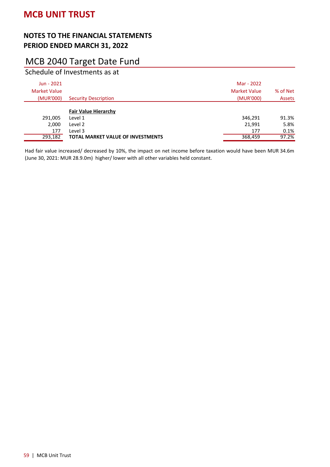# MCB 2040 Target Date Fund

Schedule of Investments as at

| Jun - 2021<br><b>Market Value</b><br>(MUR'000) | <b>Security Description</b>              | Mar - 2022<br><b>Market Value</b><br>(MUR'000) | % of Net<br>Assets |
|------------------------------------------------|------------------------------------------|------------------------------------------------|--------------------|
|                                                | <b>Fair Value Hierarchy</b>              |                                                |                    |
| 291,005                                        | Level 1                                  | 346,291                                        | 91.3%              |
| 2,000                                          | Level 2                                  | 21,991                                         | 5.8%               |
| 177                                            | Level 3                                  | 177                                            | 0.1%               |
| 293,182                                        | <b>TOTAL MARKET VALUE OF INVESTMENTS</b> | 368,459                                        | 97.2%              |

Had fair value increased/ decreased by 10%, the impact on net income before taxation would have been MUR 34.6m (June 30, 2021: MUR 28.9.0m) higher/ lower with all other variables held constant.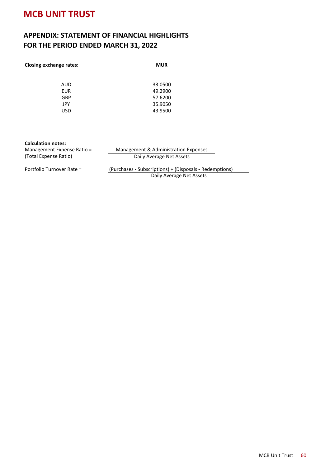### **APPENDIX: STATEMENT OF FINANCIAL HIGHLIGHTS FOR THE PERIOD ENDED MARCH 31, 2022**

| <b>MUR</b> |
|------------|
|            |
| 33.0500    |
| 49.2900    |
| 57.6200    |
| 35.9050    |
| 43.9500    |
|            |

#### **Calculation notes:**

Management Expense Ratio = Management & Administration Expenses Daily Average Net Assets

Portfolio Turnover Rate = (Purchases - Subscriptions) + (Disposals - Redemptions) Daily Average Net Assets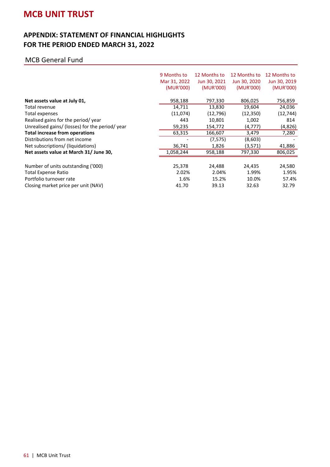#### **APPENDIX: STATEMENT OF FINANCIAL HIGHLIGHTS FOR THE PERIOD ENDED MARCH 31, 2022**

|                                                 | 9 Months to<br>Mar 31, 2022<br>(MUR'000) | 12 Months to<br>Jun 30, 2021<br>(MUR'000) | 12 Months to<br>Jun 30, 2020<br>(MUR'000) | 12 Months to<br>Jun 30, 2019<br>(MUR'000) |
|-------------------------------------------------|------------------------------------------|-------------------------------------------|-------------------------------------------|-------------------------------------------|
| Net assets value at July 01,                    | 958,188                                  | 797,330                                   | 806,025                                   | 756,859                                   |
| Total revenue                                   | 14,711                                   | 13,830                                    | 19,604                                    | 24,036                                    |
| Total expenses                                  | (11,074)                                 | (12, 796)                                 | (12, 350)                                 | (12, 744)                                 |
| Realised gains for the period/year              | 443                                      | 10,801                                    | 1,002                                     | 814                                       |
| Unrealised gains/ (losses) for the period/ year | 59,235                                   | 154,772                                   | (4,777)                                   | (4,826)                                   |
| Total increase from operations                  | 63,315                                   | 166,607                                   | 3,479                                     | 7,280                                     |
| Distributions from net income                   |                                          | (7, 575)                                  | (8,603)                                   |                                           |
| Net subscriptions/ (liquidations)               | 36,741                                   | 1,826                                     | (3,571)                                   | 41,886                                    |
| Net assets value at March 31/ June 30,          | 1,058,244                                | 958,188                                   | 797,330                                   | 806,025                                   |
|                                                 |                                          |                                           |                                           |                                           |
| Number of units outstanding ('000)              | 25,378                                   | 24,488                                    | 24,435                                    | 24,580                                    |
| <b>Total Expense Ratio</b>                      | 2.02%                                    | 2.04%                                     | 1.99%                                     | 1.95%                                     |
| Portfolio turnover rate                         | 1.6%                                     | 15.2%                                     | 10.0%                                     | 57.4%                                     |
| Closing market price per unit (NAV)             | 41.70                                    | 39.13                                     | 32.63                                     | 32.79                                     |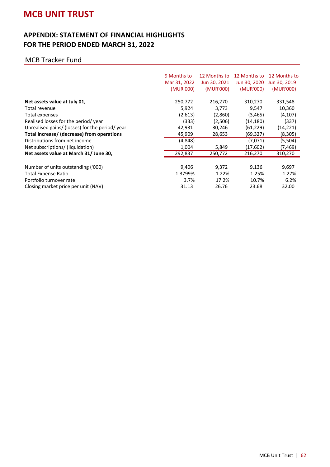#### **APPENDIX: STATEMENT OF FINANCIAL HIGHLIGHTS FOR THE PERIOD ENDED MARCH 31, 2022**

#### MCB Tracker Fund

|                                                 | 9 Months to  | 12 Months to | 12 Months to | 12 Months to |
|-------------------------------------------------|--------------|--------------|--------------|--------------|
|                                                 | Mar 31, 2022 | Jun 30, 2021 | Jun 30, 2020 | Jun 30, 2019 |
|                                                 | (MUR'000)    | (MUR'000)    | (MUR'000)    | (MUR'000)    |
| Net assets value at July 01,                    | 250,772      | 216,270      | 310,270      | 331,548      |
| Total revenue                                   | 5,924        | 3,773        | 9,547        | 10,360       |
| Total expenses                                  | (2,613)      | (2,860)      | (3, 465)     | (4,107)      |
| Realised losses for the period/year             | (333)        | (2,506)      | (14,180)     | (337)        |
| Unrealised gains/ (losses) for the period/ year | 42,931       | 30,246       | (61,229)     | (14,221)     |
| Total increase/ (decrease) from operations      | 45,909       | 28,653       | (69,327)     | (8,305)      |
| Distributions from net income                   | (4,848)      |              | (7,071)      | (5,504)      |
| Net subscriptions/ (liquidation)                | 1,004        | 5,849        | (17,602)     | (7,469)      |
| Net assets value at March 31/ June 30,          | 292,837      | 250,772      | 216,270      | 310,270      |
|                                                 |              |              |              |              |
| Number of units outstanding ('000)              | 9,406        | 9,372        | 9,136        | 9,697        |
| Total Expense Ratio                             | 1.3799%      | 1.22%        | 1.25%        | 1.27%        |
| Portfolio turnover rate                         | 3.7%         | 17.2%        | 10.7%        | 6.2%         |
| Closing market price per unit (NAV)             | 31.13        | 26.76        | 23.68        | 32.00        |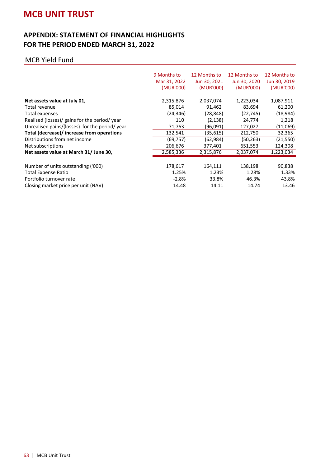#### **APPENDIX: STATEMENT OF FINANCIAL HIGHLIGHTS FOR THE PERIOD ENDED MARCH 31, 2022**

#### MCB Yield Fund

|                                                | 9 Months to  | 12 Months to | 12 Months to | 12 Months to |
|------------------------------------------------|--------------|--------------|--------------|--------------|
|                                                | Mar 31, 2022 | Jun 30, 2021 | Jun 30, 2020 | Jun 30, 2019 |
|                                                | (MUR'000)    | (MUR'000)    | (MUR'000)    | (MUR'000)    |
| Net assets value at July 01,                   | 2,315,876    | 2,037,074    | 1,223,034    | 1,087,911    |
| Total revenue                                  | 85,014       | 91,462       | 83,694       | 61,200       |
| Total expenses                                 | (24, 346)    | (28, 848)    | (22, 745)    | (18, 984)    |
| Realised (losses)/ gains for the period/ year  | 110          | (2, 138)     | 24,774       | 1,218        |
| Unrealised gains/(losses) for the period/ year | 71,763       | (96,091)     | 127,027      | (11,069)     |
| Total (decrease)/ increase from operations     | 132,541      | (35,615)     | 212,750      | 32,365       |
| Distributions from net income                  | (69, 757)    | (62, 984)    | (50, 263)    | (21, 550)    |
| Net subscriptions                              | 206,676      | 377,401      | 651,553      | 124,308      |
| Net assets value at March 31/ June 30,         | 2,585,336    | 2,315,876    | 2,037,074    | 1,223,034    |
|                                                |              |              |              |              |
| Number of units outstanding ('000)             | 178,617      | 164,111      | 138,198      | 90,838       |
| Total Expense Ratio                            | 1.25%        | 1.23%        | 1.28%        | 1.33%        |
| Portfolio turnover rate                        | $-2.8%$      | 33.8%        | 46.3%        | 43.8%        |
| Closing market price per unit (NAV)            | 14.48        | 14.11        | 14.74        | 13.46        |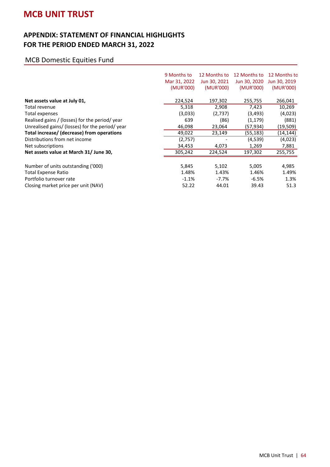#### **APPENDIX: STATEMENT OF FINANCIAL HIGHLIGHTS FOR THE PERIOD ENDED MARCH 31, 2022**

### MCB Domestic Equities Fund

|                                                 | 9 Months to  | 12 Months to | 12 Months to | 12 Months to |
|-------------------------------------------------|--------------|--------------|--------------|--------------|
|                                                 | Mar 31, 2022 | Jun 30, 2021 | Jun 30, 2020 | Jun 30, 2019 |
|                                                 | (MUR'000)    | (MUR'000)    | (MUR'000)    | (MUR'000)    |
| Net assets value at July 01,                    | 224,524      | 197,302      | 255,755      | 266,041      |
| Total revenue                                   | 5,318        | 2,908        | 7,423        | 10,269       |
| Total expenses                                  | (3,033)      | (2,737)      | (3,493)      | (4,023)      |
| Realised gains / (losses) for the period/ year  | 639          | (86)         | (1,179)      | (881)        |
| Unrealised gains/ (losses) for the period/ year | 46,098       | 23,064       | (57,934)     | (19, 509)    |
| Total increase/ (decrease) from operations      | 49,022       | 23,149       | (55, 183)    | (14, 144)    |
| Distributions from net income                   | (2,757)      |              | (4,539)      | (4,023)      |
| Net subscriptions                               | 34,453       | 4,073        | 1,269        | 7,881        |
| Net assets value at March 31/ June 30,          | 305,242      | 224,524      | 197,302      | 255,755      |
|                                                 |              |              |              |              |
| Number of units outstanding ('000)              | 5,845        | 5,102        | 5,005        | 4,985        |
| Total Expense Ratio                             | 1.48%        | 1.43%        | 1.46%        | 1.49%        |
| Portfolio turnover rate                         | $-1.1%$      | $-7.7\%$     | $-6.5%$      | 1.3%         |
| Closing market price per unit (NAV)             | 52.22        | 44.01        | 39.43        | 51.3         |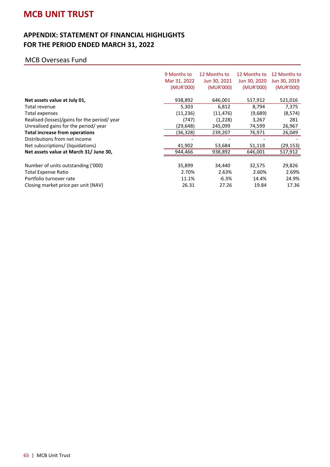#### **APPENDIX: STATEMENT OF FINANCIAL HIGHLIGHTS FOR THE PERIOD ENDED MARCH 31, 2022**

#### MCB Overseas Fund

|                                              | 9 Months to<br>Mar 31, 2022<br>(MUR'000) | 12 Months to<br>Jun 30, 2021<br>(MUR'000) | 12 Months to<br>Jun 30, 2020<br>(MUR'000) | 12 Months to<br>Jun 30, 2019<br>(MUR'000) |
|----------------------------------------------|------------------------------------------|-------------------------------------------|-------------------------------------------|-------------------------------------------|
| Net assets value at July 01,                 | 938,892                                  | 646,001                                   | 517,912                                   | 521,016                                   |
| Total revenue                                | 5,303                                    | 6,812                                     | 8,794                                     | 7,375                                     |
| Total expenses                               | (11, 236)                                | (11, 476)                                 | (9,689)                                   | (8, 574)                                  |
| Realised (losses)/gains for the period/ year | (747)                                    | (1,228)                                   | 3,267                                     | 281                                       |
| Unrealised gains for the period/year         | (29,648)                                 | 245,099                                   | 74,599                                    | 26,967                                    |
| <b>Total increase from operations</b>        | (36,328)                                 | 239,207                                   | 76,971                                    | 26,049                                    |
| Distributions from net income                |                                          |                                           |                                           |                                           |
| Net subscriptions/ (liquidations)            | 41,902                                   | 53,684                                    | 51,118                                    | (29, 153)                                 |
| Net assets value at March 31/ June 30,       | 944,466                                  | 938,892                                   | 646,001                                   | 517,912                                   |
| Number of units outstanding ('000)           | 35,899                                   | 34,440                                    | 32,575                                    | 29,826                                    |
| Total Expense Ratio                          | 2.70%                                    | 2.63%                                     | 2.60%                                     | 2.69%                                     |
| Portfolio turnover rate                      | 11.1%                                    | $-6.3%$                                   | 14.4%                                     | 24.9%                                     |
| Closing market price per unit (NAV)          | 26.31                                    | 27.26                                     | 19.84                                     | 17.36                                     |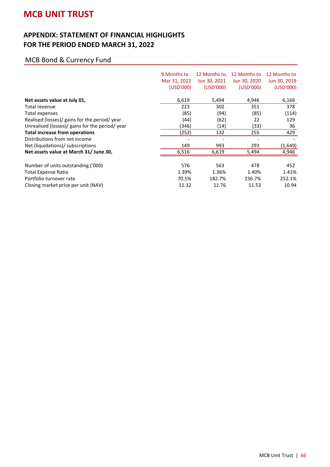#### **APPENDIX: STATEMENT OF FINANCIAL HIGHLIGHTS FOR THE PERIOD ENDED MARCH 31, 2022**

### MCB Bond & Currency Fund

|                                                 | 9 Months to<br>Mar 31, 2022<br>(USD'000) | 12 Months to<br>Jun 30, 2021<br>(USD'000) | 12 Months to<br>Jun 30, 2020<br>(USD'000) | 12 Months to<br>Jun 30, 2019<br>(USD'000) |
|-------------------------------------------------|------------------------------------------|-------------------------------------------|-------------------------------------------|-------------------------------------------|
| Net assets value at July 01,                    | 6,619                                    | 5,494                                     | 4,946                                     | 6,166                                     |
| Total revenue                                   | 223                                      | 302                                       | 351                                       | 378                                       |
| Total expenses                                  | (85)                                     | (94)                                      | (85)                                      | (114)                                     |
| Realised (losses)/ gains for the period/ year   | (44)                                     | (62)                                      | 22                                        | 129                                       |
| Unrealised (losses)/ gains for the period/ year | (346)                                    | (14)                                      | (33)                                      | 36                                        |
| <b>Total increase from operations</b>           | (252)                                    | 132                                       | 255                                       | 429                                       |
| Distributions from net income                   |                                          |                                           |                                           |                                           |
| Net (liquidations)/ subscriptions               | 149                                      | 993                                       | 293                                       | (1,649)                                   |
| Net assets value at March 31/ June 30,          | 6,516                                    | 6,619                                     | 5,494                                     | 4,946                                     |
|                                                 |                                          |                                           |                                           |                                           |
| Number of units outstanding ('000)              | 576                                      | 563                                       | 478                                       | 452                                       |
| <b>Total Expense Ratio</b>                      | 1.39%                                    | 1.36%                                     | 1.40%                                     | 1.41%                                     |
| Portfolio turnover rate                         | 70.5%                                    | 182.7%                                    | 236.7%                                    | 252.1%                                    |
| Closing market price per unit (NAV)             | 11.32                                    | 11.76                                     | 11.53                                     | 10.94                                     |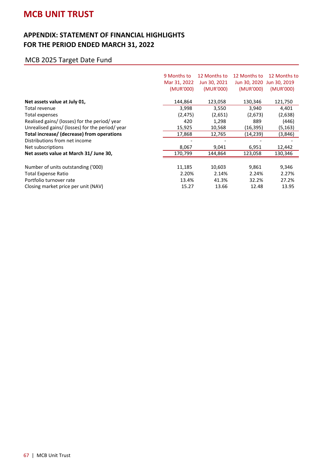#### **APPENDIX: STATEMENT OF FINANCIAL HIGHLIGHTS FOR THE PERIOD ENDED MARCH 31, 2022**

### MCB 2025 Target Date Fund

|                                                 | 9 Months to  | 12 Months to | 12 Months to | 12 Months to              |
|-------------------------------------------------|--------------|--------------|--------------|---------------------------|
|                                                 | Mar 31, 2022 | Jun 30, 2021 |              | Jun 30, 2020 Jun 30, 2019 |
|                                                 | (MUR'000)    | (MUR'000)    | (MUR'000)    | (MUR'000)                 |
| Net assets value at July 01,                    | 144,864      | 123,058      | 130,346      | 121,750                   |
| Total revenue                                   | 3,998        | 3,550        | 3,940        | 4,401                     |
| Total expenses                                  | (2, 475)     | (2,651)      | (2,673)      | (2,638)                   |
| Realised gains/ (losses) for the period/ year   | 420          | 1,298        | 889          | (446)                     |
| Unrealised gains/ (losses) for the period/ year | 15,925       | 10,568       | (16,395)     | (5, 163)                  |
| Total increase/ (decrease) from operations      | 17,868       | 12,765       | (14, 239)    | (3,846)                   |
| Distributions from net income                   |              |              |              |                           |
| Net subscriptions                               | 8,067        | 9,041        | 6,951        | 12,442                    |
| Net assets value at March 31/ June 30,          | 170,799      | 144,864      | 123,058      | 130,346                   |
|                                                 |              |              |              |                           |
| Number of units outstanding ('000)              | 11,185       | 10,603       | 9,861        | 9,346                     |
| Total Expense Ratio                             | 2.20%        | 2.14%        | 2.24%        | 2.27%                     |
| Portfolio turnover rate                         | 13.4%        | 41.3%        | 32.2%        | 27.2%                     |
| Closing market price per unit (NAV)             | 15.27        | 13.66        | 12.48        | 13.95                     |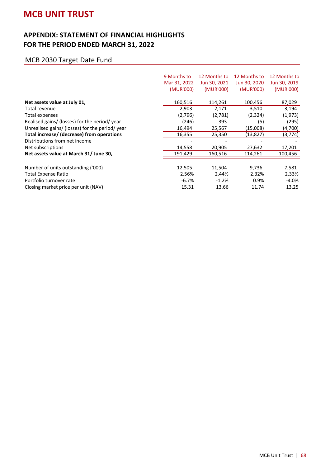#### **APPENDIX: STATEMENT OF FINANCIAL HIGHLIGHTS FOR THE PERIOD ENDED MARCH 31, 2022**

### MCB 2030 Target Date Fund

|                                                 | 9 Months to  | 12 Months to | 12 Months to | 12 Months to |
|-------------------------------------------------|--------------|--------------|--------------|--------------|
|                                                 | Mar 31, 2022 | Jun 30, 2021 | Jun 30, 2020 | Jun 30, 2019 |
|                                                 | (MUR'000)    | (MUR'000)    | (MUR'000)    | (MUR'000)    |
| Net assets value at July 01,                    | 160,516      | 114,261      | 100,456      | 87,029       |
| Total revenue                                   | 2,903        | 2,171        | 3,510        | 3,194        |
| <b>Total expenses</b>                           | (2,796)      | (2,781)      | (2,324)      | (1, 973)     |
| Realised gains/ (losses) for the period/ year   | (246)        | 393          | (5)          | (295)        |
| Unrealised gains/ (losses) for the period/ year | 16,494       | 25,567       | (15,008)     | (4,700)      |
| Total increase/ (decrease) from operations      | 16,355       | 25,350       | (13, 827)    | (3, 774)     |
| Distributions from net income                   |              |              |              |              |
| Net subscriptions                               | 14,558       | 20,905       | 27,632       | 17,201       |
| Net assets value at March 31/ June 30,          | 191,429      | 160,516      | 114,261      | 100,456      |
| Number of units outstanding ('000)              | 12,505       | 11,504       | 9,736        | 7,581        |
| Total Expense Ratio                             | 2.56%        | 2.44%        | 2.32%        | 2.33%        |
| Portfolio turnover rate                         | $-6.7%$      | $-1.2%$      | 0.9%         | $-4.0%$      |
| Closing market price per unit (NAV)             | 15.31        | 13.66        | 11.74        | 13.25        |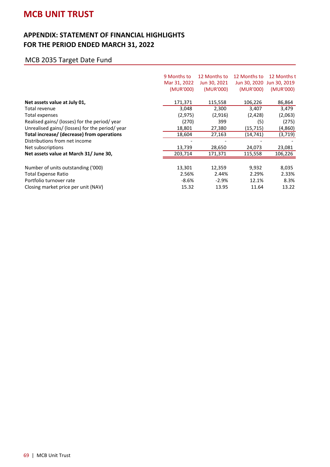#### **APPENDIX: STATEMENT OF FINANCIAL HIGHLIGHTS FOR THE PERIOD ENDED MARCH 31, 2022**

### MCB 2035 Target Date Fund

|                                                 | 9 Months to<br>Mar 31, 2022<br>(MUR'000) | 12 Months to<br>Jun 30, 2021<br>(MUR'000) | 12 Months to<br>(MUR'000) | 12 Months t<br>Jun 30, 2020 Jun 30, 2019<br>(MUR'000) |
|-------------------------------------------------|------------------------------------------|-------------------------------------------|---------------------------|-------------------------------------------------------|
| Net assets value at July 01,                    | 171,371                                  | 115,558                                   | 106,226                   | 86,864                                                |
| Total revenue                                   | 3,048                                    | 2,300                                     | 3,407                     | 3,479                                                 |
| Total expenses                                  | (2, 975)                                 | (2,916)                                   | (2, 428)                  | (2,063)                                               |
| Realised gains/ (losses) for the period/ year   | (270)                                    | 399                                       | (5)                       | (275)                                                 |
| Unrealised gains/ (losses) for the period/ year | 18,801                                   | 27,380                                    | (15, 715)                 | (4,860)                                               |
| Total increase/ (decrease) from operations      | 18,604                                   | 27,163                                    | (14,741)                  | (3, 719)                                              |
| Distributions from net income                   |                                          |                                           |                           |                                                       |
| Net subscriptions                               | 13,739                                   | 28,650                                    | 24,073                    | 23,081                                                |
| Net assets value at March 31/ June 30,          | 203,714                                  | 171,371                                   | 115,558                   | 106,226                                               |
| Number of units outstanding ('000)              | 13,301                                   | 12,359                                    | 9,932                     | 8,035                                                 |
|                                                 |                                          |                                           |                           |                                                       |
| Total Expense Ratio                             | 2.56%                                    | 2.44%                                     | 2.29%                     | 2.33%                                                 |
| Portfolio turnover rate                         | $-8.6\%$                                 | $-2.9%$                                   | 12.1%                     | 8.3%                                                  |
| Closing market price per unit (NAV)             | 15.32                                    | 13.95                                     | 11.64                     | 13.22                                                 |